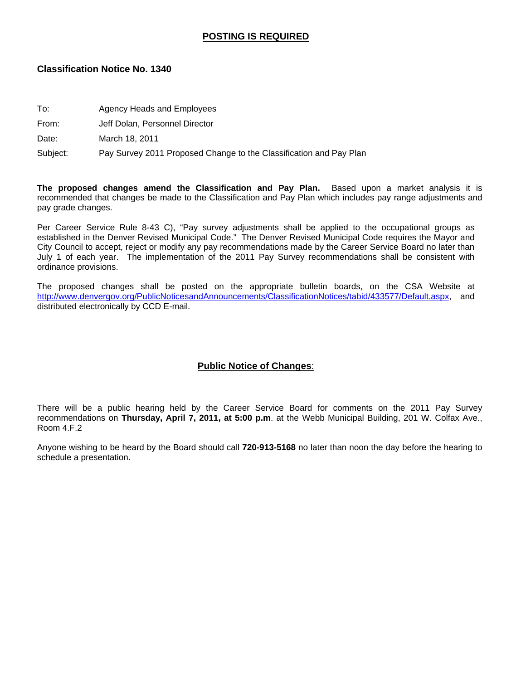### **POSTING IS REQUIRED**

### **Classification Notice No. 1340**

- To: Agency Heads and Employees
- From: Jeff Dolan, Personnel Director

Date: March 18, 2011

Subject: Pay Survey 2011 Proposed Change to the Classification and Pay Plan

**The proposed changes amend the Classification and Pay Plan.** Based upon a market analysis it is recommended that changes be made to the Classification and Pay Plan which includes pay range adjustments and pay grade changes.

Per Career Service Rule 8-43 C), "Pay survey adjustments shall be applied to the occupational groups as established in the Denver Revised Municipal Code." The Denver Revised Municipal Code requires the Mayor and City Council to accept, reject or modify any pay recommendations made by the Career Service Board no later than July 1 of each year. The implementation of the 2011 Pay Survey recommendations shall be consistent with ordinance provisions.

The proposed changes shall be posted on the appropriate bulletin boards, on the CSA Website at http://www.denvergov.org/PublicNoticesandAnnouncements/ClassificationNotices/tabid/433577/Default.aspx, and distributed electronically by CCD E-mail.

### **Public Notice of Changes**:

There will be a public hearing held by the Career Service Board for comments on the 2011 Pay Survey recommendations on **Thursday, April 7, 2011, at 5:00 p.m**. at the Webb Municipal Building, 201 W. Colfax Ave., Room 4.F.2

Anyone wishing to be heard by the Board should call **720-913-5168** no later than noon the day before the hearing to schedule a presentation.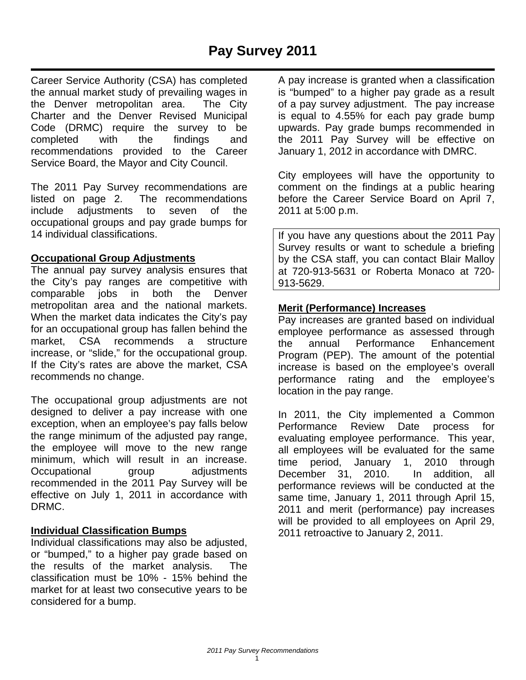Career Service Authority (CSA) has completed the annual market study of prevailing wages in the Denver metropolitan area. The City Charter and the Denver Revised Municipal Code (DRMC) require the survey to be completed with the findings and recommendations provided to the Career Service Board, the Mayor and City Council.

The 2011 Pay Survey recommendations are listed on page 2. The recommendations include adjustments to seven of the occupational groups and pay grade bumps for 14 individual classifications.

## **Occupational Group Adjustments**

The annual pay survey analysis ensures that the City's pay ranges are competitive with comparable jobs in both the Denver metropolitan area and the national markets. When the market data indicates the City's pay for an occupational group has fallen behind the market, CSA recommends a structure increase, or "slide," for the occupational group. If the City's rates are above the market, CSA recommends no change.

The occupational group adjustments are not designed to deliver a pay increase with one exception, when an employee's pay falls below the range minimum of the adjusted pay range, the employee will move to the new range minimum, which will result in an increase. Occupational group adjustments recommended in the 2011 Pay Survey will be effective on July 1, 2011 in accordance with DRMC.

### **Individual Classification Bumps**

Individual classifications may also be adjusted, or "bumped," to a higher pay grade based on the results of the market analysis. The classification must be 10% - 15% behind the market for at least two consecutive years to be considered for a bump.

A pay increase is granted when a classification is "bumped" to a higher pay grade as a result of a pay survey adjustment. The pay increase is equal to 4.55% for each pay grade bump upwards. Pay grade bumps recommended in the 2011 Pay Survey will be effective on January 1, 2012 in accordance with DMRC.

City employees will have the opportunity to comment on the findings at a public hearing before the Career Service Board on April 7, 2011 at 5:00 p.m.

If you have any questions about the 2011 Pay Survey results or want to schedule a briefing by the CSA staff, you can contact Blair Malloy at 720-913-5631 or Roberta Monaco at 720- 913-5629.

## **Merit (Performance) Increases**

Pay increases are granted based on individual employee performance as assessed through the annual Performance Enhancement Program (PEP). The amount of the potential increase is based on the employee's overall performance rating and the employee's location in the pay range.

In 2011, the City implemented a Common Performance Review Date process for evaluating employee performance. This year, all employees will be evaluated for the same time period, January 1, 2010 through December 31, 2010. In addition, all performance reviews will be conducted at the same time, January 1, 2011 through April 15, 2011 and merit (performance) pay increases will be provided to all employees on April 29, 2011 retroactive to January 2, 2011.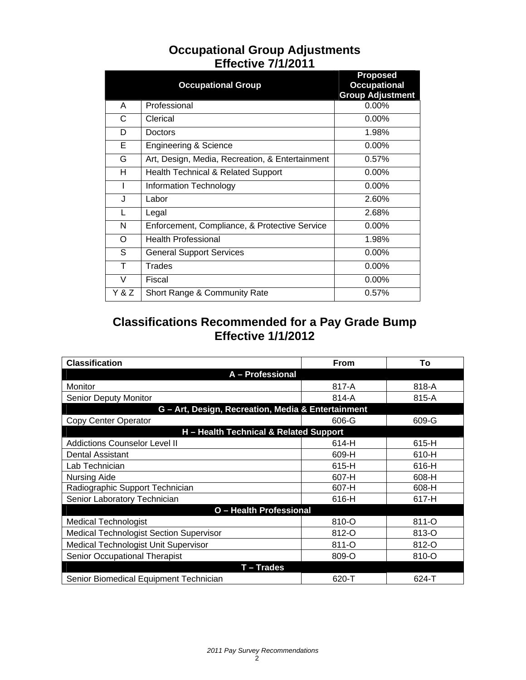|                | <b>Occupational Group</b>                       | <b>Proposed</b><br><b>Occupational</b><br><b>Group Adjustment</b> |  |  |  |  |
|----------------|-------------------------------------------------|-------------------------------------------------------------------|--|--|--|--|
| A              | Professional                                    | 0.00%                                                             |  |  |  |  |
| C              | Clerical                                        | $0.00\%$                                                          |  |  |  |  |
| D              | Doctors                                         | 1.98%                                                             |  |  |  |  |
| Е              | <b>Engineering &amp; Science</b>                | $0.00\%$                                                          |  |  |  |  |
| G              | Art, Design, Media, Recreation, & Entertainment | 0.57%                                                             |  |  |  |  |
| н              | <b>Health Technical &amp; Related Support</b>   | 0.00%                                                             |  |  |  |  |
| $\overline{1}$ | Information Technology                          | 0.00%                                                             |  |  |  |  |
| J              | Labor                                           | 2.60%                                                             |  |  |  |  |
| L              | Legal                                           | 2.68%                                                             |  |  |  |  |
| N              | Enforcement, Compliance, & Protective Service   | $0.00\%$                                                          |  |  |  |  |
| O              | <b>Health Professional</b>                      | 1.98%                                                             |  |  |  |  |
| S              | <b>General Support Services</b>                 | $0.00\%$                                                          |  |  |  |  |
| т              | Trades                                          | 0.00%                                                             |  |  |  |  |
| $\vee$         | Fiscal                                          | $0.00\%$                                                          |  |  |  |  |
| Y & Z          | Short Range & Community Rate                    | 0.57%                                                             |  |  |  |  |

# **Occupational Group Adjustments Effective 7/1/2011**

# **Classifications Recommended for a Pay Grade Bump Effective 1/1/2012**

| <b>Classification</b>                              | <b>From</b> | To    |  |  |  |  |  |
|----------------------------------------------------|-------------|-------|--|--|--|--|--|
| A - Professional                                   |             |       |  |  |  |  |  |
| Monitor                                            | 817-A       | 818-A |  |  |  |  |  |
| <b>Senior Deputy Monitor</b>                       | $814 - A$   | 815-A |  |  |  |  |  |
| G - Art, Design, Recreation, Media & Entertainment |             |       |  |  |  |  |  |
| Copy Center Operator                               | 606-G       | 609-G |  |  |  |  |  |
| H - Health Technical & Related Support             |             |       |  |  |  |  |  |
| <b>Addictions Counselor Level II</b>               | 614-H       | 615-H |  |  |  |  |  |
| Dental Assistant                                   | 609-H       | 610-H |  |  |  |  |  |
| Lab Technician                                     | 615-H       | 616-H |  |  |  |  |  |
| <b>Nursing Aide</b>                                | 607-H       | 608-H |  |  |  |  |  |
| Radiographic Support Technician                    | 607-H       | 608-H |  |  |  |  |  |
| Senior Laboratory Technician                       | 616-H       | 617-H |  |  |  |  |  |
| O - Health Professional                            |             |       |  |  |  |  |  |
| <b>Medical Technologist</b>                        | 810-O       | 811-O |  |  |  |  |  |
| <b>Medical Technologist Section Supervisor</b>     | 812-O       | 813-O |  |  |  |  |  |
| Medical Technologist Unit Supervisor               | 811-O       | 812-O |  |  |  |  |  |
| Senior Occupational Therapist                      | 809-O       | 810-O |  |  |  |  |  |
| <b>T-Trades</b>                                    |             |       |  |  |  |  |  |
| Senior Biomedical Equipment Technician             | 620-T       | 624-T |  |  |  |  |  |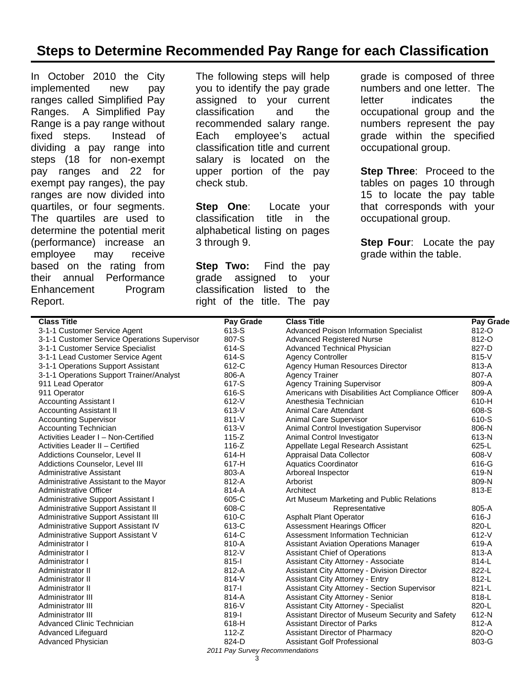# **Steps to Determine Recommended Pay Range for each Classification**

In October 2010 the City implemented new pay ranges called Simplified Pay Ranges. A Simplified Pay Range is a pay range without fixed steps. Instead of dividing a pay range into steps (18 for non-exempt pay ranges and 22 for exempt pay ranges), the pay ranges are now divided into quartiles, or four segments. The quartiles are used to determine the potential merit (performance) increase an employee may receive based on the rating from their annual Performance Enhancement Program Report.

The following steps will help you to identify the pay grade assigned to your current classification and the recommended salary range. Each employee's actual classification title and current salary is located on the upper portion of the pay check stub.

**Step One:** Locate your classification title in the alphabetical listing on pages 3 through 9.

**Step Two:** Find the pay grade assigned to your classification listed to the right of the title. The pay

grade is composed of three numbers and one letter. The letter indicates the occupational group and the numbers represent the pay grade within the specified occupational group.

**Step Three**: Proceed to the tables on pages 10 through 15 to locate the pay table that corresponds with your occupational group.

**Step Four**: Locate the pay grade within the table.

| <b>Class Title</b>                           | <b>Pay Grade</b>                | <b>Class Title</b>                                  | Pay Grade |
|----------------------------------------------|---------------------------------|-----------------------------------------------------|-----------|
| 3-1-1 Customer Service Agent                 | 613-S                           | Advanced Poison Information Specialist              | 812-O     |
| 3-1-1 Customer Service Operations Supervisor | 807-S                           | <b>Advanced Registered Nurse</b>                    | 812-O     |
| 3-1-1 Customer Service Specialist            | 614-S                           | Advanced Technical Physician                        | 827-D     |
| 3-1-1 Lead Customer Service Agent            | 614-S                           | <b>Agency Controller</b>                            | 815-V     |
| 3-1-1 Operations Support Assistant           | 612-C                           | Agency Human Resources Director                     | 813-A     |
| 3-1-1 Operations Support Trainer/Analyst     | 806-A                           | <b>Agency Trainer</b>                               | 807-A     |
| 911 Lead Operator                            | 617-S                           | <b>Agency Training Supervisor</b>                   | 809-A     |
| 911 Operator                                 | 616-S                           | Americans with Disabilities Act Compliance Officer  | 809-A     |
| <b>Accounting Assistant I</b>                | $612-V$                         | Anesthesia Technician                               | 610-H     |
| <b>Accounting Assistant II</b>               | $613-V$                         | Animal Care Attendant                               | 608-S     |
| <b>Accounting Supervisor</b>                 | $811-V$                         | Animal Care Supervisor                              | 610-S     |
| <b>Accounting Technician</b>                 | $613-V$                         | Animal Control Investigation Supervisor             | 806-N     |
| Activities Leader I - Non-Certified          | $115 - Z$                       | Animal Control Investigator                         | 613-N     |
| Activities Leader II - Certified             | $116-Z$                         | Appellate Legal Research Assistant                  | 625-L     |
| Addictions Counselor, Level II               | 614-H                           | Appraisal Data Collector                            | 608-V     |
| Addictions Counselor, Level III              | 617-H                           | <b>Aquatics Coordinator</b>                         | 616-G     |
| Administrative Assistant                     | 803-A                           | Arboreal Inspector                                  | 619-N     |
| Administrative Assistant to the Mayor        | 812-A                           | Arborist                                            | 809-N     |
| Administrative Officer                       | 814-A                           | Architect                                           | 813-E     |
| Administrative Support Assistant I           | 605-C                           | Art Museum Marketing and Public Relations           |           |
| Administrative Support Assistant II          | 608-C                           | Representative                                      | 805-A     |
| Administrative Support Assistant III         | 610-C                           | <b>Asphalt Plant Operator</b>                       | $616 - J$ |
| Administrative Support Assistant IV          | 613-C                           | Assessment Hearings Officer                         | 820-L     |
| Administrative Support Assistant V           | 614-C                           | Assessment Information Technician                   | $612-V$   |
| Administrator I                              | 810-A                           | <b>Assistant Aviation Operations Manager</b>        | 619-A     |
| Administrator I                              | $812-V$                         | <b>Assistant Chief of Operations</b>                | 813-A     |
| Administrator I                              | $815 - 1$                       | Assistant City Attorney - Associate                 | 814-L     |
| Administrator II                             | 812-A                           | Assistant City Attorney - Division Director         | 822-L     |
| Administrator II                             | $814 - V$                       | <b>Assistant City Attorney - Entry</b>              | 812-L     |
| Administrator II                             | $817 - 1$                       | <b>Assistant City Attorney - Section Supervisor</b> | 821-L     |
| Administrator III                            | 814-A                           | <b>Assistant City Attorney - Senior</b>             | 818-L     |
| Administrator III                            | $816-V$                         | <b>Assistant City Attorney - Specialist</b>         | 820-L     |
| Administrator III                            | 819-l                           | Assistant Director of Museum Security and Safety    | 612-N     |
| Advanced Clinic Technician                   | 618-H                           | Assistant Director of Parks                         | 812-A     |
| Advanced Lifeguard                           | $112-Z$                         | Assistant Director of Pharmacy                      | 820-O     |
| Advanced Physician                           | 824-D                           | Assistant Golf Professional                         | 803-G     |
|                                              | 2011 Pay Survey Recommendations |                                                     |           |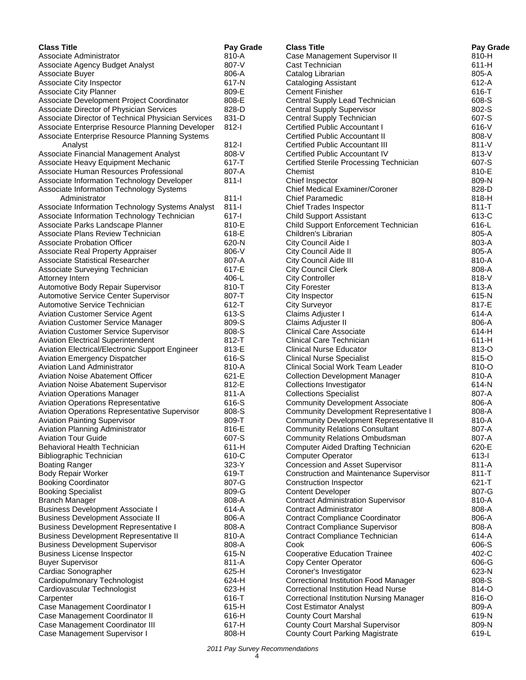| <b>Class Title</b>                                                  | Pay Grade      | <b>Class Title</b>                                                       | Pay Grade      |
|---------------------------------------------------------------------|----------------|--------------------------------------------------------------------------|----------------|
| Associate Administrator                                             | 810-A          | Case Management Supervisor II                                            | 810-H          |
| Associate Agency Budget Analyst                                     | 807-V          | Cast Technician                                                          | $611-H$        |
| Associate Buyer                                                     | 806-A          | Catalog Librarian                                                        | 805-A          |
| Associate City Inspector                                            | 617-N          | <b>Cataloging Assistant</b>                                              | 612-A          |
| Associate City Planner                                              | 809-E          | <b>Cement Finisher</b>                                                   | 616-T          |
| Associate Development Project Coordinator                           | 808-E          | Central Supply Lead Technician                                           | 608-S          |
| Associate Director of Physician Services                            | 828-D          | <b>Central Supply Supervisor</b>                                         | 802-S          |
| Associate Director of Technical Physician Services                  | 831-D          | Central Supply Technician                                                | 607-S          |
| Associate Enterprise Resource Planning Developer                    | $812-I$        | Certified Public Accountant I                                            | $616-V$        |
| Associate Enterprise Resource Planning Systems                      |                | <b>Certified Public Accountant II</b>                                    | 808-V          |
| Analyst                                                             | $812-I$        | Certified Public Accountant III                                          | $811 - V$      |
| Associate Financial Management Analyst                              | 808-V          | Certified Public Accountant IV                                           | 813-V          |
| Associate Heavy Equipment Mechanic                                  | $617 - T$      | Certified Sterile Processing Technician                                  | 607-S          |
| Associate Human Resources Professional                              | 807-A          | Chemist                                                                  | 810-E          |
| Associate Information Technology Developer                          | $811 -$        | Chief Inspector                                                          | 809-N          |
| Associate Information Technology Systems                            |                | <b>Chief Medical Examiner/Coroner</b>                                    | 828-D          |
| Administrator                                                       | $811 -$        | <b>Chief Paramedic</b>                                                   | 818-H          |
| Associate Information Technology Systems Analyst                    | $811 -$        | <b>Chief Trades Inspector</b>                                            | $811 - T$      |
| Associate Information Technology Technician                         | $617 - 1$      | <b>Child Support Assistant</b>                                           | 613-C          |
| Associate Parks Landscape Planner                                   | 810-E          | Child Support Enforcement Technician                                     | 616-L          |
| Associate Plans Review Technician                                   | 618-E          | Children's Librarian                                                     | 805-A          |
| <b>Associate Probation Officer</b>                                  | 620-N          | City Council Aide I                                                      | 803-A          |
| Associate Real Property Appraiser                                   | 806-V          | City Council Aide II                                                     | 805-A          |
| <b>Associate Statistical Researcher</b>                             | 807-A          | City Council Aide III                                                    | 810-A          |
| Associate Surveying Technician                                      | 617-E          | <b>City Council Clerk</b>                                                | 808-A          |
| Attorney Intern                                                     | 406-L          | <b>City Controller</b>                                                   | 818-V          |
| Automotive Body Repair Supervisor                                   | 810-T          | <b>City Forester</b>                                                     | 813-A          |
| Automotive Service Center Supervisor                                | 807-T          | City Inspector                                                           | 615-N          |
| Automotive Service Technician                                       | 612-T          | <b>City Surveyor</b>                                                     | 817-E          |
| <b>Aviation Customer Service Agent</b>                              | 613-S          | Claims Adjuster I                                                        | 614-A          |
| <b>Aviation Customer Service Manager</b>                            | 809-S          | Claims Adjuster II                                                       | 806-A          |
| <b>Aviation Customer Service Supervisor</b>                         | 808-S          | <b>Clinical Care Associate</b>                                           | 614-H          |
| <b>Aviation Electrical Superintendent</b>                           | 812-T          | <b>Clinical Care Technician</b>                                          | $611-H$        |
| Aviation Electrical/Electronic Support Engineer                     | 813-E          | Clinical Nurse Educator                                                  | 813-O          |
| Aviation Emergency Dispatcher<br><b>Aviation Land Administrator</b> | 616-S<br>810-A | <b>Clinical Nurse Specialist</b>                                         | 815-O<br>810-O |
| <b>Aviation Noise Abatement Officer</b>                             | 621-E          | Clinical Social Work Team Leader                                         | 810-A          |
| <b>Aviation Noise Abatement Supervisor</b>                          | 812-E          | <b>Collection Development Manager</b><br><b>Collections Investigator</b> | 614-N          |
| <b>Aviation Operations Manager</b>                                  | $811 - A$      | <b>Collections Specialist</b>                                            | 807-A          |
| <b>Aviation Operations Representative</b>                           | 616-S          | <b>Community Development Associate</b>                                   | 806-A          |
| Aviation Operations Representative Supervisor                       | 808-S          | <b>Community Development Representative I</b>                            | 808-A          |
| <b>Aviation Painting Supervisor</b>                                 | 809-T          | <b>Community Development Representative II</b>                           | 810-A          |
| Aviation Planning Administrator                                     | 816-E          | <b>Community Relations Consultant</b>                                    | 807-A          |
| <b>Aviation Tour Guide</b>                                          | 607-S          | <b>Community Relations Ombudsman</b>                                     | 807-A          |
| Behavioral Health Technician                                        | $611-H$        | <b>Computer Aided Drafting Technician</b>                                | 620-E          |
| <b>Bibliographic Technician</b>                                     | 610-C          | <b>Computer Operator</b>                                                 | $613 -$        |
| <b>Boating Ranger</b>                                               | $323-Y$        | Concession and Asset Supervisor                                          | 811-A          |
| <b>Body Repair Worker</b>                                           | 619-T          | <b>Construction and Maintenance Supervisor</b>                           | $811 - T$      |
| <b>Booking Coordinator</b>                                          | 807-G          | Construction Inspector                                                   | 621-T          |
| <b>Booking Specialist</b>                                           | 809-G          | <b>Content Developer</b>                                                 | 807-G          |
| <b>Branch Manager</b>                                               | 808-A          | <b>Contract Administration Supervisor</b>                                | 810-A          |
| <b>Business Development Associate I</b>                             | 614-A          | <b>Contract Administrator</b>                                            | 808-A          |
| <b>Business Development Associate II</b>                            | 806-A          | <b>Contract Compliance Coordinator</b>                                   | 806-A          |
| <b>Business Development Representative I</b>                        | 808-A          | <b>Contract Compliance Supervisor</b>                                    | 808-A          |
| <b>Business Development Representative II</b>                       | 810-A          | Contract Compliance Technician                                           | 614-A          |
| <b>Business Development Supervisor</b>                              | 808-A          | Cook                                                                     | 606-S          |
| <b>Business License Inspector</b>                                   | 615-N          | <b>Cooperative Education Trainee</b>                                     | 402-C          |
| <b>Buyer Supervisor</b>                                             | 811-A          | Copy Center Operator                                                     | 606-G          |
| Cardiac Sonographer                                                 | 625-H          | Coroner's Investigator                                                   | 623-N          |
| Cardiopulmonary Technologist                                        | 624-H          | Correctional Institution Food Manager                                    | 808-S          |
| Cardiovascular Technologist                                         | 623-H          | <b>Correctional Institution Head Nurse</b>                               | 814-O          |
| Carpenter                                                           | 616-T          | <b>Correctional Institution Nursing Manager</b>                          | 816-O          |
| Case Management Coordinator I                                       | $615-H$        | <b>Cost Estimator Analyst</b>                                            | 809-A          |
| Case Management Coordinator II                                      | 616-H          | <b>County Court Marshal</b>                                              | 619-N          |
| Case Management Coordinator III                                     | 617-H          | <b>County Court Marshal Supervisor</b>                                   | 809-N          |
| Case Management Supervisor I                                        | 808-H          | <b>County Court Parking Magistrate</b>                                   | 619-L          |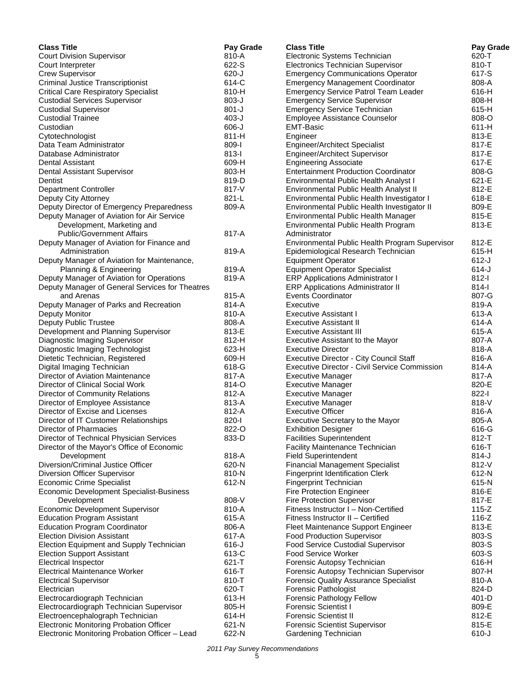| <b>Class Title</b>                                               | Pay Grade            | <b>Class Title</b>                                                        | Pay Grade        |
|------------------------------------------------------------------|----------------------|---------------------------------------------------------------------------|------------------|
| <b>Court Division Supervisor</b>                                 | 810-A                | Electronic Systems Technician                                             | 620-T            |
| Court Interpreter                                                | 622-S                | Electronics Technician Supervisor                                         | 810-T            |
| <b>Crew Supervisor</b>                                           | $620 - J$            | <b>Emergency Communications Operator</b>                                  | 617-S            |
| <b>Criminal Justice Transcriptionist</b>                         | 614-C                | <b>Emergency Management Coordinator</b>                                   | 808-A            |
| <b>Critical Care Respiratory Specialist</b>                      | 810-H                | <b>Emergency Service Patrol Team Leader</b>                               | 616-H            |
| <b>Custodial Services Supervisor</b>                             | 803-J                | <b>Emergency Service Supervisor</b>                                       | 808-H            |
| <b>Custodial Supervisor</b>                                      | $801 - J$            | <b>Emergency Service Technician</b>                                       | 615-H            |
| <b>Custodial Trainee</b>                                         | $403-J$              | Employee Assistance Counselor<br><b>EMT-Basic</b>                         | 808-O            |
| Custodian                                                        | $606 - J$<br>$811-H$ |                                                                           | $611-H$<br>813-E |
| Cytotechnologist<br>Data Team Administrator                      | 809-l                | Engineer<br><b>Engineer/Architect Specialist</b>                          | 817-E            |
| Database Administrator                                           | $813 -$              | Engineer/Architect Supervisor                                             | 817-E            |
| Dental Assistant                                                 | 609-H                | <b>Engineering Associate</b>                                              | 617-E            |
| Dental Assistant Supervisor                                      | 803-H                | <b>Entertainment Production Coordinator</b>                               | 808-G            |
| Dentist                                                          | 819-D                | Environmental Public Health Analyst I                                     | 621-E            |
| <b>Department Controller</b>                                     | 817-V                | Environmental Public Health Analyst II                                    | 812-E            |
| Deputy City Attorney                                             | 821-L                | Environmental Public Health Investigator I                                | 618-E            |
| Deputy Director of Emergency Preparedness                        | 809-A                | Environmental Public Health Investigator II                               | 809-E            |
| Deputy Manager of Aviation for Air Service                       |                      | Environmental Public Health Manager                                       | 815-E            |
| Development, Marketing and                                       |                      | Environmental Public Health Program                                       | 813-E            |
| <b>Public/Government Affairs</b>                                 | 817-A                | Administrator                                                             |                  |
| Deputy Manager of Aviation for Finance and                       |                      | Environmental Public Health Program Supervisor                            | 812-E            |
| Administration                                                   | 819-A                | Epidemiological Research Technician                                       | 615-H            |
| Deputy Manager of Aviation for Maintenance,                      |                      | <b>Equipment Operator</b>                                                 | $612-J$          |
| Planning & Engineering                                           | 819-A                | <b>Equipment Operator Specialist</b>                                      | $614 - J$        |
| Deputy Manager of Aviation for Operations                        | 819-A                | <b>ERP Applications Administrator I</b>                                   | $812-I$          |
| Deputy Manager of General Services for Theatres                  |                      | <b>ERP Applications Administrator II</b>                                  | $814 - 1$        |
| and Arenas                                                       | 815-A                | <b>Events Coordinator</b>                                                 | 807-G            |
| Deputy Manager of Parks and Recreation                           | 814-A                | Executive                                                                 | 819-A            |
| Deputy Monitor                                                   | 810-A                | Executive Assistant I                                                     | 613-A            |
| Deputy Public Trustee                                            | 808-A                | <b>Executive Assistant II</b>                                             | 614-A            |
| Development and Planning Supervisor                              | 813-E<br>812-H       | <b>Executive Assistant III</b>                                            | 615-A<br>807-A   |
| Diagnostic Imaging Supervisor<br>Diagnostic Imaging Technologist | 623-H                | Executive Assistant to the Mayor<br><b>Executive Director</b>             | 818-A            |
| Dietetic Technician, Registered                                  | 609-H                | Executive Director - City Council Staff                                   | 816-A            |
| Digital Imaging Technician                                       | 618-G                | Executive Director - Civil Service Commission                             | 814-A            |
| Director of Aviation Maintenance                                 | 817-A                | <b>Executive Manager</b>                                                  | 817-A            |
| Director of Clinical Social Work                                 | 814-O                | <b>Executive Manager</b>                                                  | 820-E            |
| Director of Community Relations                                  | 812-A                | <b>Executive Manager</b>                                                  | $822 - 1$        |
| Director of Employee Assistance                                  | 813-A                | <b>Executive Manager</b>                                                  | 818-V            |
| Director of Excise and Licenses                                  | 812-A                | <b>Executive Officer</b>                                                  | 816-A            |
| Director of IT Customer Relationships                            | 820-l                | Executive Secretary to the Mayor                                          | 805-A            |
| Director of Pharmacies                                           | 822-O                | <b>Exhibition Designer</b>                                                | 616-G            |
| Director of Technical Physician Services                         | 833-D                | <b>Facilities Superintendent</b>                                          | 812-T            |
| Director of the Mayor's Office of Economic                       |                      | Facility Maintenance Technician                                           | 616-T            |
| Development                                                      | 818-A                | <b>Field Superintendent</b>                                               | $814-J$          |
| Diversion/Criminal Justice Officer                               | 620-N                | <b>Financial Management Specialist</b>                                    | 812-V            |
| Diversion Officer Supervisor                                     | 810-N                | <b>Fingerprint Identification Clerk</b>                                   | 612-N            |
| <b>Economic Crime Specialist</b>                                 | 612-N                | <b>Fingerprint Technician</b>                                             | 615-N            |
| Economic Development Specialist-Business                         | 808-V                | <b>Fire Protection Engineer</b>                                           | 816-E<br>817-E   |
| Development<br><b>Economic Development Supervisor</b>            | 810-A                | <b>Fire Protection Supervisor</b><br>Fitness Instructor I - Non-Certified | $115-Z$          |
| <b>Education Program Assistant</b>                               | 615-A                | Fitness Instructor II - Certified                                         | $116-Z$          |
| <b>Education Program Coordinator</b>                             | 806-A                | Fleet Maintenance Support Engineer                                        | 813-E            |
| <b>Election Division Assistant</b>                               | 617-A                | <b>Food Production Supervisor</b>                                         | 803-S            |
| Election Equipment and Supply Technician                         | $616 - J$            | <b>Food Service Custodial Supervisor</b>                                  | 803-S            |
| <b>Election Support Assistant</b>                                | 613-C                | <b>Food Service Worker</b>                                                | 603-S            |
| <b>Electrical Inspector</b>                                      | 621-T                | Forensic Autopsy Technician                                               | 616-H            |
| Electrical Maintenance Worker                                    | 616-T                | Forensic Autopsy Technician Supervisor                                    | 807-H            |
| <b>Electrical Supervisor</b>                                     | 810-T                | <b>Forensic Quality Assurance Specialist</b>                              | 810-A            |
| Electrician                                                      | 620-T                | <b>Forensic Pathologist</b>                                               | 824-D            |
| Electrocardiograph Technician                                    | 613-H                | Forensic Pathology Fellow                                                 | $401 - D$        |
| Electrocardiograph Technician Supervisor                         | 805-H                | <b>Forensic Scientist I</b>                                               | 809-E            |
| Electroencephalograph Technician                                 | 614-H                | <b>Forensic Scientist II</b>                                              | 812-E            |
| <b>Electronic Monitoring Probation Officer</b>                   | 621-N                | <b>Forensic Scientist Supervisor</b>                                      | 815-E            |
| Electronic Monitoring Probation Officer - Lead                   | 622-N                | Gardening Technician                                                      | $610 - J$        |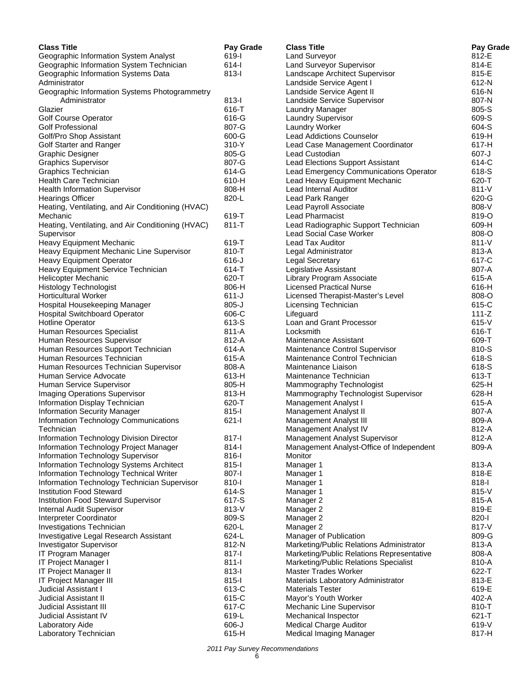| <b>Class Title</b>                                       | Pay Grade      | <b>Class Title</b>                                               | Pay Grade        |
|----------------------------------------------------------|----------------|------------------------------------------------------------------|------------------|
| Geographic Information System Analyst                    | 619-l          | <b>Land Surveyor</b>                                             | 812-E            |
| Geographic Information System Technician                 | $614 -$        | Land Surveyor Supervisor                                         | 814-E            |
| Geographic Information Systems Data                      | $813 -$        | Landscape Architect Supervisor                                   | 815-E            |
| Administrator                                            |                | Landside Service Agent I                                         | 612-N            |
| Geographic Information Systems Photogrammetry            |                | Landside Service Agent II                                        | 616-N            |
| Administrator                                            | $813 -$        | Landside Service Supervisor                                      | 807-N            |
| Glazier                                                  | 616-T          | Laundry Manager                                                  | 805-S            |
| Golf Course Operator                                     | 616-G          | Laundry Supervisor                                               | 609-S            |
| <b>Golf Professional</b>                                 | 807-G          | Laundry Worker                                                   | 604-S            |
| Golf/Pro Shop Assistant                                  | 600-G          | <b>Lead Addictions Counselor</b>                                 | 619-H            |
| Golf Starter and Ranger                                  | 310-Y          | Lead Case Management Coordinator                                 | 617-H            |
| <b>Graphic Designer</b>                                  | 805-G          | Lead Custodian                                                   | $607 - J$        |
| <b>Graphics Supervisor</b>                               | 807-G          | <b>Lead Elections Support Assistant</b>                          | 614-C            |
| Graphics Technician                                      | 614-G          | Lead Emergency Communications Operator                           | 618-S            |
| Health Care Technician                                   | 610-H          | Lead Heavy Equipment Mechanic                                    | 620-T            |
| <b>Health Information Supervisor</b>                     | 808-H          | Lead Internal Auditor                                            | $811-V$          |
| <b>Hearings Officer</b>                                  | 820-L          | Lead Park Ranger                                                 | 620-G            |
| Heating, Ventilating, and Air Conditioning (HVAC)        |                | Lead Payroll Associate                                           | 808-V            |
| Mechanic                                                 | 619-T          | <b>Lead Pharmacist</b>                                           | 819-O            |
| Heating, Ventilating, and Air Conditioning (HVAC)        | $811 - T$      | Lead Radiographic Support Technician                             | 609-H            |
| Supervisor                                               |                | <b>Lead Social Case Worker</b>                                   | 808-O            |
| Heavy Equipment Mechanic                                 | 619-T          | <b>Lead Tax Auditor</b>                                          | $811 - V$        |
| Heavy Equipment Mechanic Line Supervisor                 | 810-T          | Legal Administrator                                              | 813-A            |
| Heavy Equipment Operator                                 | 616-J          | <b>Legal Secretary</b>                                           | 617-C            |
| Heavy Equipment Service Technician                       | 614-T          | Legislative Assistant                                            | 807-A            |
| <b>Helicopter Mechanic</b>                               | 620-T          | Library Program Associate                                        | 615-A            |
| <b>Histology Technologist</b>                            | 806-H          | <b>Licensed Practical Nurse</b>                                  | 616-H            |
| Horticultural Worker                                     | $611 - J$      | Licensed Therapist-Master's Level                                | 808-O            |
| Hospital Housekeeping Manager                            | $805 - J$      | Licensing Technician                                             | 615-C            |
| <b>Hospital Switchboard Operator</b>                     | 606-C          | Lifeguard                                                        | $111 - Z$        |
| <b>Hotline Operator</b>                                  | 613-S<br>811-A | Loan and Grant Processor<br>Locksmith                            | $615-V$<br>616-T |
| Human Resources Specialist<br>Human Resources Supervisor | 812-A          | Maintenance Assistant                                            | 609-T            |
| Human Resources Support Technician                       | 614-A          |                                                                  | 810-S            |
| Human Resources Technician                               | 615-A          | Maintenance Control Supervisor<br>Maintenance Control Technician | 618-S            |
| Human Resources Technician Supervisor                    | 808-A          | Maintenance Liaison                                              | 618-S            |
| Human Service Advocate                                   | 613-H          | Maintenance Technician                                           | 613-T            |
| Human Service Supervisor                                 | 805-H          | Mammography Technologist                                         | 625-H            |
| Imaging Operations Supervisor                            | 813-H          | Mammography Technologist Supervisor                              | 628-H            |
| Information Display Technician                           | 620-T          | Management Analyst I                                             | 615-A            |
| <b>Information Security Manager</b>                      | $815 -$        | Management Analyst II                                            | 807-A            |
| Information Technology Communications                    | $621 -$        | Management Analyst III                                           | 809-A            |
| Technician                                               |                | Management Analyst IV                                            | 812-A            |
| Information Technology Division Director                 | 817-l          | <b>Management Analyst Supervisor</b>                             | 812-A            |
| Information Technology Project Manager                   | $814 -$        | Management Analyst-Office of Independent                         | 809-A            |
| Information Technology Supervisor                        | $816 - 1$      | Monitor                                                          |                  |
| Information Technology Systems Architect                 | $815 -$        | Manager 1                                                        | 813-A            |
| Information Technology Technical Writer                  | 807-l          | Manager 1                                                        | 818-E            |
| Information Technology Technician Supervisor             | 810-l          | Manager 1                                                        | 818-l            |
| <b>Institution Food Steward</b>                          | 614-S          | Manager 1                                                        | 815-V            |
| Institution Food Steward Supervisor                      | 617-S          | Manager 2                                                        | 815-A            |
| Internal Audit Supervisor                                | 813-V          | Manager 2                                                        | 819-E            |
| Interpreter Coordinator                                  | 809-S          | Manager 2                                                        | 820-l            |
| Investigations Technician                                | 620-L          | Manager 2                                                        | 817-V            |
| Investigative Legal Research Assistant                   | 624-L          | Manager of Publication                                           | 809-G            |
| <b>Investigator Supervisor</b>                           | 812-N          | Marketing/Public Relations Administrator                         | 813-A            |
| IT Program Manager                                       | 817-l          | Marketing/Public Relations Representative                        | 808-A            |
| IT Project Manager I                                     | $811-I$        | Marketing/Public Relations Specialist                            | 810-A            |
| IT Project Manager II                                    | $813 -$        | <b>Master Trades Worker</b>                                      | 622-T            |
| IT Project Manager III                                   | $815 -$        | Materials Laboratory Administrator                               | 813-E            |
| Judicial Assistant I                                     | 613-C          | <b>Materials Tester</b>                                          | 619-E            |
| <b>Judicial Assistant II</b>                             | 615-C          | Mayor's Youth Worker                                             | 402-A            |
| <b>Judicial Assistant III</b>                            | 617-C          | Mechanic Line Supervisor                                         | 810-T            |
| Judicial Assistant IV                                    | 619-L          | Mechanical Inspector                                             | 621-T            |
| Laboratory Aide                                          | $606 - J$      | <b>Medical Charge Auditor</b>                                    | 619-V            |
| Laboratory Technician                                    | 615-H          | Medical Imaging Manager                                          | 817-H            |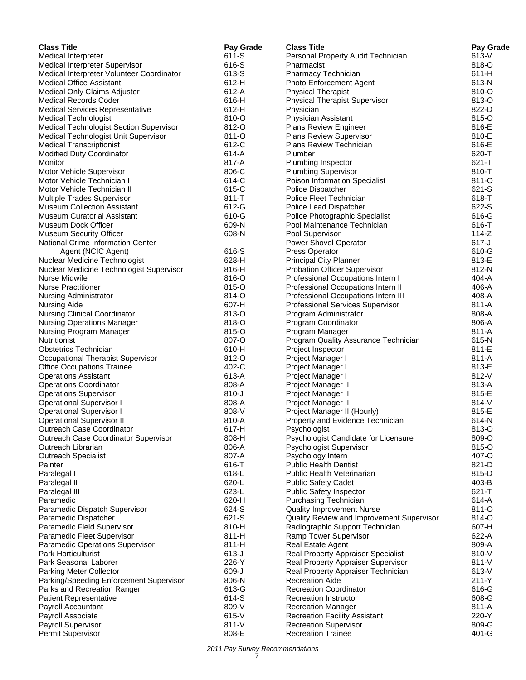| <b>Class Title</b>                                                              | Pay Grade      | <b>Class Title</b>                                                      | Pay Grade        |
|---------------------------------------------------------------------------------|----------------|-------------------------------------------------------------------------|------------------|
| Medical Interpreter                                                             | 611-S          | Personal Property Audit Technician                                      | 613-V            |
| Medical Interpreter Supervisor                                                  | 616-S          | Pharmacist                                                              | 818-O            |
| Medical Interpreter Volunteer Coordinator                                       | 613-S          | Pharmacy Technician                                                     | 611-H            |
| <b>Medical Office Assistant</b>                                                 | $612-H$        | Photo Enforcement Agent                                                 | 613-N            |
| Medical Only Claims Adjuster                                                    | 612-A          | <b>Physical Therapist</b>                                               | 810-O            |
| <b>Medical Records Coder</b>                                                    | 616-H          | <b>Physical Therapist Supervisor</b>                                    | 813-O            |
| <b>Medical Services Representative</b>                                          | 612-H          | Physician                                                               | 822-D            |
| <b>Medical Technologist</b>                                                     | 810-O<br>812-O | Physician Assistant                                                     | 815-O<br>816-E   |
| Medical Technologist Section Supervisor<br>Medical Technologist Unit Supervisor | 811-O          | <b>Plans Review Engineer</b><br>Plans Review Supervisor                 | 810-E            |
| <b>Medical Transcriptionist</b>                                                 | 612-C          | Plans Review Technician                                                 | 616-E            |
| <b>Modified Duty Coordinator</b>                                                | 614-A          | Plumber                                                                 | 620-T            |
| Monitor                                                                         | 817-A          | Plumbing Inspector                                                      | $621 - T$        |
| Motor Vehicle Supervisor                                                        | 806-C          | <b>Plumbing Supervisor</b>                                              | 810-T            |
| Motor Vehicle Technician I                                                      | 614-C          | Poison Information Specialist                                           | 811-O            |
| Motor Vehicle Technician II                                                     | 615-C          | Police Dispatcher                                                       | 621-S            |
| Multiple Trades Supervisor                                                      | $811 - T$      | Police Fleet Technician                                                 | 618-T            |
| <b>Museum Collection Assistant</b>                                              | 612-G          | Police Lead Dispatcher                                                  | 622-S            |
| <b>Museum Curatorial Assistant</b>                                              | 610-G          | Police Photographic Specialist                                          | 616-G            |
| Museum Dock Officer                                                             | 609-N          | Pool Maintenance Technician                                             | 616-T            |
| <b>Museum Security Officer</b>                                                  | 608-N          | Pool Supervisor                                                         | $114 - Z$        |
| National Crime Information Center                                               |                | Power Shovel Operator                                                   | $617 - J$        |
| Agent (NCIC Agent)                                                              | 616-S          | <b>Press Operator</b>                                                   | 610-G            |
| Nuclear Medicine Technologist                                                   | 628-H          | <b>Principal City Planner</b>                                           | 813-E            |
| Nuclear Medicine Technologist Supervisor                                        | 816-H          | Probation Officer Supervisor                                            | 812-N            |
| Nurse Midwife<br><b>Nurse Practitioner</b>                                      | 816-O<br>815-O | Professional Occupations Intern I<br>Professional Occupations Intern II | 404-A<br>406-A   |
|                                                                                 | 814-O          | Professional Occupations Intern III                                     | 408-A            |
| <b>Nursing Administrator</b><br>Nursing Aide                                    | 607-H          | Professional Services Supervisor                                        | 811-A            |
| <b>Nursing Clinical Coordinator</b>                                             | 813-O          | Program Administrator                                                   | 808-A            |
| <b>Nursing Operations Manager</b>                                               | 818-O          | Program Coordinator                                                     | 806-A            |
| Nursing Program Manager                                                         | 815-O          | Program Manager                                                         | 811-A            |
| Nutritionist                                                                    | 807-O          | Program Quality Assurance Technician                                    | 615-N            |
| <b>Obstetrics Technician</b>                                                    | 610-H          | Project Inspector                                                       | 811-E            |
| Occupational Therapist Supervisor                                               | 812-O          | Project Manager I                                                       | 811-A            |
| <b>Office Occupations Trainee</b>                                               | 402-C          | Project Manager I                                                       | 813-E            |
| <b>Operations Assistant</b>                                                     | 613-A          | Project Manager I                                                       | 812-V            |
| <b>Operations Coordinator</b>                                                   | 808-A          | Project Manager II                                                      | 813-A            |
| <b>Operations Supervisor</b>                                                    | $810 - J$      | Project Manager II                                                      | 815-E            |
| <b>Operational Supervisor I</b>                                                 | 808-A          | Project Manager II                                                      | 814-V            |
| <b>Operational Supervisor I</b>                                                 | 808-V          | Project Manager II (Hourly)                                             | 815-E            |
| <b>Operational Supervisor II</b>                                                | 810-A          | Property and Evidence Technician                                        | 614-N            |
| Outreach Case Coordinator<br>Outreach Case Coordinator Supervisor               | 617-H<br>808-H | Psychologist<br>Psychologist Candidate for Licensure                    | 813-O<br>809-O   |
| Outreach Librarian                                                              | 806-A          | Psychologist Supervisor                                                 | 815-O            |
| <b>Outreach Specialist</b>                                                      | 807-A          | Psychology Intern                                                       | 407-O            |
| Painter                                                                         | 616-T          | <b>Public Health Dentist</b>                                            | 821-D            |
| Paralegal I                                                                     | 618-L          | Public Health Veterinarian                                              | 815-D            |
| Paralegal II                                                                    | 620-L          | <b>Public Safety Cadet</b>                                              | 403-B            |
| Paralegal III                                                                   | 623-L          | <b>Public Safety Inspector</b>                                          | $621 - T$        |
| Paramedic                                                                       | 620-H          | Purchasing Technician                                                   | 614-A            |
| Paramedic Dispatch Supervisor                                                   | 624-S          | <b>Quality Improvement Nurse</b>                                        | 811-O            |
| Paramedic Dispatcher                                                            | 621-S          | Quality Review and Improvement Supervisor                               | 814-O            |
| Paramedic Field Supervisor                                                      | 810-H          | Radiographic Support Technician                                         | 607-H            |
| Paramedic Fleet Supervisor                                                      | 811-H          | Ramp Tower Supervisor                                                   | 622-A            |
| Paramedic Operations Supervisor                                                 | 811-H          | Real Estate Agent                                                       | 809-A            |
| <b>Park Horticulturist</b>                                                      | $613 - J$      | Real Property Appraiser Specialist                                      | 810-V            |
| Park Seasonal Laborer                                                           | 226-Y          | Real Property Appraiser Supervisor                                      | 811-V            |
| Parking Meter Collector                                                         | 609-J          | Real Property Appraiser Technician                                      | 613-V            |
| Parking/Speeding Enforcement Supervisor                                         | 806-N<br>613-G | <b>Recreation Aide</b><br><b>Recreation Coordinator</b>                 | $211-Y$<br>616-G |
| Parks and Recreation Ranger<br><b>Patient Representative</b>                    | 614-S          | <b>Recreation Instructor</b>                                            | 608-G            |
| Payroll Accountant                                                              | 809-V          | <b>Recreation Manager</b>                                               | 811-A            |
| Payroll Associate                                                               | 615-V          | <b>Recreation Facility Assistant</b>                                    | 220-Y            |
| Payroll Supervisor                                                              | $811-V$        | <b>Recreation Supervisor</b>                                            | 809-G            |
| Permit Supervisor                                                               | 808-E          | <b>Recreation Trainee</b>                                               | 401-G            |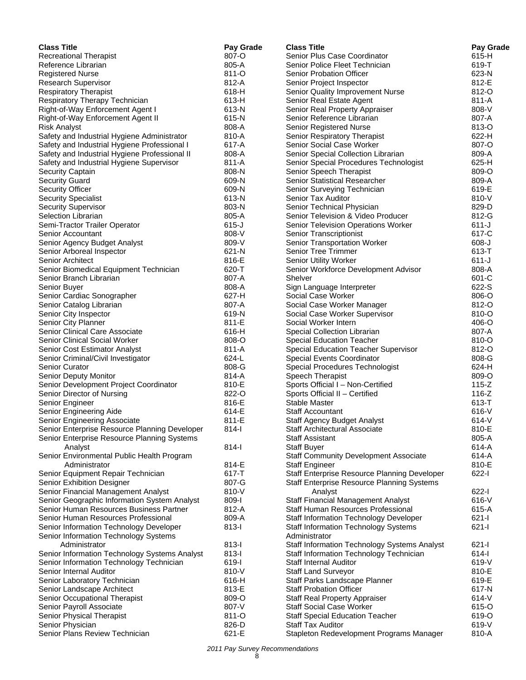| <b>Class Title</b>                            | Pay Grade      | <b>Class Title</b>                            | Pay Grade        |
|-----------------------------------------------|----------------|-----------------------------------------------|------------------|
| <b>Recreational Therapist</b>                 | 807-O          | Senior Plus Case Coordinator                  | 615-H            |
| Reference Librarian                           | 805-A          | Senior Police Fleet Technician                | 619-T            |
| <b>Registered Nurse</b>                       | 811-O          | <b>Senior Probation Officer</b>               | 623-N            |
| Research Supervisor                           | 812-A          | Senior Project Inspector                      | 812-E            |
| <b>Respiratory Therapist</b>                  | 618-H          | Senior Quality Improvement Nurse              | 812-O            |
| Respiratory Therapy Technician                | 613-H          | Senior Real Estate Agent                      | 811-A            |
| Right-of-Way Enforcement Agent I              | 613-N          | Senior Real Property Appraiser                | 808-V            |
| Right-of-Way Enforcement Agent II             | 615-N          | Senior Reference Librarian                    | 807-A            |
| <b>Risk Analyst</b>                           | 808-A          | Senior Registered Nurse                       | 813-O            |
| Safety and Industrial Hygiene Administrator   | 810-A          | Senior Respiratory Therapist                  | 622-H            |
| Safety and Industrial Hygiene Professional I  | 617-A          | <b>Senior Social Case Worker</b>              | 807-O            |
| Safety and Industrial Hygiene Professional II | 808-A          | Senior Special Collection Librarian           | 809-A            |
| Safety and Industrial Hygiene Supervisor      | 811-A          | Senior Special Procedures Technologist        | 625-H            |
| Security Captain                              | 808-N          | Senior Speech Therapist                       | 809-O            |
| <b>Security Guard</b>                         | 609-N          | Senior Statistical Researcher                 | 809-A            |
| <b>Security Officer</b>                       | 609-N          | Senior Surveying Technician                   | 619-E            |
| <b>Security Specialist</b>                    | 613-N          | Senior Tax Auditor                            | 810-V            |
| <b>Security Supervisor</b>                    | 803-N          | Senior Technical Physician                    | 829-D            |
| Selection Librarian                           | 805-A          | Senior Television & Video Producer            | 812-G            |
| Semi-Tractor Trailer Operator                 | $615 - J$      | Senior Television Operations Worker           | $611 - J$        |
| Senior Accountant                             | 808-V          | Senior Transcriptionist                       | 617-C            |
| Senior Agency Budget Analyst                  | 809-V          | Senior Transportation Worker                  | $608 - J$        |
| Senior Arboreal Inspector                     | 621-N          | <b>Senior Tree Trimmer</b>                    | 613-T            |
| <b>Senior Architect</b>                       | 816-E          | Senior Utility Worker                         | $611 - J$        |
| Senior Biomedical Equipment Technician        | 620-T          | Senior Workforce Development Advisor          | 808-A            |
| Senior Branch Librarian                       | 807-A          | Shelver                                       | 601-C            |
| Senior Buyer                                  | 808-A          | Sign Language Interpreter                     | 622-S            |
| Senior Cardiac Sonographer                    | 627-H          | Social Case Worker                            | 806-O            |
| Senior Catalog Librarian                      | 807-A          | Social Case Worker Manager                    | 812-O            |
| Senior City Inspector                         | 619-N          | Social Case Worker Supervisor                 | 810-O            |
| Senior City Planner                           | 811-E          | Social Worker Intern                          | 406-O            |
| Senior Clinical Care Associate                | 616-H          | Special Collection Librarian                  | 807-A            |
| Senior Clinical Social Worker                 | 808-O          | <b>Special Education Teacher</b>              | 810-O            |
| Senior Cost Estimator Analyst                 | 811-A          | Special Education Teacher Supervisor          | 812-O            |
| Senior Criminal/Civil Investigator            | 624-L          | Special Events Coordinator                    | 808-G            |
| Senior Curator                                | 808-G          | Special Procedures Technologist               | 624-H            |
| Senior Deputy Monitor                         | 814-A          | Speech Therapist                              | 809-O            |
| Senior Development Project Coordinator        | 810-E          | Sports Official I - Non-Certified             | $115-Z$          |
| Senior Director of Nursing                    | 822-O          | Sports Official II - Certified                | $116-Z$          |
| Senior Engineer                               | 816-E          | <b>Stable Master</b>                          | 613-T            |
| Senior Engineering Aide                       | 614-E          | <b>Staff Accountant</b>                       | $616 - V$        |
| Senior Engineering Associate                  | 811-E          | <b>Staff Agency Budget Analyst</b>            | $614 - V$        |
| Senior Enterprise Resource Planning Developer | $814-I$        | Staff Architectural Associate                 | 810-E            |
| Senior Enterprise Resource Planning Systems   |                | <b>Staff Assistant</b>                        | 805-A            |
| Analyst                                       | $814 -$        | <b>Staff Buyer</b>                            | 614-A            |
| Senior Environmental Public Health Program    |                | <b>Staff Community Development Associate</b>  | 614-A            |
| Administrator                                 | 814-E          | <b>Staff Engineer</b>                         | 810-E            |
| Senior Equipment Repair Technician            | 617-T          | Staff Enterprise Resource Planning Developer  | $622 - 1$        |
| Senior Exhibition Designer                    | 807-G          | Staff Enterprise Resource Planning Systems    |                  |
| Senior Financial Management Analyst           | 810-V          | Analyst                                       | 622-l            |
| Senior Geographic Information System Analyst  | 809-l          | <b>Staff Financial Management Analyst</b>     | 616-V            |
| Senior Human Resources Business Partner       | 812-A          | Staff Human Resources Professional            | 615-A            |
| Senior Human Resources Professional           | 809-A          | <b>Staff Information Technology Developer</b> | $621 -$          |
| Senior Information Technology Developer       | $813 -$        | <b>Staff Information Technology Systems</b>   | $621 - 1$        |
| Senior Information Technology Systems         |                | Administrator                                 |                  |
| Administrator                                 | $813 - 1$      | Staff Information Technology Systems Analyst  | $621 - 1$        |
| Senior Information Technology Systems Analyst | $813 -$        | Staff Information Technology Technician       | $614 -$          |
| Senior Information Technology Technician      | 619-l          | <b>Staff Internal Auditor</b>                 | 619-V            |
| Senior Internal Auditor                       | 810-V          |                                               | 810-E            |
|                                               | 616-H          | <b>Staff Land Surveyor</b>                    | 619-E            |
| Senior Laboratory Technician                  |                | Staff Parks Landscape Planner                 |                  |
| Senior Landscape Architect                    | 813-E<br>809-O | <b>Staff Probation Officer</b>                | 617-N<br>$614-V$ |
| Senior Occupational Therapist                 |                | <b>Staff Real Property Appraiser</b>          |                  |
| Senior Payroll Associate                      | 807-V          | <b>Staff Social Case Worker</b>               | 615-O            |
| Senior Physical Therapist                     | 811-O          | <b>Staff Special Education Teacher</b>        | 619-O            |
| Senior Physician                              | 826-D          | <b>Staff Tax Auditor</b>                      | 619-V            |
| Senior Plans Review Technician                | 621-E          | Stapleton Redevelopment Programs Manager      | 810-A            |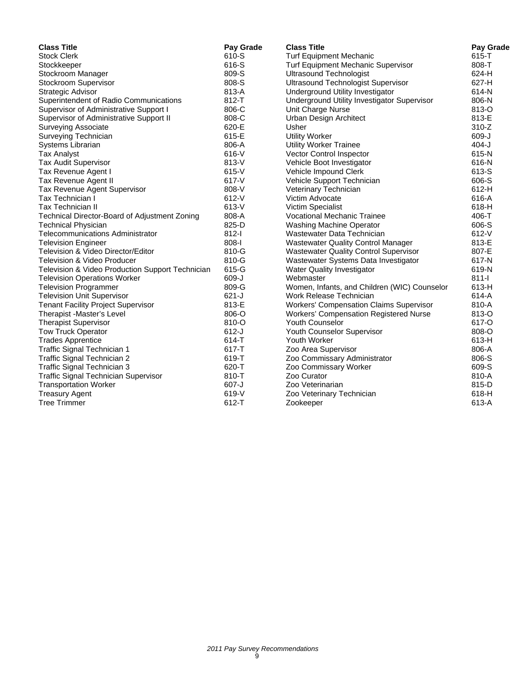| <b>Class Title</b>                               | Pay Grade | <b>Class Title</b>                             | Pay Grade |
|--------------------------------------------------|-----------|------------------------------------------------|-----------|
| <b>Stock Clerk</b>                               | 610-S     | <b>Turf Equipment Mechanic</b>                 | $615 - T$ |
| Stockkeeper                                      | 616-S     | Turf Equipment Mechanic Supervisor             | 808-T     |
| Stockroom Manager                                | 809-S     | <b>Ultrasound Technologist</b>                 | 624-H     |
| Stockroom Supervisor                             | 808-S     | <b>Ultrasound Technologist Supervisor</b>      | 627-H     |
| Strategic Advisor                                | 813-A     | Underground Utility Investigator               | 614-N     |
| Superintendent of Radio Communications           | $812 - T$ | Underground Utility Investigator Supervisor    | 806-N     |
| Supervisor of Administrative Support I           | 806-C     | Unit Charge Nurse                              | 813-O     |
| Supervisor of Administrative Support II          | 808-C     | Urban Design Architect                         | 813-E     |
| <b>Surveying Associate</b>                       | 620-E     | Usher                                          | $310-Z$   |
| Surveying Technician                             | 615-E     | <b>Utility Worker</b>                          | 609-J     |
| Systems Librarian                                | 806-A     | <b>Utility Worker Trainee</b>                  | $404-J$   |
| <b>Tax Analyst</b>                               | 616-V     | Vector Control Inspector                       | 615-N     |
| <b>Tax Audit Supervisor</b>                      | 813-V     | Vehicle Boot Investigator                      | 616-N     |
| Tax Revenue Agent I                              | $615-V$   | Vehicle Impound Clerk                          | 613-S     |
| Tax Revenue Agent II                             | $617 - V$ | Vehicle Support Technician                     | 606-S     |
| Tax Revenue Agent Supervisor                     | 808-V     | Veterinary Technician                          | $612-H$   |
| Tax Technician I                                 | 612-V     | Victim Advocate                                | 616-A     |
| <b>Tax Technician II</b>                         | 613-V     | Victim Specialist                              | 618-H     |
| Technical Director-Board of Adjustment Zoning    | 808-A     | <b>Vocational Mechanic Trainee</b>             | 406-T     |
| <b>Technical Physician</b>                       | 825-D     | Washing Machine Operator                       | 606-S     |
| <b>Telecommunications Administrator</b>          | $812 - 1$ | Wastewater Data Technician                     | $612-V$   |
| <b>Television Engineer</b>                       | 808-l     | <b>Wastewater Quality Control Manager</b>      | 813-E     |
| Television & Video Director/Editor               | 810-G     | <b>Wastewater Quality Control Supervisor</b>   | 807-E     |
| <b>Television &amp; Video Producer</b>           | 810-G     | Wastewater Systems Data Investigator           | 617-N     |
| Television & Video Production Support Technician | 615-G     | <b>Water Quality Investigator</b>              | 619-N     |
| <b>Television Operations Worker</b>              | 609-J     | Webmaster                                      | $811 -$   |
| <b>Television Programmer</b>                     | 809-G     | Women, Infants, and Children (WIC) Counselor   | 613-H     |
| <b>Television Unit Supervisor</b>                | $621 - J$ | Work Release Technician                        | 614-A     |
| <b>Tenant Facility Project Supervisor</b>        | 813-E     | <b>Workers' Compensation Claims Supervisor</b> | 810-A     |
| Therapist -Master's Level                        | 806-O     | <b>Workers' Compensation Registered Nurse</b>  | 813-O     |
| <b>Therapist Supervisor</b>                      | 810-O     | <b>Youth Counselor</b>                         | 617-O     |
| <b>Tow Truck Operator</b>                        | $612-J$   | Youth Counselor Supervisor                     | 808-O     |
| <b>Trades Apprentice</b>                         | $614 - T$ | Youth Worker                                   | 613-H     |
| Traffic Signal Technician 1                      | 617-T     | Zoo Area Supervisor                            | 806-A     |
| Traffic Signal Technician 2                      | 619-T     | Zoo Commissary Administrator                   | 806-S     |
| Traffic Signal Technician 3                      | 620-T     | Zoo Commissary Worker                          | 609-S     |
| <b>Traffic Signal Technician Supervisor</b>      | 810-T     | Zoo Curator                                    | 810-A     |
| <b>Transportation Worker</b>                     | $607 - J$ | Zoo Veterinarian                               | 815-D     |
| <b>Treasury Agent</b>                            | $619-V$   | Zoo Veterinary Technician                      | 618-H     |
| <b>Tree Trimmer</b>                              | 612-T     | Zookeeper                                      | 613-A     |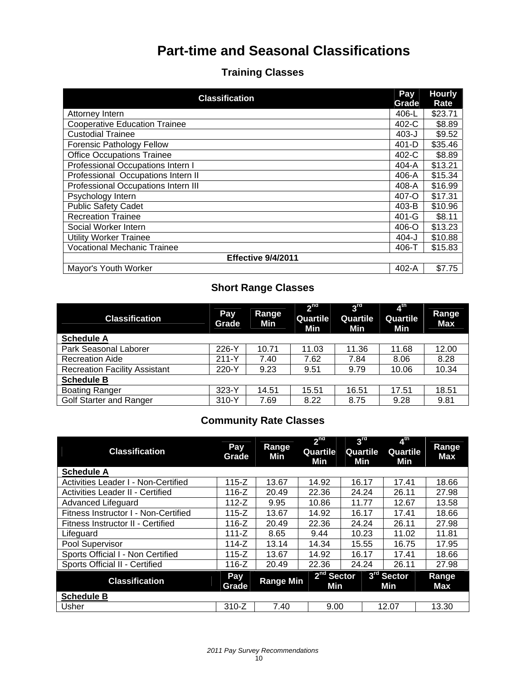# **Part-time and Seasonal Classifications**

# **Training Classes**

| <b>Classification</b>                | Pay<br>Grade | <b>Hourly</b><br>Rate |  |  |  |  |
|--------------------------------------|--------------|-----------------------|--|--|--|--|
| Attorney Intern                      | 406-L        | \$23.71               |  |  |  |  |
| <b>Cooperative Education Trainee</b> | 402-C        | \$8.89                |  |  |  |  |
| <b>Custodial Trainee</b>             | $403 - J$    | \$9.52                |  |  |  |  |
| <b>Forensic Pathology Fellow</b>     | $401-D$      | \$35.46               |  |  |  |  |
| <b>Office Occupations Trainee</b>    | 402-C        | \$8.89                |  |  |  |  |
| Professional Occupations Intern I    | $404-A$      | \$13.21               |  |  |  |  |
| Professional Occupations Intern II   | 406-A        | \$15.34               |  |  |  |  |
| Professional Occupations Intern III  | 408-A        | \$16.99               |  |  |  |  |
| Psychology Intern                    | 407-O        | \$17.31               |  |  |  |  |
| <b>Public Safety Cadet</b>           | 403-B        | \$10.96               |  |  |  |  |
| <b>Recreation Trainee</b>            | 401-G        | \$8.11                |  |  |  |  |
| Social Worker Intern                 | 406-O        | \$13.23               |  |  |  |  |
| <b>Utility Worker Trainee</b>        | 404-J        | \$10.88               |  |  |  |  |
| <b>Vocational Mechanic Trainee</b>   | 406-T        | \$15.83               |  |  |  |  |
| Effective 9/4/2011                   |              |                       |  |  |  |  |
| Mayor's Youth Worker                 | $402-A$      | \$7.75                |  |  |  |  |

# **Short Range Classes**

| <b>Classification</b>                | Pay<br>Grade | Range<br>Min | 2 <sup>nd</sup><br>Quartile<br>Min | 3 <sup>rd</sup><br>Quartile<br>Min | 4 <sup>th</sup><br>Quartile<br>Min | Range<br><b>Max</b> |
|--------------------------------------|--------------|--------------|------------------------------------|------------------------------------|------------------------------------|---------------------|
| <b>Schedule A</b>                    |              |              |                                    |                                    |                                    |                     |
| Park Seasonal Laborer                | 226-Y        | 10.71        | 11.03                              | 11.36                              | 11.68                              | 12.00               |
| <b>Recreation Aide</b>               | $211 - Y$    | 7.40         | 7.62                               | 7.84                               | 8.06                               | 8.28                |
| <b>Recreation Facility Assistant</b> | 220-Y        | 9.23         | 9.51                               | 9.79                               | 10.06                              | 10.34               |
| <b>Schedule B</b>                    |              |              |                                    |                                    |                                    |                     |
| <b>Boating Ranger</b>                | $323-Y$      | 14.51        | 15.51                              | 16.51                              | 17.51                              | 18.51               |
| <b>Golf Starter and Ranger</b>       | 310-Y        | 7.69         | 8.22                               | 8.75                               | 9.28                               | 9.81                |

# **Community Rate Classes**

| <b>Classification</b>                   | Pay<br>Grade | Range<br>Min     | 2 <sup>nd</sup><br>Quartile<br>Min | 3 <sup>rd</sup><br>Quartile<br>Min | $4^{\text{th}}$<br>Quartile<br>Min | Range<br>Max |
|-----------------------------------------|--------------|------------------|------------------------------------|------------------------------------|------------------------------------|--------------|
| <b>Schedule A</b>                       |              |                  |                                    |                                    |                                    |              |
| Activities Leader I - Non-Certified     | $115-Z$      | 13.67            | 14.92                              | 16.17                              | 17.41                              | 18.66        |
| <b>Activities Leader II - Certified</b> | 116-Z        | 20.49            | 22.36                              | 24.24                              | 26.11                              | 27.98        |
| Advanced Lifeguard                      | $112-Z$      | 9.95             | 10.86                              | 11.77                              | 12.67                              | 13.58        |
| Fitness Instructor I - Non-Certified    | $115 - Z$    | 13.67            | 14.92                              | 16.17                              | 17.41                              | 18.66        |
| Fitness Instructor II - Certified       | 116-Z        | 20.49            | 22.36                              | 24.24                              | 26.11                              | 27.98        |
| Lifeguard                               | $111 - Z$    | 8.65             | 9.44                               | 10.23                              | 11.02                              | 11.81        |
| Pool Supervisor                         | 114-Z        | 13.14            | 14.34                              | 15.55                              | 16.75                              | 17.95        |
| Sports Official I - Non Certified       | $115 - Z$    | 13.67            | 14.92                              | 16.17                              | 17.41                              | 18.66        |
| Sports Official II - Certified          | 116-Z        | 20.49            | 22.36                              | 24.24                              | 26.11                              | 27.98        |
| <b>Classification</b>                   | Pay<br>Grade | <b>Range Min</b> | 2 <sup>nd</sup> Sector<br>Min      |                                    | 3 <sup>rd</sup> Sector<br>Min      | Range<br>Max |
| <b>Schedule B</b>                       |              |                  |                                    |                                    |                                    |              |
| Usher                                   | $310-Z$      | 7.40             | 9.00                               |                                    | 12.07                              | 13.30        |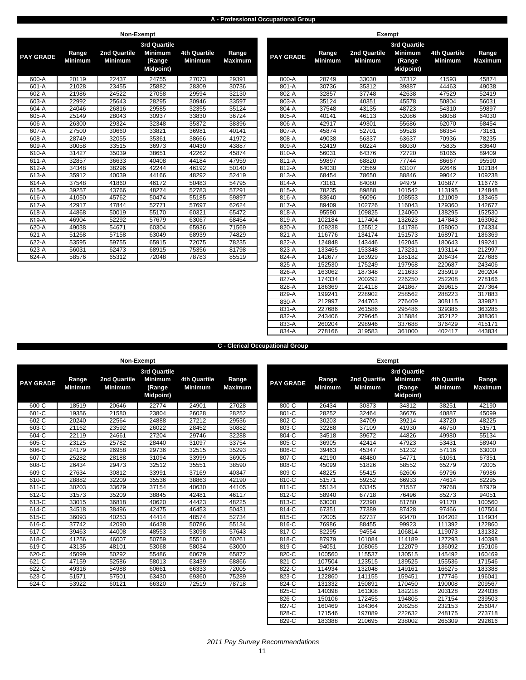### **A - Professional Occupational Group**

|                  |                         | Non-Exempt                     |                                                                     |                                       |                         |                  |                         |                                | <b>Exempt</b>             |
|------------------|-------------------------|--------------------------------|---------------------------------------------------------------------|---------------------------------------|-------------------------|------------------|-------------------------|--------------------------------|---------------------------|
| <b>PAY GRADE</b> | Range<br><b>Minimum</b> | 2nd Quartile<br><b>Minimum</b> | <b>3rd Quartile</b><br><b>Minimum</b><br>(Range<br><b>Midpoint)</b> | <b>4th Quartile</b><br><b>Minimum</b> | Range<br><b>Maximum</b> | <b>PAY GRADE</b> | Range<br><b>Minimum</b> | 2nd Quartile<br><b>Minimum</b> | 3r <sub>c</sub><br>M<br>м |
| 600-A            | 20119                   | 22437                          | 24755                                                               | 27073                                 | 29391                   | 800-A            | 28749                   | 33030                          |                           |
| 601-A            | 21028                   | 23455                          | 25882                                                               | 28309                                 | 30736                   | 801-A            | 30736                   | 35312                          |                           |
| 602-A            | 21986                   | 24522                          | 27058                                                               | 29594                                 | 32130                   | 802-A            | 32857                   | 37748                          |                           |
| 603-A            | 22992                   | 25643                          | 28295                                                               | 30946                                 | 33597                   | 803-A            | 35124                   | 40351                          |                           |
| 604-A            | 24046                   | 26816                          | 29585                                                               | 32355                                 | 35124                   | 804-A            | 37548                   | 43135                          |                           |
| 605-A            | 25149                   | 28043                          | 30937                                                               | 33830                                 | 36724                   | 805-A            | 40141                   | 46113                          |                           |
| 606-A            | 26300                   | 29324                          | 32348                                                               | 35372                                 | 38396                   | 806-A            | 42917                   | 49301                          |                           |
| 607-A            | 27500                   | 30660                          | 33821                                                               | 36981                                 | 40141                   | 807-A            | 45874                   | 52701                          |                           |
| 608-A            | 28749                   | 32055                          | 35361                                                               | 38666                                 | 41972                   | 808-A            | 49038                   | 56337                          |                           |
| 609-A            | 30058                   | 33515                          | 36973                                                               | 40430                                 | 43887                   | 809-A            | 52419                   | 60224                          |                           |
| 610-A            | 31427                   | 35039                          | 38651                                                               | 42262                                 | 45874                   | 810-A            | 56031                   | 64376                          |                           |
| 611-A            | 32857                   | 36633                          | 40408                                                               | 44184                                 | 47959                   | 811-A            | 59897                   | 68820                          |                           |
| 612-A            | 34348                   | 38296                          | 42244                                                               | 46192                                 | 50140                   | 812-A            | 64030                   | 73569                          |                           |
| 613-A            | 35912                   | 40039                          | 44166                                                               | 48292                                 | 52419                   | 813-A            | 68454                   | 78650                          |                           |
| 614-A            | 37548                   | 41860                          | 46172                                                               | 50483                                 | 54795                   | 814-A            | 73181                   | 84080                          |                           |
| 615-A            | 39257                   | 43766                          | 48274                                                               | 52783                                 | 57291                   | 815-A            | 78235                   | 89888                          |                           |
| 616-A            | 41050                   | 45762                          | 50474                                                               | 55185                                 | 59897                   | 816-A            | 83640                   | 96096                          |                           |
| 617-A            | 42917                   | 47844                          | 52771                                                               | 57697                                 | 62624                   | 817-A            | 89409                   | 102726                         |                           |
| 618-A            | 44868                   | 50019                          | 55170                                                               | 60321                                 | 65472                   | 818-A            | 95590                   | 109825                         |                           |
| 619-A            | 46904                   | 52292                          | 57679                                                               | 63067                                 | 68454                   | 819-A            | 102184                  | 117404                         |                           |
| 620-A            | 49038                   | 54671                          | 60304                                                               | 65936                                 | 71569                   | 820-A            | 109238                  | 125512                         |                           |
| 621-A            | 51268                   | 57158                          | 63049                                                               | 68939                                 | 74829                   | 821-A            | 116776                  | 134174                         |                           |
| 622-A            | 53595                   | 59755                          | 65915                                                               | 72075                                 | 78235                   | 822-A            | 124848                  | 143446                         |                           |
| 623-A            | 56031                   | 62473                          | 68915                                                               | 75356                                 | 81798                   | 823-A            | 133465                  | 153348                         |                           |
| 624-A            | 58576                   | 65312                          | 72048                                                               | 78783                                 | 85519                   | 824-A            | 142677                  | 163929                         |                           |
|                  |                         |                                |                                                                     |                                       |                         |                  |                         |                                |                           |

|         |                | <b>INDIL-LYCILIDI</b> |                                |                     |                |                  |                | <b>LYCIII</b> NI |                                |                     |                |
|---------|----------------|-----------------------|--------------------------------|---------------------|----------------|------------------|----------------|------------------|--------------------------------|---------------------|----------------|
| Y GRADE | Range          | 2nd Quartile          | 3rd Quartile<br><b>Minimum</b> | <b>4th Quartile</b> | Range          | <b>PAY GRADE</b> | Range          | 2nd Quartile     | 3rd Quartile<br><b>Minimum</b> | <b>4th Quartile</b> | Range          |
|         | <b>Minimum</b> | <b>Minimum</b>        | (Range<br><b>Midpoint)</b>     | <b>Minimum</b>      | <b>Maximum</b> |                  | <b>Minimum</b> | <b>Minimum</b>   | (Range<br><b>Midpoint</b> )    | <b>Minimum</b>      | <b>Maximum</b> |
| 600-A   | 20119          | 22437                 | 24755                          | 27073               | 29391          | 800-A            | 28749          | 33030            | 37312                          | 41593               | 45874          |
| 601-A   | 21028          | 23455                 | 25882                          | 28309               | 30736          | 801-A            | 30736          | 35312            | 39887                          | 44463               | 49038          |
| 602-A   | 21986          | 24522                 | 27058                          | 29594               | 32130          | 802-A            | 32857          | 37748            | 42638                          | 47529               | 52419          |
| 603-A   | 22992          | 25643                 | 28295                          | 30946               | 33597          | 803-A            | 35124          | 40351            | 45578                          | 50804               | 56031          |
| 604-A   | 24046          | 26816                 | 29585                          | 32355               | 35124          | 804-A            | 37548          | 43135            | 48723                          | 54310               | 59897          |
| $605-A$ | 25149          | 28043                 | 30937                          | 33830               | 36724          | 805-A            | 40141          | 46113            | 52086                          | 58058               | 64030          |
| $606-A$ | 26300          | 29324                 | 32348                          | 35372               | 38396          | 806-A            | 42917          | 49301            | 55686                          | 62070               | 68454          |
| 607-A   | 27500          | 30660                 | 33821                          | 36981               | 40141          | 807-A            | 45874          | 52701            | 59528                          | 66354               | 73181          |
| 608-A   | 28749          | 32055                 | 35361                          | 38666               | 41972          | 808-A            | 49038          | 56337            | 63637                          | 70936               | 78235          |
| 609-A   | 30058          | 33515                 | 36973                          | 40430               | 43887          | 809-A            | 52419          | 60224            | 68030                          | 75835               | 83640          |
| 610-A   | 31427          | 35039                 | 38651                          | 42262               | 45874          | 810-A            | 56031          | 64376            | 72720                          | 81065               | 89409          |
| 611-A   | 32857          | 36633                 | 40408                          | 44184               | 47959          | 811-A            | 59897          | 68820            | 77744                          | 86667               | 95590          |
| $612-A$ | 34348          | 38296                 | 42244                          | 46192               | 50140          | 812-A            | 64030          | 73569            | 83107                          | 92646               | 102184         |
| 613-A   | 35912          | 40039                 | 44166                          | 48292               | 52419          | 813-A            | 68454          | 78650            | 88846                          | 99042               | 109238         |
| $614-A$ | 37548          | 41860                 | 46172                          | 50483               | 54795          | 814-A            | 73181          | 84080            | 94979                          | 105877              | 116776         |
| 615-A   | 39257          | 43766                 | 48274                          | 52783               | 57291          | $815-A$          | 78235          | 89888            | 101542                         | 113195              | 124848         |
| 616-A   | 41050          | 45762                 | 50474                          | 55185               | 59897          | 816-A            | 83640          | 96096            | 108553                         | 121009              | 133465         |
| $617-A$ | 42917          | 47844                 | 52771                          | 57697               | 62624          | 817-A            | 89409          | 102726           | 116043                         | 129360              | 142677         |
| $618-A$ | 44868          | 50019                 | 55170                          | 60321               | 65472          | 818-A            | 95590          | 109825           | 124060                         | 138295              | 152530         |
| $619-A$ | 46904          | 52292                 | 57679                          | 63067               | 68454          | $819-A$          | 102184         | 117404           | 132623                         | 147843              | 163062         |
| $620-A$ | 49038          | 54671                 | 60304                          | 65936               | 71569          | 820-A            | 109238         | 125512           | 141786                         | 158060              | 174334         |
| 621-A   | 51268          | 57158                 | 63049                          | 68939               | 74829          | 821-A            | 116776         | 134174           | 151573                         | 168971              | 186369         |
| 622-A   | 53595          | 59755                 | 65915                          | 72075               | 78235          | 822-A            | 124848         | 143446           | 162045                         | 180643              | 199241         |
| $623-A$ | 56031          | 62473                 | 68915                          | 75356               | 81798          | 823-A            | 133465         | 153348           | 173231                         | 193114              | 212997         |
| 624-A   | 58576          | 65312                 | 72048                          | 78783               | 85519          | 824-A            | 142677         | 163929           | 185182                         | 206434              | 227686         |
|         |                |                       |                                |                     |                | 825-A            | 152530         | 175249           | 197968                         | 220687              | 243406         |
|         |                |                       |                                |                     |                | 826-A            | 163062         | 187348           | 211633                         | 235919              | 260204         |
|         |                |                       |                                |                     |                | 827-A            | 174334         | 200292           | 226250                         | 252208              | 278166         |
|         |                |                       |                                |                     |                | 828-A            | 186369         | 214118           | 241867                         | 269615              | 297364         |
|         |                |                       |                                |                     |                | 829-A            | 199241         | 228902           | 258562                         | 288223              | 317883         |
|         |                |                       |                                |                     |                | 830-A            | 212997         | 244703           | 276409                         | 308115              | 339821         |
|         |                |                       |                                |                     |                | 831-A            | 227686         | 261586           | 295486                         | 329385              | 363285         |
|         |                |                       |                                |                     |                | 832-A            | 243406         | 279645           | 315884                         | 352122              | 388361         |
|         |                |                       |                                |                     |                | 833-A            | 260204         | 298946           | 337688                         | 376429              | 415171         |
|         |                |                       |                                |                     |                | 834-A            | 278166         | 319583           | 361000                         | 402417              | 443834         |

**C - Clerical Occupational Group**

|                  |                         | Non-Exempt                     |                                                              |                                       |                         |                  |                         |                                | <b>Exempt</b>             |
|------------------|-------------------------|--------------------------------|--------------------------------------------------------------|---------------------------------------|-------------------------|------------------|-------------------------|--------------------------------|---------------------------|
| <b>PAY GRADE</b> | Range<br><b>Minimum</b> | 2nd Quartile<br><b>Minimum</b> | <b>3rd Quartile</b><br><b>Minimum</b><br>(Range<br>Midpoint) | <b>4th Quartile</b><br><b>Minimum</b> | Range<br><b>Maximum</b> | <b>PAY GRADE</b> | Range<br><b>Minimum</b> | 2nd Quartile<br><b>Minimum</b> | 3r <sub>c</sub><br>M<br>M |
| 600-C            | 18519                   | 20646                          | 22774                                                        | 24901                                 | 27028                   | 800-C            | 26434                   | 30373                          |                           |
| 601-C            | 19356                   | 21580                          | 23804                                                        | 26028                                 | 28252                   | 801-C            | 28252                   | 32464                          |                           |
| $602-C$          | 20240                   | 22564                          | 24888                                                        | 27212                                 | 29536                   | 802-C            | 30203                   | 34709                          |                           |
| 603-C            | 21162                   | 23592                          | 26022                                                        | 28452                                 | 30882                   | 803-C            | 32288                   | 37109                          |                           |
| 604-C            | 22119                   | 24661                          | 27204                                                        | 29746                                 | 32288                   | 804-C            | 34518                   | 39672                          |                           |
| 605-C            | 23125                   | 25782                          | 28440                                                        | 31097                                 | 33754                   | 805-C            | 36905                   | 42414                          |                           |
| 606-C            | 24179                   | 26958                          | 29736                                                        | 32515                                 | 35293                   | 806-C            | 39463                   | 45347                          |                           |
| $607-C$          | 25282                   | 28188                          | 31094                                                        | 33999                                 | 36905                   | 807-C            | 42190                   | 48480                          |                           |
| 608-C            | 26434                   | 29473                          | 32512                                                        | 35551                                 | 38590                   | 808-C            | 45099                   | 51826                          |                           |
| 609-C            | 27634                   | 30812                          | 33991                                                        | 37169                                 | 40347                   | 809-C            | 48225                   | 55415                          |                           |
| 610-C            | 28882                   | 32209                          | 35536                                                        | 38863                                 | 42190                   | 810-C            | 51571                   | 59252                          |                           |
| 611-C            | 30203                   | 33679                          | 37154                                                        | 40630                                 | 44105                   | 811-C            | 55134                   | 63345                          |                           |
| 612-C            | 31573                   | 35209                          | 38845                                                        | 42481                                 | 46117                   | 812-C            | 58940                   | 67718                          |                           |
| 613-C            | 33015                   | 36818                          | 40620                                                        | 44423                                 | 48225                   | 813-C            | 63000                   | 72390                          |                           |
| 614-C            | 34518                   | 38496                          | 42475                                                        | 46453                                 | 50431                   | 814-C            | 67351                   | 77389                          |                           |
| 615-C            | 36093                   | 40253                          | 44414                                                        | 48574                                 | 52734                   | 815-C            | 72005                   | 82737                          |                           |
| 616-C            | 37742                   | 42090                          | 46438                                                        | 50786                                 | 55134                   | 816-C            | 76986                   | 88455                          |                           |
| 617-C            | 39463                   | 44008                          | 48553                                                        | 53098                                 | 57643                   | 817-C            | 82295                   | 94554                          |                           |
| 618-C            | 41256                   | 46007                          | 50759                                                        | 55510                                 | 60261                   | 818-C            | 87979                   | 101084                         |                           |
| 619-C            | 43135                   | 48101                          | 53068                                                        | 58034                                 | 63000                   | 819-C            | 94051                   | 108065                         |                           |
| 620-C            | 45099                   | 50292                          | 55486                                                        | 60679                                 | 65872                   | 820-C            | 100560                  | 115537                         |                           |
| 621-C            | 47159                   | 52586                          | 58013                                                        | 63439                                 | 68866                   | 821-C            | 107504                  | 123515                         |                           |
| 622-C            | 49316                   | 54988                          | 60661                                                        | 66333                                 | 72005                   | 822-C            | 114934                  | 132048                         |                           |
| 623-C            | 51571                   | 57501                          | 63430                                                        | 69360                                 | 75289                   | 823-C            | 122860                  | 141155                         |                           |
| 624-C            | 53922                   | 60121                          | 66320                                                        | 72519                                 | 78718                   | 824-C            | 131332                  | 150891                         |                           |
|                  |                         |                                |                                                              |                                       |                         | $825-C$          | 140398                  | 161308                         |                           |

|           | Non-Exempt              |                                |                                                              |                                       |                         |                  |                         | Exempt                         |                                                                     |                                |                         |
|-----------|-------------------------|--------------------------------|--------------------------------------------------------------|---------------------------------------|-------------------------|------------------|-------------------------|--------------------------------|---------------------------------------------------------------------|--------------------------------|-------------------------|
| Y GRADE   | Range<br><b>Minimum</b> | 2nd Quartile<br><b>Minimum</b> | 3rd Quartile<br><b>Minimum</b><br>(Range<br><b>Midpoint)</b> | <b>4th Quartile</b><br><b>Minimum</b> | Range<br><b>Maximum</b> | <b>PAY GRADE</b> | Range<br><b>Minimum</b> | 2nd Quartile<br><b>Minimum</b> | <b>3rd Quartile</b><br><b>Minimum</b><br>(Range<br><b>Midpoint)</b> | 4th Quartile<br><b>Minimum</b> | Range<br><b>Maximum</b> |
| 600-C     | 18519                   | 20646                          | 22774                                                        | 24901                                 | 27028                   | 800-C            | 26434                   | 30373                          | 34312                                                               | 38251                          | 42190                   |
| 601-C     | 19356                   | 21580                          | 23804                                                        | 26028                                 | 28252                   | 801-C            | 28252                   | 32464                          | 36676                                                               | 40887                          | 45099                   |
| 602-C     | 20240                   | 22564                          | 24888                                                        | 27212                                 | 29536                   | 802-C            | 30203                   | 34709                          | 39214                                                               | 43720                          | 48225                   |
| $603-C$   | 21162                   | 23592                          | 26022                                                        | 28452                                 | 30882                   | 803-C            | 32288                   | 37109                          | 41930                                                               | 46750                          | 51571                   |
| 604-C     | 22119                   | 24661                          | 27204                                                        | 29746                                 | 32288                   | 804-C            | 34518                   | 39672                          | 44826                                                               | 49980                          | 55134                   |
| $605-C$   | 23125                   | 25782                          | 28440                                                        | 31097                                 | 33754                   | 805-C            | 36905                   | 42414                          | 47923                                                               | 53431                          | 58940                   |
| $606-C$   | 24179                   | 26958                          | 29736                                                        | 32515                                 | 35293                   | 806-C            | 39463                   | 45347                          | 51232                                                               | 57116                          | 63000                   |
| $607-C$   | 25282                   | 28188                          | 31094                                                        | 33999                                 | 36905                   | 807-C            | 42190                   | 48480                          | 54771                                                               | 61061                          | 67351                   |
| $608-C$   | 26434                   | 29473                          | 32512                                                        | 35551                                 | 38590                   | 808-C            | 45099                   | 51826                          | 58552                                                               | 65279                          | 72005                   |
| $609-C$   | 27634                   | 30812                          | 33991                                                        | 37169                                 | 40347                   | 809-C            | 48225                   | 55415                          | 62606                                                               | 69796                          | 76986                   |
| $610 - C$ | 28882                   | 32209                          | 35536                                                        | 38863                                 | 42190                   | 810-C            | 51571                   | 59252                          | 66933                                                               | 74614                          | 82295                   |
| $611-C$   | 30203                   | 33679                          | 37154                                                        | 40630                                 | 44105                   | $811-C$          | 55134                   | 63345                          | 71557                                                               | 79768                          | 87979                   |
| 612-C     | 31573                   | 35209                          | 38845                                                        | 42481                                 | 46117                   | 812-C            | 58940                   | 67718                          | 76496                                                               | 85273                          | 94051                   |
| $613-C$   | 33015                   | 36818                          | 40620                                                        | 44423                                 | 48225                   | 813-C            | 63000                   | 72390                          | 81780                                                               | 91170                          | 100560                  |
| $614-C$   | 34518                   | 38496                          | 42475                                                        | 46453                                 | 50431                   | 814-C            | 67351                   | 77389                          | 87428                                                               | 97466                          | 107504                  |
| $615-C$   | 36093                   | 40253                          | 44414                                                        | 48574                                 | 52734                   | $815-C$          | 72005                   | 82737                          | 93470                                                               | 104202                         | 114934                  |
| 616-C     | 37742                   | 42090                          | 46438                                                        | 50786                                 | 55134                   | 816-C            | 76986                   | 88455                          | 99923                                                               | 111392                         | 122860                  |
| 617-C     | 39463                   | 44008                          | 48553                                                        | 53098                                 | 57643                   | 817-C            | 82295                   | 94554                          | 106814                                                              | 119073                         | 131332                  |
| 618-C     | 41256                   | 46007                          | 50759                                                        | 55510                                 | 60261                   | 818-C            | 87979                   | 101084                         | 114189                                                              | 127293                         | 140398                  |
| $619-C$   | 43135                   | 48101                          | 53068                                                        | 58034                                 | 63000                   | 819-C            | 94051                   | 108065                         | 122079                                                              | 136092                         | 150106                  |
| $620 - C$ | 45099                   | 50292                          | 55486                                                        | 60679                                 | 65872                   | 820-C            | 100560                  | 115537                         | 130515                                                              | 145492                         | 160469                  |
| $621-C$   | 47159                   | 52586                          | 58013                                                        | 63439                                 | 68866                   | 821-C            | 107504                  | 123515                         | 139525                                                              | 155536                         | 171546                  |
| $622-C$   | 49316                   | 54988                          | 60661                                                        | 66333                                 | 72005                   | 822-C            | 114934                  | 132048                         | 149161                                                              | 166275                         | 183388                  |
| $623-C$   | 51571                   | 57501                          | 63430                                                        | 69360                                 | 75289                   | 823-C            | 122860                  | 141155                         | 159451                                                              | 177746                         | 196041                  |
| $624-C$   | 53922                   | 60121                          | 66320                                                        | 72519                                 | 78718                   | 824-C            | 131332                  | 150891                         | 170450                                                              | 190008                         | 209567                  |
|           |                         |                                |                                                              |                                       |                         | 825-C            | 140398                  | 161308                         | 182218                                                              | 203128                         | 224038                  |
|           |                         |                                |                                                              |                                       |                         | 826-C            | 150106                  | 172455                         | 194805                                                              | 217154                         | 239503                  |
|           |                         |                                |                                                              |                                       |                         | 827-C            | 160469                  | 184364                         | 208258                                                              | 232153                         | 256047                  |
|           |                         |                                |                                                              |                                       |                         | 828-C            | 171546                  | 197089                         | 222632                                                              | 248175                         | 273718                  |
|           |                         |                                |                                                              |                                       |                         | 829-C            | 183388                  | 210695                         | 238002                                                              | 265309                         | 292616                  |

 *2011 Pay Survey Recommendations*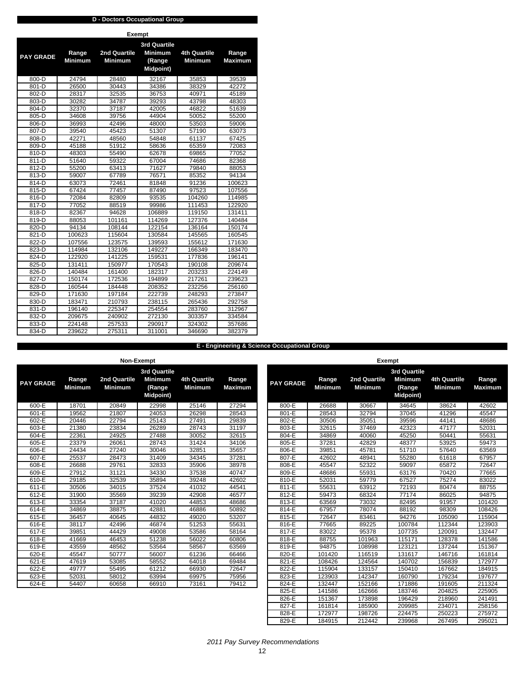|                  | <b>D</b> - Doctors Occupational Group |                     |           |              |                |  |  |  |  |  |  |  |  |  |
|------------------|---------------------------------------|---------------------|-----------|--------------|----------------|--|--|--|--|--|--|--|--|--|
|                  | <b>Exempt</b><br>3rd Quartile         |                     |           |              |                |  |  |  |  |  |  |  |  |  |
|                  |                                       |                     |           |              |                |  |  |  |  |  |  |  |  |  |
|                  | Range                                 | <b>2nd Quartile</b> | Minimum   | 4th Quartile | Range          |  |  |  |  |  |  |  |  |  |
| <b>PAY GRADE</b> | <b>Minimum</b>                        | <b>Minimum</b>      | (Range    | Minimum      | <b>Maximum</b> |  |  |  |  |  |  |  |  |  |
|                  |                                       |                     | Midpoint) |              |                |  |  |  |  |  |  |  |  |  |
| $800 - D$        | 24794                                 | 28480               | 32167     | 35853        | 39539          |  |  |  |  |  |  |  |  |  |
| 801-D            | 26500                                 | 30443               | 34386     | 38329        | 42272          |  |  |  |  |  |  |  |  |  |
| 802-D            | 28317                                 | 32535               | 36753     | 40971        | 45189          |  |  |  |  |  |  |  |  |  |
| 803-D            | 30282                                 | 34787               | 39293     | 43798        | 48303          |  |  |  |  |  |  |  |  |  |
| 804-D            | 32370                                 | 37187               | 42005     | 46822        | 51639          |  |  |  |  |  |  |  |  |  |
| 805-D            | 34608                                 | 39756               | 44904     | 50052        | 55200          |  |  |  |  |  |  |  |  |  |
| 806-D            | 36993                                 | 42496               | 48000     | 53503        | 59006          |  |  |  |  |  |  |  |  |  |
| 807-D            | 39540                                 | 45423               | 51307     | 57190        | 63073          |  |  |  |  |  |  |  |  |  |
| 808-D            | 42271                                 | 48560               | 54848     | 61137        | 67425          |  |  |  |  |  |  |  |  |  |
| 809-D            | 45188                                 | 51912               | 58636     | 65359        | 72083          |  |  |  |  |  |  |  |  |  |
| 810-D            | 48303                                 | 55490               | 62678     | 69865        | 77052          |  |  |  |  |  |  |  |  |  |
| 811-D            | 51640                                 | 59322               | 67004     | 74686        | 82368          |  |  |  |  |  |  |  |  |  |
| 812-D            | 55200                                 | 63413               | 71627     | 79840        | 88053          |  |  |  |  |  |  |  |  |  |
| 813-D            | 59007                                 | 67789               | 76571     | 85352        | 94134          |  |  |  |  |  |  |  |  |  |
| 814-D            | 63073                                 | 72461               | 81848     | 91236        | 100623         |  |  |  |  |  |  |  |  |  |
| 815-D            | 67424                                 | 77457               | 87490     | 97523        | 107556         |  |  |  |  |  |  |  |  |  |
| 816-D            | 72084                                 | 82809               | 93535     | 104260       | 114985         |  |  |  |  |  |  |  |  |  |
| 817-D            | 77052                                 | 88519               | 99986     | 111453       | 122920         |  |  |  |  |  |  |  |  |  |
| 818-D            | 82367                                 | 94628               | 106889    | 119150       | 131411         |  |  |  |  |  |  |  |  |  |
| 819-D            | 88053                                 | 101161              | 114269    | 127376       | 140484         |  |  |  |  |  |  |  |  |  |
| 820-D            | 94134                                 | 108144              | 122154    | 136164       | 150174         |  |  |  |  |  |  |  |  |  |
| 821-D            | 100623                                | 115604              | 130584    | 145565       | 160545         |  |  |  |  |  |  |  |  |  |
| 822-D            | 107556                                | 123575              | 139593    | 155612       | 171630         |  |  |  |  |  |  |  |  |  |
| 823-D            | 114984                                | 132106              | 149227    | 166349       | 183470         |  |  |  |  |  |  |  |  |  |
| 824-D            | 122920                                | 141225              | 159531    | 177836       | 196141         |  |  |  |  |  |  |  |  |  |
| 825-D            | 131411                                | 150977              | 170543    | 190108       | 209674         |  |  |  |  |  |  |  |  |  |
| 826-D            | 140484                                | 161400              | 182317    | 203233       | 224149         |  |  |  |  |  |  |  |  |  |
| 827-D            | 150174                                | 172536              | 194899    | 217261       | 239623         |  |  |  |  |  |  |  |  |  |
| 828-D            | 160544                                | 184448              | 208352    | 232256       | 256160         |  |  |  |  |  |  |  |  |  |
| 829-D            | 171630                                | 197184              | 222739    | 248293       | 273847         |  |  |  |  |  |  |  |  |  |
| 830-D            | 183471                                | 210793              | 238115    | 265436       | 292758         |  |  |  |  |  |  |  |  |  |
| 831-D            | 196140                                | 225347              | 254554    | 283760       | 312967         |  |  |  |  |  |  |  |  |  |
| 832-D            | 209675                                | 240902              | 272130    | 303357       | 334584         |  |  |  |  |  |  |  |  |  |
| 833-D            | 224148                                | 257533              | 290917    | 324302       | 357686         |  |  |  |  |  |  |  |  |  |
| 834-D            | 239622                                | 275311              | 311001    | 346690       | 382379         |  |  |  |  |  |  |  |  |  |

### **E - Engineering & Science Occupational Group**

**Range Maximum**

|                  |                         | Non-Exempt                     |                                                              |                                |                         |                  |                         | <b>Exempt</b>                  |                                                                     |                                       |                         |
|------------------|-------------------------|--------------------------------|--------------------------------------------------------------|--------------------------------|-------------------------|------------------|-------------------------|--------------------------------|---------------------------------------------------------------------|---------------------------------------|-------------------------|
| <b>PAY GRADE</b> | Range<br><b>Minimum</b> | 2nd Quartile<br><b>Minimum</b> | 3rd Quartile<br><b>Minimum</b><br>(Range<br><b>Midpoint)</b> | 4th Quartile<br><b>Minimum</b> | Range<br><b>Maximum</b> | <b>PAY GRADE</b> | Range<br><b>Minimum</b> | 2nd Quartile<br><b>Minimum</b> | <b>3rd Quartile</b><br><b>Minimum</b><br>(Range<br><b>Midpoint)</b> | <b>4th Quartile</b><br><b>Minimum</b> | Range<br><b>Maximun</b> |
| $600-E$          | 18701                   | 20849                          | 22998                                                        | 25146                          | 27294                   | 800-E            | 26688                   | 30667                          | 34645                                                               | 38624                                 | 42602                   |
| 601-E            | 19562                   | 21807                          | 24053                                                        | 26298                          | 28543                   | 801-E            | 28543                   | 32794                          | 37045                                                               | 41296                                 | 45547                   |
| 602-E            | 20446                   | 22794                          | 25143                                                        | 27491                          | 29839                   | 802-E            | 30506                   | 35051                          | 39596                                                               | 44141                                 | 48686                   |
| 603-E            | 21380                   | 23834                          | 26289                                                        | 28743                          | 31197                   | 803-E            | 32615                   | 37469                          | 42323                                                               | 47177                                 | 52031                   |
| $604-E$          | 22361                   | 24925                          | 27488                                                        | 30052                          | 32615                   | 804-E            | 34869                   | 40060                          | 45250                                                               | 50441                                 | 55631                   |
| 605-E            | 23379                   | 26061                          | 28743                                                        | 31424                          | 34106                   | 805-E            | 37281                   | 42829                          | 48377                                                               | 53925                                 | 59473                   |
| 606-E            | 24434                   | 27240                          | 30046                                                        | 32851                          | 35657                   | 806-E            | 39851                   | 45781                          | 51710                                                               | 57640                                 | 63569                   |
| 607-E            | 25537                   | 28473                          | 31409                                                        | 34345                          | 37281                   | 807-E            | 42602                   | 48941                          | 55280                                                               | 61618                                 | 67957                   |
| 608-E            | 26688                   | 29761                          | 32833                                                        | 35906                          | 38978                   | 808-E            | 45547                   | 52322                          | 59097                                                               | 65872                                 | 72647                   |
| 609-E            | 27912                   | 31121                          | 34330                                                        | 37538                          | 40747                   | 809-E            | 48686                   | 55931                          | 63176                                                               | 70420                                 | 77665                   |
| $610-E$          | 29185                   | 32539                          | 35894                                                        | 39248                          | 42602                   | 810-E            | 52031                   | 59779                          | 67527                                                               | 75274                                 | 83022                   |
| $611-E$          | 30506                   | 34015                          | 37524                                                        | 41032                          | 44541                   | $811-E$          | 55631                   | 63912                          | 72193                                                               | 80474                                 | 88755                   |
| $612-E$          | 31900                   | 35569                          | 39239                                                        | 42908                          | 46577                   | 812-E            | 59473                   | 68324                          | 77174                                                               | 86025                                 | 94875                   |
| 613-E            | 33354                   | 37187                          | 41020                                                        | 44853                          | 48686                   | 813-E            | 63569                   | 73032                          | 82495                                                               | 91957                                 | 101420                  |
| $614-E$          | 34869                   | 38875                          | 42881                                                        | 46886                          | 50892                   | $814-E$          | 67957                   | 78074                          | 88192                                                               | 98309                                 | 108426                  |
| 615-E            | 36457                   | 40645                          | 44832                                                        | 49020                          | 53207                   | 815-E            | 72647                   | 83461                          | 94276                                                               | 105090                                | 115904                  |
| 616-E            | 38117                   | 42496                          | 46874                                                        | 51253                          | 55631                   | 816-E            | 77665                   | 89225                          | 100784                                                              | 112344                                | 123903                  |
| 617-E            | 39851                   | 44429                          | 49008                                                        | 53586                          | 58164                   | 817-E            | 83022                   | 95378                          | 107735                                                              | 120091                                | 132447                  |
| 618-E            | 41669                   | 46453                          | 51238                                                        | 56022                          | 60806                   | 818-E            | 88755                   | 101963                         | 115171                                                              | 128378                                | 141586                  |
| 619-E            | 43559                   | 48562                          | 53564                                                        | 58567                          | 63569                   | 819-E            | 94875                   | 108998                         | 123121                                                              | 137244                                | 151367                  |
| $620-E$          | 45547                   | 50777                          | 56007                                                        | 61236                          | 66466                   | 820-E            | 101420                  | 116519                         | 131617                                                              | 146716                                | 161814                  |
| 621-E            | 47619                   | 53085                          | 58552                                                        | 64018                          | 69484                   | 821-E            | 108426                  | 124564                         | 140702                                                              | 156839                                | 172977                  |
| $622-E$          | 49777                   | 55495                          | 61212                                                        | 66930                          | 72647                   | 822-E            | 115904                  | 133157                         | 150410                                                              | 167662                                | 184915                  |
| 623-E            | 52031                   | 58012                          | 63994                                                        | 69975                          | 75956                   | 823-E            | 123903                  | 142347                         | 160790                                                              | 179234                                | 197677                  |
| 624-E            | 54407                   | 60658                          | 66910                                                        | 73161                          | 79412                   | 824-E            | 132447                  | 152166                         | 171886                                                              | 191605                                | 211324                  |
|                  |                         |                                |                                                              |                                |                         | 825-E            | 141586                  | 162666                         | 183746                                                              | 204825                                | 225905                  |
|                  |                         |                                |                                                              |                                |                         | 826-E            | 151367                  | 173898                         | 196429                                                              | 218960                                | 241491                  |
|                  |                         |                                |                                                              |                                |                         | 827-E            | 161814                  | 185900                         | 209985                                                              | 234071                                | 258156                  |

 *2011 Pay Survey Recommendations*

827-E 161814 185900 209985 234071 258156 828-E 172977 198726 224475 250223 275972 829-E | 184915 | 212442 | 239968 | 267495 | 295021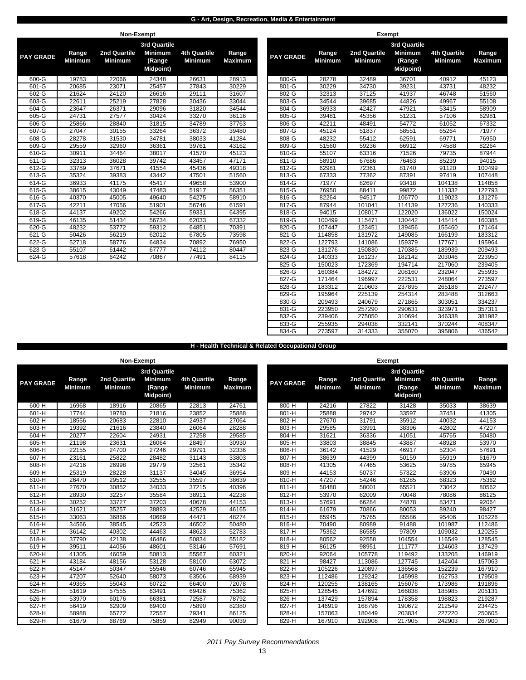### **G - Art, Design, Recreation, Media & Entertainment**

|                  |                         | Non-Exempt                     |                                                              |                                       |                         |                  |                         | <b>Exempt</b>                  |               |
|------------------|-------------------------|--------------------------------|--------------------------------------------------------------|---------------------------------------|-------------------------|------------------|-------------------------|--------------------------------|---------------|
| <b>PAY GRADE</b> | Range<br><b>Minimum</b> | 2nd Quartile<br><b>Minimum</b> | 3rd Quartile<br><b>Minimum</b><br>(Range<br><b>Midpoint)</b> | <b>4th Quartile</b><br><b>Minimum</b> | Range<br><b>Maximum</b> | <b>PAY GRADE</b> | Range<br><b>Minimum</b> | 2nd Quartile<br><b>Minimum</b> | 3rc<br>M<br>м |
| 600-G            | 19783                   | 22066                          | 24348                                                        | 26631                                 | 28913                   | 800-G            | 28278                   | 32489                          |               |
| 601-G            | 20685                   | 23071                          | 25457                                                        | 27843                                 | 30229                   | 801-G            | 30229                   | 34730                          |               |
| 602-G            | 21624                   | 24120                          | 26616                                                        | 29111                                 | 31607                   | 802-G            | 32313                   | 37125                          |               |
| 603-G            | 22611                   | 25219                          | 27828                                                        | 30436                                 | 33044                   | 803-G            | 34544                   | 39685                          |               |
| 604-G            | 23647                   | 26371                          | 29096                                                        | 31820                                 | 34544                   | 804-G            | 36933                   | 42427                          |               |
| 605-G            | 24731                   | 27577                          | 30424                                                        | 33270                                 | 36116                   | 805-G            | 39481                   | 45356                          |               |
| 606-G            | 25866                   | 28840                          | 31815                                                        | 34789                                 | 37763                   | 806-G            | 42211                   | 48491                          |               |
| 607-G            | 27047                   | 30155                          | 33264                                                        | 36372                                 | 39480                   | 807-G            | 45124                   | 51837                          |               |
| $608 - G$        | 28278                   | 31530                          | 34781                                                        | 38033                                 | 41284                   | 808-G            | 48232                   | 55412                          |               |
| 609-G            | 29559                   | 32960                          | 36361                                                        | 39761                                 | 43162                   | 809-G            | 51560                   | 59236                          |               |
| 610-G            | 30911                   | 34464                          | 38017                                                        | 41570                                 | 45123                   | 810-G            | 55107                   | 63316                          |               |
| 611-G            | 32313                   | 36028                          | 39742                                                        | 43457                                 | 47171                   | 811-G            | 58910                   | 67686                          |               |
| 612-G            | 33789                   | 37671                          | 41554                                                        | 45436                                 | 49318                   | 812-G            | 62981                   | 72361                          |               |
| 613-G            | 35324                   | 39383                          | 43442                                                        | 47501                                 | 51560                   | 813-G            | 67333                   | 77362                          |               |
| 614-G            | 36933                   | 41175                          | 45417                                                        | 49658                                 | 53900                   | 814-G            | 71977                   | 82697                          |               |
| 615-G            | 38615                   | 43049                          | 47483                                                        | 51917                                 | 56351                   | 815-G            | 76950                   | 88411                          |               |
| 616-G            | 40370                   | 45005                          | 49640                                                        | 54275                                 | 58910                   | 816-G            | 82264                   | 94517                          |               |
| $617 - G$        | 42211                   | 47056                          | 51901                                                        | 56746                                 | 61591                   | 817-G            | 87944                   | 101041                         |               |
| 618-G            | 44137                   | 49202                          | 54266                                                        | 59331                                 | 64395                   | 818-G            | 94015                   | 108017                         |               |
| 619-G            | 46135                   | 51434                          | 56734                                                        | 62033                                 | 67332                   | 819-G            | 100499                  | 115471                         |               |
| 620-G            | 48232                   | 53772                          | 59312                                                        | 64851                                 | 70391                   | 820-G            | 107447                  | 123451                         |               |
| 621-G            | 50426                   | 56219                          | 62012                                                        | 67805                                 | 73598                   | 821-G            | 114858                  | 131972                         |               |
| 622-G            | 52718                   | 58776                          | 64834                                                        | 70892                                 | 76950                   | 822-G            | 122793                  | 141086                         |               |
| 623-G            | 55107                   | 61442                          | 67777                                                        | 74112                                 | 80447                   | 823-G            | 131276                  | 150830                         |               |
| 624-G            | 57618                   | 64242                          | 70867                                                        | 77491                                 | 84115                   | 824-G            | 140333                  | 161237                         |               |

|                     | <b>IVALLEYSTIP</b><br><b>LYCHIP</b> |                |                     |                |                |                  |                |                |                  |                |                |
|---------------------|-------------------------------------|----------------|---------------------|----------------|----------------|------------------|----------------|----------------|------------------|----------------|----------------|
|                     |                                     |                | <b>3rd Quartile</b> |                |                |                  |                |                | 3rd Quartile     |                |                |
|                     | Range                               | 2nd Quartile   | <b>Minimum</b>      | 4th Quartile   | Range          |                  | Range          | 2nd Quartile   | <b>Minimum</b>   | 4th Quartile   | Range          |
| Y GRADE             | <b>Minimum</b>                      | <b>Minimum</b> | (Range              | <b>Minimum</b> | <b>Maximum</b> | <b>PAY GRADE</b> | <b>Minimum</b> | <b>Minimum</b> | (Range           | <b>Minimum</b> | <b>Maximum</b> |
|                     |                                     |                | <b>Midpoint</b> )   |                |                |                  |                |                | <b>Midpoint)</b> |                |                |
|                     |                                     |                |                     |                |                |                  |                |                |                  |                |                |
| 600-G               | 19783                               | 22066          | 24348               | 26631          | 28913          | 800-G            | 28278          | 32489          | 36701            | 40912          | 45123          |
| 601-G               | 20685                               | 23071          | 25457               | 27843          | 30229          | 801-G            | 30229          | 34730          | 39231            | 43731          | 48232          |
| 602-G               | 21624                               | 24120          | 26616               | 29111          | 31607          | 802-G            | 32313          | 37125          | 41937            | 46748          | 51560          |
| 603-G               | 22611                               | 25219          | 27828               | 30436          | 33044          | 803-G            | 34544          | 39685          | 44826            | 49967          | 55108          |
| 604-G               | 23647                               | 26371          | 29096               | 31820          | 34544          | 804-G            | 36933          | 42427          | 47921            | 53415          | 58909          |
| $605-G$             | 24731                               | 27577          | 30424               | 33270          | 36116          | 805-G            | 39481          | 45356          | 51231            | 57106          | 62981          |
| 606-G               | 25866                               | 28840          | 31815               | 34789          | 37763          | 806-G            | 42211          | 48491          | 54772            | 61052          | 67332          |
| $607-G$             | 27047                               | 30155          | 33264               | 36372          | 39480          | 807-G            | 45124          | 51837          | 58551            | 65264          | 71977          |
| 608-G               | 28278                               | 31530          | 34781               | 38033          | 41284          | 808-G            | 48232          | 55412          | 62591            | 69771          | 76950          |
| 609-G               | 29559                               | 32960          | 36361               | 39761          | 43162          | 809-G            | 51560          | 59236          | 66912            | 74588          | 82264          |
| 610-G               | 30911                               | 34464          | 38017               | 41570          | 45123          | 810-G            | 55107          | 63316          | 71526            | 79735          | 87944          |
| 611-G               | 32313                               | 36028          | 39742               | 43457          | 47171          | 811-G            | 58910          | 67686          | 76463            | 85239          | 94015          |
| $612-G$             | 33789                               | 37671          | 41554               | 45436          | 49318          | $812 - G$        | 62981          | 72361          | 81740            | 91120          | 100499         |
| 613-G               | 35324                               | 39383          | 43442               | 47501          | 51560          | 813-G            | 67333          | 77362          | 87391            | 97419          | 107448         |
| $614-G$             | 36933                               | 41175          | 45417               | 49658          | 53900          | 814-G            | 71977          | 82697          | 93418            | 104138         | 114858         |
| 615-G               | 38615                               | 43049          | 47483               | 51917          | 56351          | 815-G            | 76950          | 88411          | 99872            | 111332         | 122793         |
| 616-G               | 40370                               | 45005          | 49640               | 54275          | 58910          | 816-G            | 82264          | 94517          | 106770           | 119023         | 131276         |
| $\overline{617}$ -G | 42211                               | 47056          | 51901               | 56746          | 61591          | 817-G            | 87944          | 101041         | 114139           | 127236         | 140333         |
| $618-G$             | 44137                               | 49202          | 54266               | 59331          | 64395          | 818-G            | 94015          | 108017         | 122020           | 136022         | 150024         |
| 619-G               | 46135                               | 51434          | 56734               | 62033          | 67332          | 819-G            | 100499         | 115471         | 130442           | 145414         | 160385         |
| 620-G               | 48232                               | 53772          | 59312               | 64851          | 70391          | 820-G            | 107447         | 123451         | 139456           | 155460         | 171464         |
| 621-G               | 50426                               | 56219          | 62012               | 67805          | 73598          | 821-G            | 114858         | 131972         | 149085           | 166199         | 183312         |
| 622-G               | 52718                               | 58776          | 64834               | 70892          | 76950          | 822-G            | 122793         | 141086         | 159379           | 177671         | 195964         |
| $623-G$             | 55107                               | 61442          | 67777               | 74112          | 80447          | 823-G            | 131276         | 150830         | 170385           | 189939         | 209493         |
| 624-G               | 57618                               | 64242          | 70867               | 77491          | 84115          | 824-G            | 140333         | 161237         | 182142           | 203046         | 223950         |
|                     |                                     |                |                     |                |                | 825-G            | 150023         | 172369         | 194714           | 217060         | 239405         |
|                     |                                     |                |                     |                |                | 826-G            | 160384         | 184272         | 208160           | 232047         | 255935         |
|                     |                                     |                |                     |                |                | 827-G            | 171464         | 196997         | 222531           | 248064         | 273597         |
|                     |                                     |                |                     |                |                | 828-G            | 183312         | 210603         | 237895           | 265186         | 292477         |
|                     |                                     |                |                     |                |                | 829-G            | 195964         | 225139         | 254314           | 283488         | 312663         |
|                     |                                     |                |                     |                |                | 830-G            | 209493         | 240679         | 271865           | 303051         | 334237         |
|                     |                                     |                |                     |                |                | 831-G            | 223950         | 257290         | 290631           | 323971         | 357311         |
|                     |                                     |                |                     |                |                | 832-G            | 239406         | 275050         | 310694           | 346338         | 381982         |
|                     |                                     |                |                     |                |                | 833-G            | 255935         | 294038         | 332141           | 370244         | 408347         |
|                     |                                     |                |                     |                |                | 834-G            | 273597         | 314333         | 355070           | 395806         | 436542         |
|                     |                                     |                |                     |                |                |                  |                |                |                  |                |                |

#### **H - Health Technical & Related Occupational Group**

|                  |                                | Non-Exempt                            |                                                                     |                                       |                         |                  |                         | <b>Exempt</b>                  |                                                              |                                       |                                |
|------------------|--------------------------------|---------------------------------------|---------------------------------------------------------------------|---------------------------------------|-------------------------|------------------|-------------------------|--------------------------------|--------------------------------------------------------------|---------------------------------------|--------------------------------|
| <b>PAY GRADE</b> | <b>Range</b><br><b>Minimum</b> | <b>2nd Quartile</b><br><b>Minimum</b> | <b>3rd Quartile</b><br><b>Minimum</b><br>(Range<br><b>Midpoint)</b> | <b>4th Quartile</b><br><b>Minimum</b> | Range<br><b>Maximum</b> | <b>PAY GRADE</b> | Range<br><b>Minimum</b> | 2nd Quartile<br><b>Minimum</b> | 3rd Quartile<br><b>Minimum</b><br>(Range<br><b>Midpoint)</b> | <b>4th Quartile</b><br><b>Minimum</b> | <b>Range</b><br><b>Maximum</b> |
| 600-H            | 16968                          | 18916                                 | 20865                                                               | 22813                                 | 24761                   | 800-H            | 24216                   | 27822                          | 31428                                                        | 35033                                 | 38639                          |
| 601-H            | 17744                          | 19780                                 | 21816                                                               | 23852                                 | 25888                   | 801-H            | 25888                   | 29742                          | 33597                                                        | 37451                                 | 41305                          |
| $602-H$          | 18556                          | 20683                                 | 22810                                                               | 24937                                 | 27064                   | 802-H            | 27670                   | 31791                          | 35912                                                        | 40032                                 | 44153                          |
| 603-H            | 19392                          | 21616                                 | 23840                                                               | 26064                                 | 28288                   | 803-H            | 29585                   | 33991                          | 38396                                                        | 42802                                 | 47207                          |
| 604-H            | 20277                          | 22604                                 | 24931                                                               | 27258                                 | 29585                   | 804-H            | 31621                   | 36336                          | 41051                                                        | 45765                                 | 50480                          |
| $605-H$          | 21198                          | 23631                                 | 26064                                                               | 28497                                 | 30930                   | $805-H$          | 33803                   | 38845                          | 43887                                                        | 48928                                 | 53970                          |
| $606-H$          | 22155                          | 24700                                 | 27246                                                               | 29791                                 | 32336                   | 806-H            | 36142                   | 41529                          | 46917                                                        | 52304                                 | 57691                          |
| $607-H$          | 23161                          | 25822                                 | 28482                                                               | 31143                                 | 33803                   | 807-H            | 38639                   | 44399                          | 50159                                                        | 55919                                 | 61679                          |
| 608-H            | 24216                          | 26998                                 | 29779                                                               | 32561                                 | 35342                   | 808-H            | 41305                   | 47465                          | 53625                                                        | 59785                                 | 65945                          |
| 609-H            | 25319                          | 28228                                 | 31137                                                               | 34045                                 | 36954                   | 809-H            | 44153                   | 50737                          | 57322                                                        | 63906                                 | 70490                          |
| 610-H            | 26470                          | 29512                                 | 32555                                                               | 35597                                 | 38639                   | 810-H            | 47207                   | 54246                          | 61285                                                        | 68323                                 | 75362                          |
| $611-H$          | 27670                          | 30852                                 | 34033                                                               | 37215                                 | 40396                   | $811-H$          | 50480                   | 58001                          | 65521                                                        | 73042                                 | 80562                          |
| 612-H            | 28930                          | 32257                                 | 35584                                                               | 38911                                 | 42238                   | 812-H            | 53970                   | 62009                          | 70048                                                        | 78086                                 | 86125                          |
| 613-H            | 30252                          | 33727                                 | 37203                                                               | 40678                                 | 44153                   | 813-H            | 57691                   | 66284                          | 74878                                                        | 83471                                 | 92064                          |
| 614-H            | 31621                          | 35257                                 | 38893                                                               | 42529                                 | 46165                   | 814-H            | 61679                   | 70866                          | 80053                                                        | 89240                                 | 98427                          |
| 615-H            | 33063                          | 36866                                 | 40669                                                               | 44471                                 | 48274                   | 815-H            | 65945                   | 75765                          | 85586                                                        | 95406                                 | 105226                         |
| 616-H            | 34566                          | 38545                                 | 42523                                                               | 46502                                 | 50480                   | 816-H            | 70490                   | 80989                          | 91488                                                        | 101987                                | 112486                         |
| 617-H            | 36142                          | 40302                                 | 44463                                                               | 48623                                 | 52783                   | 817-H            | 75362                   | 86585                          | 97809                                                        | 109032                                | 120255                         |
| 618-H            | 37790                          | 42138                                 | 46486                                                               | 50834                                 | 55182                   | 818-H            | 80562                   | 92558                          | 104554                                                       | 116549                                | 128545                         |
| $619-H$          | 39511                          | 44056                                 | 48601                                                               | 53146                                 | 57691                   | 819-H            | 86125                   | 98951                          | 111777                                                       | 124603                                | 137429                         |
| $620-H$          | 41305                          | 46059                                 | 50813                                                               | 55567                                 | 60321                   | 820-H            | 92064                   | 105778                         | 119492                                                       | 133205                                | 146919                         |
| 621-H            | 43184                          | 48156                                 | 53128                                                               | 58100                                 | 63072                   | 821-H            | 98427                   | 113086                         | 127745                                                       | 142404                                | 157063                         |
| 622-H            | 45147                          | 50347                                 | 55546                                                               | 60746                                 | 65945                   | 822-H            | 105226                  | 120897                         | 136568                                                       | 152239                                | 167910                         |
| 623-H            | 47207                          | 52640                                 | 58073                                                               | 63506                                 | 68939                   | 823-H            | 112486                  | 129242                         | 145998                                                       | 162753                                | 179509                         |
| $624-H$          | 49365                          | 55043                                 | 60722                                                               | 66400                                 | 72078                   | $824-H$          | 120255                  | 138165                         | 156076                                                       | 173986                                | 191896                         |
| $625-H$          | 51619                          | 57555                                 | 63491                                                               | 69426                                 | 75362                   | $825-H$          | 128545                  | 147692                         | 166838                                                       | 185985                                | 205131                         |
| $626-H$          | 53970                          | 60176                                 | 66381                                                               | 72587                                 | 78792                   | 826-H            | 137429                  | 157894                         | 178358                                                       | 198823                                | 219287                         |
| $627-H$          | 56419                          | 62909                                 | 69400                                                               | 75890                                 | 82380                   | 827-H            | 146919                  | 168796                         | 190672                                                       | 212549                                | 234425                         |
| $628-H$          | 58988                          | 65772                                 | 72557                                                               | 79341                                 | 86125                   | 828-H            | 157063                  | 180449                         | 203834                                                       | 227220                                | 250605                         |
| 629-H            | 61679                          | 68769                                 | 75859                                                               | 82949                                 | 90039                   | 829-H            | 167910                  | 192908                         | 217905                                                       | 242903                                | 267900                         |

 *2011 Pay Survey Recommendations*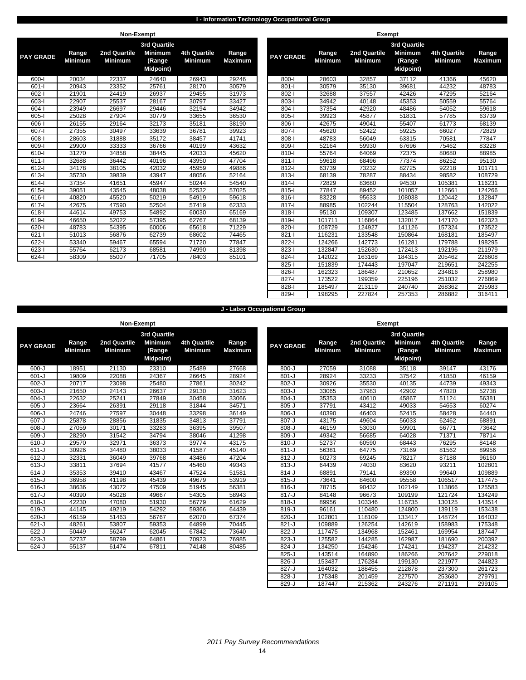### **I - Information Technology Occupational Group**

|                  |                         |                                | Non-Exempt                                                          |                                       |                         |                  |                         |                                | <b>Exempt</b>             |
|------------------|-------------------------|--------------------------------|---------------------------------------------------------------------|---------------------------------------|-------------------------|------------------|-------------------------|--------------------------------|---------------------------|
| <b>PAY GRADE</b> | Range<br><b>Minimum</b> | 2nd Quartile<br><b>Minimum</b> | <b>3rd Quartile</b><br><b>Minimum</b><br>(Range<br><b>Midpoint)</b> | <b>4th Quartile</b><br><b>Minimum</b> | Range<br><b>Maximum</b> | <b>PAY GRADE</b> | Range<br><b>Minimum</b> | 2nd Quartile<br><b>Minimum</b> | 3r <sub>c</sub><br>M<br>Μ |
| $600 - 1$        | 20034                   | 22337                          | 24640                                                               | 26943                                 | 29246                   | $800 - 1$        | 28603                   | 32857                          |                           |
| $601 - 1$        | 20943                   | 23352                          | 25761                                                               | 28170                                 | 30579                   | $801 - 1$        | 30579                   | 35130                          |                           |
| $602 - 1$        | 21901                   | 24419                          | 26937                                                               | 29455                                 | 31973                   | $802 - 1$        | 32688                   | 37557                          |                           |
| $603 - 1$        | 22907                   | 25537                          | 28167                                                               | 30797                                 | 33427                   | $803 - 1$        | 34942                   | 40148                          |                           |
| $604 - 1$        | 23949                   | 26697                          | 29446                                                               | 32194                                 | 34942                   | $804 - 1$        | 37354                   | 42920                          |                           |
| $605 - 1$        | 25028                   | 27904                          | 30779                                                               | 33655                                 | 36530                   | $805 - 1$        | 39923                   | 45877                          |                           |
| $606 - 1$        | 26155                   | 29164                          | 32173                                                               | 35181                                 | 38190                   | $806 - 1$        | 42675                   | 49041                          |                           |
| $607 - 1$        | 27355                   | 30497                          | 33639                                                               | 36781                                 | 39923                   | $807 - 1$        | 45620                   | 52422                          |                           |
| $608 - 1$        | 28603                   | 31888                          | 35172                                                               | 38457                                 | 41741                   | $808 - 1$        | 48783                   | 56049                          |                           |
| $609 - 1$        | 29900                   | 33333                          | 36766                                                               | 40199                                 | 43632                   | 809-l            | 52164                   | 59930                          |                           |
| $610 - 1$        | 31270                   | 34858                          | 38445                                                               | 42033                                 | 45620                   | $810-I$          | 55764                   | 64069                          |                           |
| $611-I$          | 32688                   | 36442                          | 40196                                                               | 43950                                 | 47704                   | $811 -$          | 59618                   | 68496                          |                           |
| $612 -$          | 34178                   | 38105                          | 42032                                                               | 45959                                 | 49886                   | $812 - 1$        | 63739                   | 73232                          |                           |
| $613 - 1$        | 35730                   | 39839                          | 43947                                                               | 48056                                 | 52164                   | $813 -$          | 68139                   | 78287                          |                           |
| $614 - 1$        | 37354                   | 41651                          | 45947                                                               | 50244                                 | 54540                   | $814 -$          | 72829                   | 83680                          |                           |
| $615 -$          | 39051                   | 43545                          | 48038                                                               | 52532                                 | 57025                   | $815 -$          | 77847                   | 89452                          |                           |
| $616 -$          | 40820                   | 45520                          | 50219                                                               | 54919                                 | 59618                   | $816 -$          | 83228                   | 95633                          |                           |
| $617 - 1$        | 42675                   | 47590                          | 52504                                                               | 57419                                 | 62333                   | $817 -$          | 88985                   | 102244                         |                           |
| $618 - 1$        | 44614                   | 49753                          | 54892                                                               | 60030                                 | 65169                   | $818 - 1$        | 95130                   | 109307                         |                           |
| $619 - 1$        | 46650                   | 52022                          | 57395                                                               | 62767                                 | 68139                   | $819 - 1$        | 101711                  | 116864                         |                           |
| $620 - 1$        | 48783                   | 54395                          | 60006                                                               | 65618                                 | 71229                   | $820 - 1$        | 108729                  | 124927                         |                           |
| $621 - 1$        | 51013                   | 56876                          | 62739                                                               | 68602                                 | 74465                   | $821 -$          | 116231                  | 133548                         |                           |
| $622 - 1$        | 53340                   | 59467                          | 65594                                                               | 71720                                 | 77847                   | $822 - 1$        | 124266                  | 142773                         |                           |
| $623 - 1$        | 55764                   | 62173                          | 68581                                                               | 74990                                 | 81398                   | $823 - 1$        | 132847                  | 152630                         |                           |
| $624 -$          | 58309                   | 65007                          | 71705                                                               | 78403                                 | 85101                   | 824-l            | 142022                  | 163169                         |                           |
|                  |                         |                                |                                                                     |                                       |                         |                  |                         |                                |                           |

|              |                         | NON-Exempt                     |                                              |                                       |                         |                  |                         | Exempt                         |                                               |                                |                         |
|--------------|-------------------------|--------------------------------|----------------------------------------------|---------------------------------------|-------------------------|------------------|-------------------------|--------------------------------|-----------------------------------------------|--------------------------------|-------------------------|
|              |                         |                                | <b>3rd Quartile</b>                          |                                       |                         |                  |                         |                                | <b>3rd Quartile</b>                           |                                |                         |
| <b>GRADE</b> | Range<br><b>Minimum</b> | 2nd Quartile<br><b>Minimum</b> | <b>Minimum</b><br>(Range<br><b>Midpoint)</b> | <b>4th Quartile</b><br><b>Minimum</b> | Range<br><b>Maximum</b> | <b>PAY GRADE</b> | Range<br><b>Minimum</b> | 2nd Quartile<br><b>Minimum</b> | <b>Minimum</b><br>(Range<br><b>Midpoint</b> ) | 4th Quartile<br><b>Minimum</b> | Range<br><b>Maximum</b> |
| 600-l        | 20034                   | 22337                          | 24640                                        | 26943                                 | 29246                   | $800 - 1$        | 28603                   | 32857                          | 37112                                         | 41366                          | 45620                   |
| 601-l        | 20943                   | 23352                          | 25761                                        | 28170                                 | 30579                   | $801 -$          | 30579                   | 35130                          | 39681                                         | 44232                          | 48783                   |
| 602-l        | 21901                   | 24419                          | 26937                                        | 29455                                 | 31973                   | 802-l            | 32688                   | 37557                          | 42426                                         | 47295                          | 52164                   |
| 603-l        | 22907                   | 25537                          | 28167                                        | 30797                                 | 33427                   | 803-l            | 34942                   | 40148                          | 45353                                         | 50559                          | 55764                   |
| 604-l        | 23949                   | 26697                          | 29446                                        | 32194                                 | 34942                   | $804-I$          | 37354                   | 42920                          | 48486                                         | 54052                          | 59618                   |
| 605-l        | 25028                   | 27904                          | 30779                                        | 33655                                 | 36530                   | 805-l            | 39923                   | 45877                          | 51831                                         | 57785                          | 63739                   |
| $606 -$      | 26155                   | 29164                          | 32173                                        | 35181                                 | 38190                   | $806 - 1$        | 42675                   | 49041                          | 55407                                         | 61773                          | 68139                   |
| $607 - 1$    | 27355                   | 30497                          | 33639                                        | 36781                                 | 39923                   | $807 - 1$        | 45620                   | 52422                          | 59225                                         | 66027                          | 72829                   |
| $608 - 1$    | 28603                   | 31888                          | 35172                                        | 38457                                 | 41741                   | $808 - 1$        | 48783                   | 56049                          | 63315                                         | 70581                          | 77847                   |
| 609-l        | 29900                   | 33333                          | 36766                                        | 40199                                 | 43632                   | 809-l            | 52164                   | 59930                          | 67696                                         | 75462                          | 83228                   |
| 610-l        | 31270                   | 34858                          | 38445                                        | 42033                                 | 45620                   | $810 -$          | 55764                   | 64069                          | 72375                                         | 80680                          | 88985                   |
| 611-l        | 32688                   | 36442                          | 40196                                        | 43950                                 | 47704                   | $811 -$          | 59618                   | 68496                          | 77374                                         | 86252                          | 95130                   |
| 612-l        | 34178                   | 38105                          | 42032                                        | 45959                                 | 49886                   | $812 - 1$        | 63739                   | 73232                          | 82725                                         | 92218                          | 101711                  |
| $613 -$      | 35730                   | 39839                          | 43947                                        | 48056                                 | 52164                   | $813-I$          | 68139                   | 78287                          | 88434                                         | 98582                          | 108729                  |
| 614-l        | 37354                   | 41651                          | 45947                                        | 50244                                 | 54540                   | $814 -$          | 72829                   | 83680                          | 94530                                         | 105381                         | 116231                  |
| 615-l        | 39051                   | 43545                          | 48038                                        | 52532                                 | 57025                   | $815 -$          | 77847                   | 89452                          | 101057                                        | 112661                         | 124266                  |
| 616-l        | 40820                   | 45520                          | 50219                                        | 54919                                 | 59618                   | $816-I$          | 83228                   | 95633                          | 108038                                        | 120442                         | 132847                  |
| $617 -$      | 42675                   | 47590                          | 52504                                        | 57419                                 | 62333                   | $817 -$          | 88985                   | 102244                         | 115504                                        | 128763                         | 142022                  |
| 618-l        | 44614                   | 49753                          | 54892                                        | 60030                                 | 65169                   | $818 - 1$        | 95130                   | 109307                         | 123485                                        | 137662                         | 151839                  |
| 619-l        | 46650                   | 52022                          | 57395                                        | 62767                                 | 68139                   | $819 - 1$        | 101711                  | 116864                         | 132017                                        | 147170                         | 162323                  |
| 620-l        | 48783                   | 54395                          | 60006                                        | 65618                                 | 71229                   | $820 - 1$        | 108729                  | 124927                         | 141126                                        | 157324                         | 173522                  |
| $621 -$      | 51013                   | 56876                          | 62739                                        | 68602                                 | 74465                   | $821 -$          | 116231                  | 133548                         | 150864                                        | 168181                         | 185497                  |
| $622 - 1$    | 53340                   | 59467                          | 65594                                        | 71720                                 | 77847                   | $822 - 1$        | 124266                  | 142773                         | 161281                                        | 179788                         | 198295                  |
| $623 - 1$    | 55764                   | 62173                          | 68581                                        | 74990                                 | 81398                   | $823 -$          | 132847                  | 152630                         | 172413                                        | 192196                         | 211979                  |
| 624-l        | 58309                   | 65007                          | 71705                                        | 78403                                 | 85101                   | $824 - 1$        | 142022                  | 163169                         | 184315                                        | 205462                         | 226608                  |
|              |                         |                                |                                              |                                       |                         | $825 -$          | 151839                  | 174443                         | 197047                                        | 219651                         | 242255                  |
|              |                         |                                |                                              |                                       |                         | $826 -$          | 162323                  | 186487                         | 210652                                        | 234816                         | 258980                  |
|              |                         |                                |                                              |                                       |                         | $827 - 1$        | 173522                  | 199359                         | 225196                                        | 251032                         | 276869                  |
|              |                         |                                |                                              |                                       |                         | $828 - 1$        | 185497                  | 213119                         | 240740                                        | 268362                         | 295983                  |
|              |                         |                                |                                              |                                       |                         | 829-l            | 198295                  | 227824                         | 257353                                        | 286882                         | 316411                  |
|              |                         |                                |                                              |                                       |                         |                  |                         |                                |                                               |                                |                         |

**J - Labor Occupational Group**

|                  |                         | Non-Exempt                     |                                                                     |                                       |                         |                  |                         | <b>Exempt</b>                  |                           |
|------------------|-------------------------|--------------------------------|---------------------------------------------------------------------|---------------------------------------|-------------------------|------------------|-------------------------|--------------------------------|---------------------------|
| <b>PAY GRADE</b> | Range<br><b>Minimum</b> | 2nd Quartile<br><b>Minimum</b> | <b>3rd Quartile</b><br><b>Minimum</b><br>(Range<br><b>Midpoint)</b> | <b>4th Quartile</b><br><b>Minimum</b> | Range<br><b>Maximum</b> | <b>PAY GRADE</b> | Range<br><b>Minimum</b> | 2nd Quartile<br><b>Minimum</b> | 3r <sub>c</sub><br>M<br>M |
| $600 - J$        | 18951                   | 21130                          | 23310                                                               | 25489                                 | 27668                   | $800 - J$        | 27059                   | 31088                          |                           |
| $601 - J$        | 19809                   | 22088                          | 24367                                                               | 26645                                 | 28924                   | $801 - J$        | 28924                   | 33233                          |                           |
| $602 - J$        | 20717                   | 23098                          | 25480                                                               | 27861                                 | 30242                   | $802 - J$        | 30926                   | 35530                          |                           |
| $603 - J$        | 21650                   | 24143                          | 26637                                                               | 29130                                 | 31623                   | $803 - J$        | 33065                   | 37983                          |                           |
| $604 - J$        | 22632                   | 25241                          | 27849                                                               | 30458                                 | 33066                   | $804 - J$        | 35353                   | 40610                          |                           |
| $605 - J$        | 23664                   | 26391                          | 29118                                                               | 31844                                 | 34571                   | $805 - J$        | 37791                   | 43412                          |                           |
| $606 - J$        | 24746                   | 27597                          | 30448                                                               | 33298                                 | 36149                   | $806 - J$        | 40390                   | 46403                          |                           |
| $607 - J$        | 25878                   | 28856                          | 31835                                                               | 34813                                 | 37791                   | $807 - J$        | 43175                   | 49604                          |                           |
| $608-J$          | 27059                   | 30171                          | 33283                                                               | 36395                                 | 39507                   | $808 - J$        | 46159                   | 53030                          |                           |
| 609-J            | 28290                   | 31542                          | 34794                                                               | 38046                                 | 41298                   | 809-J            | 49342                   | 56685                          |                           |
| $610 - J$        | 29570                   | 32971                          | 36373                                                               | 39774                                 | 43175                   | $810 - J$        | 52737                   | 60590                          |                           |
| $611 - J$        | 30926                   | 34480                          | 38033                                                               | 41587                                 | 45140                   | $811 - J$        | 56381                   | 64775                          |                           |
| $612-J$          | 32331                   | 36049                          | 39768                                                               | 43486                                 | 47204                   | $812-J$          | 60273                   | 69245                          |                           |
| $613-J$          | 33811                   | 37694                          | 41577                                                               | 45460                                 | 49343                   | $813-J$          | 64439                   | 74030                          |                           |
| $614 - J$        | 35353                   | 39410                          | 43467                                                               | 47524                                 | 51581                   | $814 - J$        | 68891                   | 79141                          |                           |
| $615 - J$        | 36958                   | 41198                          | 45439                                                               | 49679                                 | 53919                   | $815 - J$        | 73641                   | 84600                          |                           |
| $616-J$          | 38636                   | 43072                          | 47509                                                               | 51945                                 | 56381                   | $816 - J$        | 78715                   | 90432                          |                           |
| $617 - J$        | 40390                   | 45028                          | 49667                                                               | 54305                                 | 58943                   | $817 - J$        | 84148                   | 96673                          |                           |
| $618-J$          | 42230                   | 47080                          | 51930                                                               | 56779                                 | 61629                   | $818-J$          | 89956                   | 103346                         |                           |
| $619-J$          | 44145                   | 49219                          | 54292                                                               | 59366                                 | 64439                   | $819-J$          | 96161                   | 110480                         |                           |
| $620 - J$        | 46159                   | 51463                          | 56767                                                               | 62070                                 | 67374                   | $820 - J$        | 102801                  | 118109                         |                           |
| $621 - J$        | 48261                   | 53807                          | 59353                                                               | 64899                                 | 70445                   | $821 - J$        | 109889                  | 126254                         |                           |
| $622 - J$        | 50449                   | 56247                          | 62045                                                               | 67842                                 | 73640                   | 822-J            | 117475                  | 134968                         |                           |
| $623 - J$        | 52737                   | 58799                          | 64861                                                               | 70923                                 | 76985                   | $823 - J$        | 125582                  | 144285                         |                           |
| $624-J$          | 55137                   | 61474                          | 67811                                                               | 74148                                 | 80485                   | $824 - J$        | 134250                  | 154246                         |                           |

| <b>3rd Quartile</b><br>3rd Quartile<br><b>Minimum</b><br>2nd Quartile<br><b>Minimum</b><br>4th Quartile<br>Range<br>2nd Quartile<br>4th Quartile<br>Range<br>Range<br>Range<br><b>PAY GRADE</b><br><b>GRADE</b><br><b>Minimum</b><br><b>Minimum</b><br>(Range<br><b>Maximum</b><br><b>Minimum</b><br><b>Minimum</b><br><b>Minimum</b><br>(Range<br><b>Minimum</b><br><b>Midpoint</b> )<br><b>Midpoint</b> )<br>600-J<br>18951<br>21130<br>23310<br>27668<br>$800 - J$<br>27059<br>31088<br>35118<br>39147<br>43176<br>25489<br>$601 - J$<br>24367<br>$801 - J$<br>46159<br>19809<br>22088<br>26645<br>28924<br>28924<br>33233<br>37542<br>41850<br>$602 - J$<br>20717<br>$802 - J$<br>23098<br>25480<br>27861<br>30242<br>30926<br>40135<br>44739<br>49343<br>35530<br>21650<br>24143<br>26637<br>29130<br>31623<br>$803 - J$<br>33065<br>37983<br>42902<br>47820<br>52738<br>25241<br>$804 - J$<br>22632<br>27849<br>30458<br>33066<br>35353<br>40610<br>45867<br>51124<br>56381<br>23664<br>26391<br>29118<br>31844<br>34571<br>$805 - J$<br>37791<br>43412<br>49033<br>54653<br>60274<br>24746<br>27597<br>30448<br>33298<br>36149<br>$806 - J$<br>40390<br>46403<br>52415<br>58428<br>64440<br>25878<br>28856<br>31835<br>34813<br>37791<br>$807 - J$<br>43175<br>49604<br>62462<br>68891<br>56033<br>27059<br>30171<br>33283<br>$808 - J$<br>66771<br>73642<br>36395<br>39507<br>46159<br>53030<br>59901<br>71371<br>28290<br>31542<br>34794<br>38046<br>41298<br>$809 - J$<br>49342<br>64028<br>78714<br>56685<br>29570<br>32971<br>36373<br>76295<br>39774<br>43175<br>$810 - J$<br>52737<br>60590<br>68443<br>84148<br>30926<br>41587<br>73169<br>34480<br>38033<br>45140<br>$811 - J$<br>56381<br>81562<br>89956<br>64775<br>32331<br>36049<br>39768<br>43486<br>47204<br>$812-J$<br>60273<br>78217<br>87188<br>96160<br>69245<br>37694<br>33811<br>41577<br>45460<br>49343<br>$813-J$<br>64439<br>74030<br>83620<br>93211<br>102801<br>35353<br>39410<br>43467<br>47524<br>51581<br>$814 - J$<br>68891<br>79141<br>89390<br>99640<br>109889<br>36958<br>41198<br>45439<br>49679<br>53919<br>$815 - J$<br>73641<br>95558<br>106517<br>117475<br>84600<br>43072<br>47509<br>78715<br>102149<br>125583<br>38636<br>51945<br>56381<br>$816 - J$<br>90432<br>113866<br>45028<br>134249<br>40390<br>49667<br>54305<br>58943<br>$817 - J$<br>84148<br>96673<br>109199<br>121724<br>42230<br>47080<br>51930<br>56779<br>61629<br>$818-J$<br>89956<br>103346<br>116735<br>143514<br>130125<br>49219<br>54292<br>$819 - J$<br>153438<br>44145<br>59366<br>64439<br>96161<br>110480<br>124800<br>139119<br>51463<br>$820 - J$<br>46159<br>56767<br>62070<br>67374<br>102801<br>118109<br>133417<br>148724<br>164032<br>48261<br>53807<br>59353<br>64899<br>70445<br>$821 - J$<br>126254<br>142619<br>158983<br>175348<br>109889<br>50449<br>56247<br>62045<br>67842<br>73640<br>822-J<br>117475<br>134968<br>152461<br>169954<br>187447<br>58799<br>52737<br>64861<br>70923<br>76985<br>823-J<br>125582<br>144285<br>162987<br>181690<br>200392<br>174241<br>214232<br>55137<br>61474<br>67811<br>74148<br>$824 - J$<br>134250<br>154246<br>194237<br>80485<br>207642<br>229018<br>$825 - J$<br>143514<br>164890<br>186266<br>$826 - J$<br>153437<br>176284<br>199130<br>221977<br>244823<br>$827 - J$<br>188455<br>212878<br>237300<br>261723<br>164032<br>227570<br>253680<br>279791<br>828-J<br>175348<br>201459<br>829-J<br>187447<br>215362<br>243276<br>271191<br>299105 | Non-Exempt |  |  |  |  |  | <b>Exempt</b> |  |                |
|-------------------------------------------------------------------------------------------------------------------------------------------------------------------------------------------------------------------------------------------------------------------------------------------------------------------------------------------------------------------------------------------------------------------------------------------------------------------------------------------------------------------------------------------------------------------------------------------------------------------------------------------------------------------------------------------------------------------------------------------------------------------------------------------------------------------------------------------------------------------------------------------------------------------------------------------------------------------------------------------------------------------------------------------------------------------------------------------------------------------------------------------------------------------------------------------------------------------------------------------------------------------------------------------------------------------------------------------------------------------------------------------------------------------------------------------------------------------------------------------------------------------------------------------------------------------------------------------------------------------------------------------------------------------------------------------------------------------------------------------------------------------------------------------------------------------------------------------------------------------------------------------------------------------------------------------------------------------------------------------------------------------------------------------------------------------------------------------------------------------------------------------------------------------------------------------------------------------------------------------------------------------------------------------------------------------------------------------------------------------------------------------------------------------------------------------------------------------------------------------------------------------------------------------------------------------------------------------------------------------------------------------------------------------------------------------------------------------------------------------------------------------------------------------------------------------------------------------------------------------------------------------------------------------------------------------------------------------------------------------------------------------------------------------------------------------------------------------------------------------------------------------------------------------------------------------------------------------------------------------------------------------------------------------------------------------------------------------------------------------------------------------------------------------------------------------------------------------------------|------------|--|--|--|--|--|---------------|--|----------------|
|                                                                                                                                                                                                                                                                                                                                                                                                                                                                                                                                                                                                                                                                                                                                                                                                                                                                                                                                                                                                                                                                                                                                                                                                                                                                                                                                                                                                                                                                                                                                                                                                                                                                                                                                                                                                                                                                                                                                                                                                                                                                                                                                                                                                                                                                                                                                                                                                                                                                                                                                                                                                                                                                                                                                                                                                                                                                                                                                                                                                                                                                                                                                                                                                                                                                                                                                                                                                                                                                               |            |  |  |  |  |  |               |  | <b>Maximum</b> |
|                                                                                                                                                                                                                                                                                                                                                                                                                                                                                                                                                                                                                                                                                                                                                                                                                                                                                                                                                                                                                                                                                                                                                                                                                                                                                                                                                                                                                                                                                                                                                                                                                                                                                                                                                                                                                                                                                                                                                                                                                                                                                                                                                                                                                                                                                                                                                                                                                                                                                                                                                                                                                                                                                                                                                                                                                                                                                                                                                                                                                                                                                                                                                                                                                                                                                                                                                                                                                                                                               |            |  |  |  |  |  |               |  |                |
| 603-J<br>604-J<br>$605 - J$<br>606-J<br>$607 - J$<br>$608 - J$<br>609-J<br>$610 - J$<br>$611 - J$<br>612-J<br>613-J<br>$614-J$<br>$615 - J$<br>$616 - J$<br>617-J<br>$618 - J$<br>$619 - J$<br>620-J<br>621-J<br>622-J<br>623-J<br>$624 - J$                                                                                                                                                                                                                                                                                                                                                                                                                                                                                                                                                                                                                                                                                                                                                                                                                                                                                                                                                                                                                                                                                                                                                                                                                                                                                                                                                                                                                                                                                                                                                                                                                                                                                                                                                                                                                                                                                                                                                                                                                                                                                                                                                                                                                                                                                                                                                                                                                                                                                                                                                                                                                                                                                                                                                                                                                                                                                                                                                                                                                                                                                                                                                                                                                                  |            |  |  |  |  |  |               |  |                |
|                                                                                                                                                                                                                                                                                                                                                                                                                                                                                                                                                                                                                                                                                                                                                                                                                                                                                                                                                                                                                                                                                                                                                                                                                                                                                                                                                                                                                                                                                                                                                                                                                                                                                                                                                                                                                                                                                                                                                                                                                                                                                                                                                                                                                                                                                                                                                                                                                                                                                                                                                                                                                                                                                                                                                                                                                                                                                                                                                                                                                                                                                                                                                                                                                                                                                                                                                                                                                                                                               |            |  |  |  |  |  |               |  |                |
|                                                                                                                                                                                                                                                                                                                                                                                                                                                                                                                                                                                                                                                                                                                                                                                                                                                                                                                                                                                                                                                                                                                                                                                                                                                                                                                                                                                                                                                                                                                                                                                                                                                                                                                                                                                                                                                                                                                                                                                                                                                                                                                                                                                                                                                                                                                                                                                                                                                                                                                                                                                                                                                                                                                                                                                                                                                                                                                                                                                                                                                                                                                                                                                                                                                                                                                                                                                                                                                                               |            |  |  |  |  |  |               |  |                |
|                                                                                                                                                                                                                                                                                                                                                                                                                                                                                                                                                                                                                                                                                                                                                                                                                                                                                                                                                                                                                                                                                                                                                                                                                                                                                                                                                                                                                                                                                                                                                                                                                                                                                                                                                                                                                                                                                                                                                                                                                                                                                                                                                                                                                                                                                                                                                                                                                                                                                                                                                                                                                                                                                                                                                                                                                                                                                                                                                                                                                                                                                                                                                                                                                                                                                                                                                                                                                                                                               |            |  |  |  |  |  |               |  |                |
|                                                                                                                                                                                                                                                                                                                                                                                                                                                                                                                                                                                                                                                                                                                                                                                                                                                                                                                                                                                                                                                                                                                                                                                                                                                                                                                                                                                                                                                                                                                                                                                                                                                                                                                                                                                                                                                                                                                                                                                                                                                                                                                                                                                                                                                                                                                                                                                                                                                                                                                                                                                                                                                                                                                                                                                                                                                                                                                                                                                                                                                                                                                                                                                                                                                                                                                                                                                                                                                                               |            |  |  |  |  |  |               |  |                |
|                                                                                                                                                                                                                                                                                                                                                                                                                                                                                                                                                                                                                                                                                                                                                                                                                                                                                                                                                                                                                                                                                                                                                                                                                                                                                                                                                                                                                                                                                                                                                                                                                                                                                                                                                                                                                                                                                                                                                                                                                                                                                                                                                                                                                                                                                                                                                                                                                                                                                                                                                                                                                                                                                                                                                                                                                                                                                                                                                                                                                                                                                                                                                                                                                                                                                                                                                                                                                                                                               |            |  |  |  |  |  |               |  |                |
|                                                                                                                                                                                                                                                                                                                                                                                                                                                                                                                                                                                                                                                                                                                                                                                                                                                                                                                                                                                                                                                                                                                                                                                                                                                                                                                                                                                                                                                                                                                                                                                                                                                                                                                                                                                                                                                                                                                                                                                                                                                                                                                                                                                                                                                                                                                                                                                                                                                                                                                                                                                                                                                                                                                                                                                                                                                                                                                                                                                                                                                                                                                                                                                                                                                                                                                                                                                                                                                                               |            |  |  |  |  |  |               |  |                |
|                                                                                                                                                                                                                                                                                                                                                                                                                                                                                                                                                                                                                                                                                                                                                                                                                                                                                                                                                                                                                                                                                                                                                                                                                                                                                                                                                                                                                                                                                                                                                                                                                                                                                                                                                                                                                                                                                                                                                                                                                                                                                                                                                                                                                                                                                                                                                                                                                                                                                                                                                                                                                                                                                                                                                                                                                                                                                                                                                                                                                                                                                                                                                                                                                                                                                                                                                                                                                                                                               |            |  |  |  |  |  |               |  |                |
|                                                                                                                                                                                                                                                                                                                                                                                                                                                                                                                                                                                                                                                                                                                                                                                                                                                                                                                                                                                                                                                                                                                                                                                                                                                                                                                                                                                                                                                                                                                                                                                                                                                                                                                                                                                                                                                                                                                                                                                                                                                                                                                                                                                                                                                                                                                                                                                                                                                                                                                                                                                                                                                                                                                                                                                                                                                                                                                                                                                                                                                                                                                                                                                                                                                                                                                                                                                                                                                                               |            |  |  |  |  |  |               |  |                |
|                                                                                                                                                                                                                                                                                                                                                                                                                                                                                                                                                                                                                                                                                                                                                                                                                                                                                                                                                                                                                                                                                                                                                                                                                                                                                                                                                                                                                                                                                                                                                                                                                                                                                                                                                                                                                                                                                                                                                                                                                                                                                                                                                                                                                                                                                                                                                                                                                                                                                                                                                                                                                                                                                                                                                                                                                                                                                                                                                                                                                                                                                                                                                                                                                                                                                                                                                                                                                                                                               |            |  |  |  |  |  |               |  |                |
|                                                                                                                                                                                                                                                                                                                                                                                                                                                                                                                                                                                                                                                                                                                                                                                                                                                                                                                                                                                                                                                                                                                                                                                                                                                                                                                                                                                                                                                                                                                                                                                                                                                                                                                                                                                                                                                                                                                                                                                                                                                                                                                                                                                                                                                                                                                                                                                                                                                                                                                                                                                                                                                                                                                                                                                                                                                                                                                                                                                                                                                                                                                                                                                                                                                                                                                                                                                                                                                                               |            |  |  |  |  |  |               |  |                |
|                                                                                                                                                                                                                                                                                                                                                                                                                                                                                                                                                                                                                                                                                                                                                                                                                                                                                                                                                                                                                                                                                                                                                                                                                                                                                                                                                                                                                                                                                                                                                                                                                                                                                                                                                                                                                                                                                                                                                                                                                                                                                                                                                                                                                                                                                                                                                                                                                                                                                                                                                                                                                                                                                                                                                                                                                                                                                                                                                                                                                                                                                                                                                                                                                                                                                                                                                                                                                                                                               |            |  |  |  |  |  |               |  |                |
|                                                                                                                                                                                                                                                                                                                                                                                                                                                                                                                                                                                                                                                                                                                                                                                                                                                                                                                                                                                                                                                                                                                                                                                                                                                                                                                                                                                                                                                                                                                                                                                                                                                                                                                                                                                                                                                                                                                                                                                                                                                                                                                                                                                                                                                                                                                                                                                                                                                                                                                                                                                                                                                                                                                                                                                                                                                                                                                                                                                                                                                                                                                                                                                                                                                                                                                                                                                                                                                                               |            |  |  |  |  |  |               |  |                |
|                                                                                                                                                                                                                                                                                                                                                                                                                                                                                                                                                                                                                                                                                                                                                                                                                                                                                                                                                                                                                                                                                                                                                                                                                                                                                                                                                                                                                                                                                                                                                                                                                                                                                                                                                                                                                                                                                                                                                                                                                                                                                                                                                                                                                                                                                                                                                                                                                                                                                                                                                                                                                                                                                                                                                                                                                                                                                                                                                                                                                                                                                                                                                                                                                                                                                                                                                                                                                                                                               |            |  |  |  |  |  |               |  |                |
|                                                                                                                                                                                                                                                                                                                                                                                                                                                                                                                                                                                                                                                                                                                                                                                                                                                                                                                                                                                                                                                                                                                                                                                                                                                                                                                                                                                                                                                                                                                                                                                                                                                                                                                                                                                                                                                                                                                                                                                                                                                                                                                                                                                                                                                                                                                                                                                                                                                                                                                                                                                                                                                                                                                                                                                                                                                                                                                                                                                                                                                                                                                                                                                                                                                                                                                                                                                                                                                                               |            |  |  |  |  |  |               |  |                |
|                                                                                                                                                                                                                                                                                                                                                                                                                                                                                                                                                                                                                                                                                                                                                                                                                                                                                                                                                                                                                                                                                                                                                                                                                                                                                                                                                                                                                                                                                                                                                                                                                                                                                                                                                                                                                                                                                                                                                                                                                                                                                                                                                                                                                                                                                                                                                                                                                                                                                                                                                                                                                                                                                                                                                                                                                                                                                                                                                                                                                                                                                                                                                                                                                                                                                                                                                                                                                                                                               |            |  |  |  |  |  |               |  |                |
|                                                                                                                                                                                                                                                                                                                                                                                                                                                                                                                                                                                                                                                                                                                                                                                                                                                                                                                                                                                                                                                                                                                                                                                                                                                                                                                                                                                                                                                                                                                                                                                                                                                                                                                                                                                                                                                                                                                                                                                                                                                                                                                                                                                                                                                                                                                                                                                                                                                                                                                                                                                                                                                                                                                                                                                                                                                                                                                                                                                                                                                                                                                                                                                                                                                                                                                                                                                                                                                                               |            |  |  |  |  |  |               |  |                |
|                                                                                                                                                                                                                                                                                                                                                                                                                                                                                                                                                                                                                                                                                                                                                                                                                                                                                                                                                                                                                                                                                                                                                                                                                                                                                                                                                                                                                                                                                                                                                                                                                                                                                                                                                                                                                                                                                                                                                                                                                                                                                                                                                                                                                                                                                                                                                                                                                                                                                                                                                                                                                                                                                                                                                                                                                                                                                                                                                                                                                                                                                                                                                                                                                                                                                                                                                                                                                                                                               |            |  |  |  |  |  |               |  |                |
|                                                                                                                                                                                                                                                                                                                                                                                                                                                                                                                                                                                                                                                                                                                                                                                                                                                                                                                                                                                                                                                                                                                                                                                                                                                                                                                                                                                                                                                                                                                                                                                                                                                                                                                                                                                                                                                                                                                                                                                                                                                                                                                                                                                                                                                                                                                                                                                                                                                                                                                                                                                                                                                                                                                                                                                                                                                                                                                                                                                                                                                                                                                                                                                                                                                                                                                                                                                                                                                                               |            |  |  |  |  |  |               |  |                |
|                                                                                                                                                                                                                                                                                                                                                                                                                                                                                                                                                                                                                                                                                                                                                                                                                                                                                                                                                                                                                                                                                                                                                                                                                                                                                                                                                                                                                                                                                                                                                                                                                                                                                                                                                                                                                                                                                                                                                                                                                                                                                                                                                                                                                                                                                                                                                                                                                                                                                                                                                                                                                                                                                                                                                                                                                                                                                                                                                                                                                                                                                                                                                                                                                                                                                                                                                                                                                                                                               |            |  |  |  |  |  |               |  |                |
|                                                                                                                                                                                                                                                                                                                                                                                                                                                                                                                                                                                                                                                                                                                                                                                                                                                                                                                                                                                                                                                                                                                                                                                                                                                                                                                                                                                                                                                                                                                                                                                                                                                                                                                                                                                                                                                                                                                                                                                                                                                                                                                                                                                                                                                                                                                                                                                                                                                                                                                                                                                                                                                                                                                                                                                                                                                                                                                                                                                                                                                                                                                                                                                                                                                                                                                                                                                                                                                                               |            |  |  |  |  |  |               |  |                |
|                                                                                                                                                                                                                                                                                                                                                                                                                                                                                                                                                                                                                                                                                                                                                                                                                                                                                                                                                                                                                                                                                                                                                                                                                                                                                                                                                                                                                                                                                                                                                                                                                                                                                                                                                                                                                                                                                                                                                                                                                                                                                                                                                                                                                                                                                                                                                                                                                                                                                                                                                                                                                                                                                                                                                                                                                                                                                                                                                                                                                                                                                                                                                                                                                                                                                                                                                                                                                                                                               |            |  |  |  |  |  |               |  |                |
|                                                                                                                                                                                                                                                                                                                                                                                                                                                                                                                                                                                                                                                                                                                                                                                                                                                                                                                                                                                                                                                                                                                                                                                                                                                                                                                                                                                                                                                                                                                                                                                                                                                                                                                                                                                                                                                                                                                                                                                                                                                                                                                                                                                                                                                                                                                                                                                                                                                                                                                                                                                                                                                                                                                                                                                                                                                                                                                                                                                                                                                                                                                                                                                                                                                                                                                                                                                                                                                                               |            |  |  |  |  |  |               |  |                |
|                                                                                                                                                                                                                                                                                                                                                                                                                                                                                                                                                                                                                                                                                                                                                                                                                                                                                                                                                                                                                                                                                                                                                                                                                                                                                                                                                                                                                                                                                                                                                                                                                                                                                                                                                                                                                                                                                                                                                                                                                                                                                                                                                                                                                                                                                                                                                                                                                                                                                                                                                                                                                                                                                                                                                                                                                                                                                                                                                                                                                                                                                                                                                                                                                                                                                                                                                                                                                                                                               |            |  |  |  |  |  |               |  |                |
|                                                                                                                                                                                                                                                                                                                                                                                                                                                                                                                                                                                                                                                                                                                                                                                                                                                                                                                                                                                                                                                                                                                                                                                                                                                                                                                                                                                                                                                                                                                                                                                                                                                                                                                                                                                                                                                                                                                                                                                                                                                                                                                                                                                                                                                                                                                                                                                                                                                                                                                                                                                                                                                                                                                                                                                                                                                                                                                                                                                                                                                                                                                                                                                                                                                                                                                                                                                                                                                                               |            |  |  |  |  |  |               |  |                |
|                                                                                                                                                                                                                                                                                                                                                                                                                                                                                                                                                                                                                                                                                                                                                                                                                                                                                                                                                                                                                                                                                                                                                                                                                                                                                                                                                                                                                                                                                                                                                                                                                                                                                                                                                                                                                                                                                                                                                                                                                                                                                                                                                                                                                                                                                                                                                                                                                                                                                                                                                                                                                                                                                                                                                                                                                                                                                                                                                                                                                                                                                                                                                                                                                                                                                                                                                                                                                                                                               |            |  |  |  |  |  |               |  |                |
|                                                                                                                                                                                                                                                                                                                                                                                                                                                                                                                                                                                                                                                                                                                                                                                                                                                                                                                                                                                                                                                                                                                                                                                                                                                                                                                                                                                                                                                                                                                                                                                                                                                                                                                                                                                                                                                                                                                                                                                                                                                                                                                                                                                                                                                                                                                                                                                                                                                                                                                                                                                                                                                                                                                                                                                                                                                                                                                                                                                                                                                                                                                                                                                                                                                                                                                                                                                                                                                                               |            |  |  |  |  |  |               |  |                |
|                                                                                                                                                                                                                                                                                                                                                                                                                                                                                                                                                                                                                                                                                                                                                                                                                                                                                                                                                                                                                                                                                                                                                                                                                                                                                                                                                                                                                                                                                                                                                                                                                                                                                                                                                                                                                                                                                                                                                                                                                                                                                                                                                                                                                                                                                                                                                                                                                                                                                                                                                                                                                                                                                                                                                                                                                                                                                                                                                                                                                                                                                                                                                                                                                                                                                                                                                                                                                                                                               |            |  |  |  |  |  |               |  |                |
|                                                                                                                                                                                                                                                                                                                                                                                                                                                                                                                                                                                                                                                                                                                                                                                                                                                                                                                                                                                                                                                                                                                                                                                                                                                                                                                                                                                                                                                                                                                                                                                                                                                                                                                                                                                                                                                                                                                                                                                                                                                                                                                                                                                                                                                                                                                                                                                                                                                                                                                                                                                                                                                                                                                                                                                                                                                                                                                                                                                                                                                                                                                                                                                                                                                                                                                                                                                                                                                                               |            |  |  |  |  |  |               |  |                |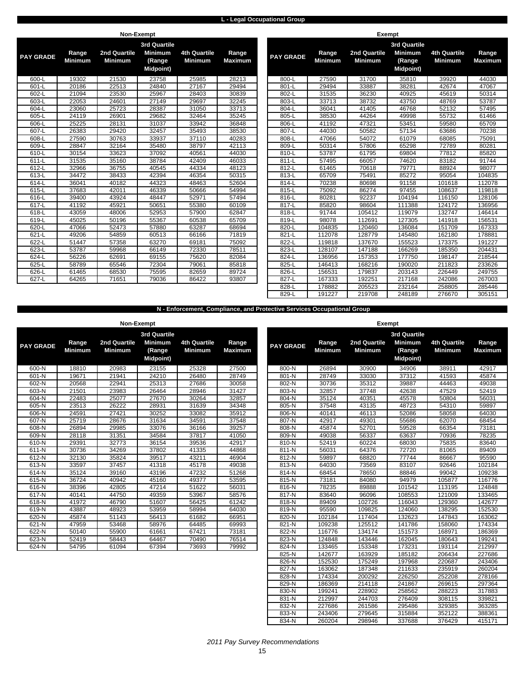### **L - Legal Occupational Group**

|                  |                         |                                | Non-Exempt                                   |                                |                         |                  |                         | Exempt                         |                                              |                                       |                        |
|------------------|-------------------------|--------------------------------|----------------------------------------------|--------------------------------|-------------------------|------------------|-------------------------|--------------------------------|----------------------------------------------|---------------------------------------|------------------------|
|                  |                         |                                | 3rd Quartile                                 |                                |                         |                  |                         |                                | 3rd Quartile                                 |                                       |                        |
| <b>PAY GRADE</b> | Range<br><b>Minimum</b> | 2nd Quartile<br><b>Minimum</b> | <b>Minimum</b><br>(Range<br><b>Midpoint)</b> | <b>4th Quartile</b><br>Minimum | Range<br><b>Maximum</b> | <b>PAY GRADE</b> | Range<br><b>Minimum</b> | 2nd Quartile<br><b>Minimum</b> | <b>Minimum</b><br>(Range<br><b>Midpoint)</b> | <b>4th Quartile</b><br><b>Minimum</b> | Range<br><b>Maximu</b> |
| 600-L            | 19302                   | 21530                          | 23758                                        | 25985                          | 28213                   | 800-L            | 27590                   | 31700                          | 35810                                        | 39920                                 | 44030                  |
| 601-L            | 20186                   | 22513                          | 24840                                        | 27167                          | 29494                   | 801-L            | 29494                   | 33887                          | 38281                                        | 42674                                 | 47067                  |
| 602-L            | 21094                   | 23530                          | 25967                                        | 28403                          | 30839                   | 802-L            | 31535                   | 36230                          | 40925                                        | 45619                                 | 50314                  |
| $603-L$          | 22053                   | 24601                          | 27149                                        | 29697                          | 32245                   | $803-L$          | 33713                   | 38732                          | 43750                                        | 48769                                 | 53787                  |
| 604-L            | 23060                   | 25723                          | 28387                                        | 31050                          | 33713                   | 804-L            | 36041                   | 41405                          | 46768                                        | 52132                                 | 57495                  |
| 605-L            | 24119                   | 26901                          | 29682                                        | 32464                          | 35245                   | 805-L            | 38530                   | 44264                          | 49998                                        | 55732                                 | 61466                  |
| 606-L            | 25225                   | 28131                          | 31037                                        | 33942                          | 36848                   | 806-L            | 41192                   | 47321                          | 53451                                        | 59580                                 | 65709                  |
| 607-L            | 26383                   | 29420                          | 32457                                        | 35493                          | 38530                   | 807-L            | 44030                   | 50582                          | 57134                                        | 63686                                 | 70238                  |
| 608-L            | 27590                   | 30763                          | 33937                                        | 37110                          | 40283                   | 808-L            | 47066                   | 54072                          | 61079                                        | 68085                                 | 75091                  |
| 609-L            | 28847                   | 32164                          | 35480                                        | 38797                          | 42113                   | 809-L            | 50314                   | 57806                          | 65298                                        | 72789                                 | 80281                  |
| 610-L            | 30154                   | 33623                          | 37092                                        | 40561                          | 44030                   | 810-L            | 53787                   | 61795                          | 69804                                        | 77812                                 | 85820                  |
| $611-L$          | 31535                   | 35160                          | 38784                                        | 42409                          | 46033                   | $811-L$          | 57495                   | 66057                          | 74620                                        | 83182                                 | 91744                  |
| 612-L            | 32966                   | 36755                          | 40545                                        | 44334                          | 48123                   | 812-L            | 61465                   | 70618                          | 79771                                        | 88924                                 | 98077                  |
| $613-L$          | 34472                   | 38433                          | 42394                                        | 46354                          | 50315                   | 813-L            | 65709                   | 75491                          | 85272                                        | 95054                                 | 10483                  |
| 614-L            | 36041                   | 40182                          | 44323                                        | 48463                          | 52604                   | 814-L            | 70238                   | 80698                          | 91158                                        | 101618                                | 112078                 |
| 615-L            | 37683                   | 42011                          | 46339                                        | 50666                          | 54994                   | 815-L            | 75092                   | 86274                          | 97455                                        | 108637                                | 119818                 |
| 616-L            | 39400                   | 43924                          | 48447                                        | 52971                          | 57494                   | 816-L            | 80281                   | 92237                          | 104194                                       | 116150                                | 12810                  |
| 617-L            | 41192                   | 45921                          | 50651                                        | 55380                          | 60109                   | 817-L            | 85820                   | 98604                          | 111388                                       | 124172                                | 13695                  |
| 618-L            | 43059                   | 48006                          | 52953                                        | 57900                          | 62847                   | 818-L            | 91744                   | 105412                         | 119079                                       | 132747                                | 146414                 |
| 619-L            | 45025                   | 50196                          | 55367                                        | 60538                          | 65709                   | 819-L            | 98078                   | 112691                         | 127305                                       | 141918                                | 15653                  |
| 620-L            | 47066                   | 52473                          | 57880                                        | 63287                          | 68694                   | 820-L            | 104835                  | 120460                         | 136084                                       | 151709                                | 16733                  |
| 621-L            | 49206                   | 54859                          | 60513                                        | 66166                          | 71819                   | 821-L            | 112078                  | 128779                         | 145480                                       | 162180                                | 17888                  |
| 622-L            | 51447                   | 57358                          | 63270                                        | 69181                          | 75092                   | 822-L            | 119818                  | 137670                         | 155523                                       | 173375                                | 19122                  |
| $623-L$          | 53787                   | 59968                          | 66149                                        | 72330                          | 78511                   | 823-L            | 128107                  | 147188                         | 166269                                       | 185350                                | 20443                  |
| 624-L            | 56226                   | 62691                          | 69155                                        | 75620                          | 82084                   | 824-L            | 136956                  | 157353                         | 177750                                       | 198147                                | 21854                  |
| 625-L            | 58789                   | 65546                          | 72304                                        | 79061                          | 85818                   | 825-L            | 146413                  | 168216                         | 190020                                       | 211823                                | 23362                  |
| 626-L            | 61465                   | 68530                          | 75595                                        | 82659                          | 89724                   | 826-L            | 156531                  | 179837                         | 203143                                       | 226449                                | 24975                  |
| $627-L$          | 64265                   | 71651                          | 79036                                        | 86422                          | 93807                   | 827-L            | 167333                  | 192251                         | 217168                                       | 242086                                | 26700                  |

| <b>GRADE</b> | Range<br><b>Minimum</b> | <b>2nd Quartile</b><br><b>Minimum</b> | <b>3rd Quartile</b><br><b>Minimum</b><br>(Range<br><b>Midpoint)</b> | <b>4th Quartile</b><br><b>Minimum</b> | Range<br><b>Maximum</b> | <b>PAY GRADE</b> | Range<br><b>Minimum</b> | 2nd Quartile<br><b>Minimum</b> | <b>3rd Quartile</b><br><b>Minimum</b><br>(Range<br><b>Midpoint)</b> | <b>4th Quartile</b><br><b>Minimum</b> | Range<br><b>Maximum</b> |
|--------------|-------------------------|---------------------------------------|---------------------------------------------------------------------|---------------------------------------|-------------------------|------------------|-------------------------|--------------------------------|---------------------------------------------------------------------|---------------------------------------|-------------------------|
| 600-L        | 19302                   | 21530                                 | 23758                                                               | 25985                                 | 28213                   | 800-L            | 27590                   | 31700                          | 35810                                                               | 39920                                 | 44030                   |
| 601-L        | 20186                   | 22513                                 | 24840                                                               | 27167                                 | 29494                   | $801-L$          | 29494                   | 33887                          | 38281                                                               | 42674                                 | 47067                   |
| 602-L        | 21094                   | 23530                                 | 25967                                                               | 28403                                 | 30839                   | 802-L            | 31535                   | 36230                          | 40925                                                               | 45619                                 | 50314                   |
| $603-L$      | 22053                   | 24601                                 | 27149                                                               | 29697                                 | 32245                   | 803-L            | 33713                   | 38732                          | 43750                                                               | 48769                                 | 53787                   |
| 604-L        | 23060                   | 25723                                 | 28387                                                               | 31050                                 | 33713                   | 804-L            | 36041                   | 41405                          | 46768                                                               | 52132                                 | 57495                   |
| 605-L        | 24119                   | 26901                                 | 29682                                                               | 32464                                 | 35245                   | 805-L            | 38530                   | 44264                          | 49998                                                               | 55732                                 | 61466                   |
| 606-L        | 25225                   | 28131                                 | 31037                                                               | 33942                                 | 36848                   | 806-L            | 41192                   | 47321                          | 53451                                                               | 59580                                 | 65709                   |
| $607 - L$    | 26383                   | 29420                                 | 32457                                                               | 35493                                 | 38530                   | 807-L            | 44030                   | 50582                          | 57134                                                               | 63686                                 | 70238                   |
| 608-L        | 27590                   | 30763                                 | 33937                                                               | 37110                                 | 40283                   | 808-L            | 47066                   | 54072                          | 61079                                                               | 68085                                 | 75091                   |
| 609-L        | 28847                   | 32164                                 | 35480                                                               | 38797                                 | 42113                   | 809-L            | 50314                   | 57806                          | 65298                                                               | 72789                                 | 80281                   |
| 610-L        | 30154                   | 33623                                 | 37092                                                               | 40561                                 | 44030                   | 810-L            | 53787                   | 61795                          | 69804                                                               | 77812                                 | 85820                   |
| 611-L        | 31535                   | 35160                                 | 38784                                                               | 42409                                 | 46033                   | $811-L$          | 57495                   | 66057                          | 74620                                                               | 83182                                 | 91744                   |
| $612-L$      | 32966                   | 36755                                 | 40545                                                               | 44334                                 | 48123                   | 812-L            | 61465                   | 70618                          | 79771                                                               | 88924                                 | 98077                   |
| $613-L$      | 34472                   | 38433                                 | 42394                                                               | 46354                                 | 50315                   | 813-L            | 65709                   | 75491                          | 85272                                                               | 95054                                 | 104835                  |
| $614 - L$    | 36041                   | 40182                                 | 44323                                                               | 48463                                 | 52604                   | 814-L            | 70238                   | 80698                          | 91158                                                               | 101618                                | 112078                  |
| 615-L        | 37683                   | 42011                                 | 46339                                                               | 50666                                 | 54994                   | 815-L            | 75092                   | 86274                          | 97455                                                               | 108637                                | 119818                  |
| 616-L        | 39400                   | 43924                                 | 48447                                                               | 52971                                 | 57494                   | 816-L            | 80281                   | 92237                          | 104194                                                              | 116150                                | 128106                  |
| 617-L        | 41192                   | 45921                                 | 50651                                                               | 55380                                 | 60109                   | 817-L            | 85820                   | 98604                          | 111388                                                              | 124172                                | 136956                  |
| $618-L$      | 43059                   | 48006                                 | 52953                                                               | 57900                                 | 62847                   | 818-L            | 91744                   | 105412                         | 119079                                                              | 132747                                | 146414                  |
| 619-L        | 45025                   | 50196                                 | 55367                                                               | 60538                                 | 65709                   | 819-L            | 98078                   | 112691                         | 127305                                                              | 141918                                | 156531                  |
| 620-L        | 47066                   | 52473                                 | 57880                                                               | 63287                                 | 68694                   | 820-L            | 104835                  | 120460                         | 136084                                                              | 151709                                | 167333                  |
| 621-L        | 49206                   | 54859                                 | 60513                                                               | 66166                                 | 71819                   | 821-L            | 112078                  | 128779                         | 145480                                                              | 162180                                | 178881                  |
| $622 - L$    | 51447                   | 57358                                 | 63270                                                               | 69181                                 | 75092                   | 822-L            | 119818                  | 137670                         | 155523                                                              | 173375                                | 191227                  |
| $623-L$      | 53787                   | 59968                                 | 66149                                                               | 72330                                 | 78511                   | 823-L            | 128107                  | 147188                         | 166269                                                              | 185350                                | 204431                  |
| 624-L        | 56226                   | 62691                                 | 69155                                                               | 75620                                 | 82084                   | 824-L            | 136956                  | 157353                         | 177750                                                              | 198147                                | 218544                  |
| 625-L        | 58789                   | 65546                                 | 72304                                                               | 79061                                 | 85818                   | 825-L            | 146413                  | 168216                         | 190020                                                              | 211823                                | 233626                  |
| 626-L        | 61465                   | 68530                                 | 75595                                                               | 82659                                 | 89724                   | 826-L            | 156531                  | 179837                         | 203143                                                              | 226449                                | 249755                  |
| $627 - L$    | 64265                   | 71651                                 | 79036                                                               | 86422                                 | 93807                   | 827-L            | 167333                  | 192251                         | 217168                                                              | 242086                                | 267003                  |
|              |                         |                                       |                                                                     |                                       |                         | 828-L            | 178882                  | 205523                         | 232164                                                              | 258805                                | 285446                  |
|              |                         |                                       |                                                                     |                                       |                         | 829-L            | 191227                  | 219708                         | 248189                                                              | 276670                                | 305151                  |

**N - Enforcement, Compliance, and Protective Services Occupational Group**

|                  |                         | Non-Exempt                     |                                                                     |                                       |                         |                  |                         | <b>Exempt</b>                  |                           |
|------------------|-------------------------|--------------------------------|---------------------------------------------------------------------|---------------------------------------|-------------------------|------------------|-------------------------|--------------------------------|---------------------------|
| <b>PAY GRADE</b> | Range<br><b>Minimum</b> | 2nd Quartile<br><b>Minimum</b> | <b>3rd Quartile</b><br><b>Minimum</b><br>(Range<br><b>Midpoint)</b> | <b>4th Quartile</b><br><b>Minimum</b> | Range<br><b>Maximum</b> | <b>PAY GRADE</b> | Range<br><b>Minimum</b> | 2nd Quartile<br><b>Minimum</b> | 3r <sub>c</sub><br>M<br>м |
| 600-N            | 18810                   | 20983                          | 23155                                                               | 25328                                 | 27500                   | 800-N            | 26894                   | 30900                          |                           |
| 601-N            | 19671                   | 21941                          | 24210                                                               | 26480                                 | 28749                   | 801-N            | 28749                   | 33030                          |                           |
| 602-N            | 20568                   | 22941                          | 25313                                                               | 27686                                 | 30058                   | 802-N            | 30736                   | 35312                          |                           |
| 603-N            | 21501                   | 23983                          | 26464                                                               | 28946                                 | 31427                   | 803-N            | 32857                   | 37748                          |                           |
| 604-N            | 22483                   | 25077                          | 27670                                                               | 30264                                 | 32857                   | 804-N            | 35124                   | 40351                          |                           |
| 605-N            | 23513                   | 26222                          | 28931                                                               | 31639                                 | 34348                   | 805-N            | 37548                   | 43135                          |                           |
| 606-N            | 24591                   | 27421                          | 30252                                                               | 33082                                 | 35912                   | 806-N            | 40141                   | 46113                          |                           |
| 607-N            | 25719                   | 28676                          | 31634                                                               | 34591                                 | 37548                   | 807-N            | 42917                   | 49301                          |                           |
| 608-N            | 26894                   | 29985                          | 33076                                                               | 36166                                 | 39257                   | 808-N            | 45874                   | 52701                          |                           |
| 609-N            | 28118                   | 31351                          | 34584                                                               | 37817                                 | 41050                   | 809-N            | 49038                   | 56337                          |                           |
| 610-N            | 29391                   | 32773                          | 36154                                                               | 39536                                 | 42917                   | 810-N            | 52419                   | 60224                          |                           |
| 611-N            | 30736                   | 34269                          | 37802                                                               | 41335                                 | 44868                   | 811-N            | 56031                   | 64376                          |                           |
| $612-N$          | 32130                   | 35824                          | 39517                                                               | 43211                                 | 46904                   | $812-N$          | 59897                   | 68820                          |                           |
| 613-N            | 33597                   | 37457                          | 41318                                                               | 45178                                 | 49038                   | 813-N            | 64030                   | 73569                          |                           |
| 614-N            | 35124                   | 39160                          | 43196                                                               | 47232                                 | 51268                   | 814-N            | 68454                   | 78650                          |                           |
| 615-N            | 36724                   | 40942                          | 45160                                                               | 49377                                 | 53595                   | 815-N            | 73181                   | 84080                          |                           |
| 616-N            | 38396                   | 42805                          | 47214                                                               | 51622                                 | 56031                   | 816-N            | 78235                   | 89888                          |                           |
| 617-N            | 40141                   | 44750                          | 49359                                                               | 53967                                 | 58576                   | 817-N            | 83640                   | 96096                          |                           |
| 618-N            | 41972                   | 46790                          | 51607                                                               | 56425                                 | 61242                   | 818-N            | 89409                   | 102726                         |                           |
| 619-N            | 43887                   | 48923                          | 53959                                                               | 58994                                 | 64030                   | 819-N            | 95590                   | 109825                         |                           |
| 620-N            | 45874                   | 51143                          | 56413                                                               | 61682                                 | 66951                   | 820-N            | 102184                  | 117404                         |                           |
| 621-N            | 47959                   | 53468                          | 58976                                                               | 64485                                 | 69993                   | 821-N            | 109238                  | 125512                         |                           |
| 622-N            | 50140                   | 55900                          | 61661                                                               | 67421                                 | 73181                   | 822-N            | 116776                  | 134174                         |                           |
| 623-N            | 52419                   | 58443                          | 64467                                                               | 70490                                 | 76514                   | 823-N            | 124848                  | 143446                         |                           |
| 624-N            | 54795                   | 61094                          | 67394                                                               | 73693                                 | 79992                   | 824-N            | 133465                  | 153348                         |                           |

| $11011$ $-00111$ pt |                         |                                       |                                                                     |                                       |                         |                  |                         | $-$                            |                                                                     |                                       |                         |
|---------------------|-------------------------|---------------------------------------|---------------------------------------------------------------------|---------------------------------------|-------------------------|------------------|-------------------------|--------------------------------|---------------------------------------------------------------------|---------------------------------------|-------------------------|
| Y GRADE             | Range<br><b>Minimum</b> | <b>2nd Quartile</b><br><b>Minimum</b> | <b>3rd Quartile</b><br><b>Minimum</b><br>(Range<br><b>Midpoint)</b> | <b>4th Quartile</b><br><b>Minimum</b> | Range<br><b>Maximum</b> | <b>PAY GRADE</b> | Range<br><b>Minimum</b> | 2nd Quartile<br><b>Minimum</b> | <b>3rd Quartile</b><br><b>Minimum</b><br>(Range<br><b>Midpoint)</b> | <b>4th Quartile</b><br><b>Minimum</b> | Range<br><b>Maximum</b> |
| 600-N               | 18810                   | 20983                                 | 23155                                                               | 25328                                 | 27500                   | 800-N            | 26894                   | 30900                          | 34906                                                               | 38911                                 | 42917                   |
| 601-N               | 19671                   | 21941                                 | 24210                                                               | 26480                                 | 28749                   | $801-N$          | 28749                   | 33030                          | 37312                                                               | 41593                                 | 45874                   |
| 602-N               | 20568                   | 22941                                 | 25313                                                               | 27686                                 | 30058                   | 802-N            | 30736                   | 35312                          | 39887                                                               | 44463                                 | 49038                   |
| 603-N               | 21501                   | 23983                                 | 26464                                                               | 28946                                 | 31427                   | 803-N            | 32857                   | 37748                          | 42638                                                               | 47529                                 | 52419                   |
| 604-N               | 22483                   | 25077                                 | 27670                                                               | 30264                                 | 32857                   | 804-N            | 35124                   | 40351                          | 45578                                                               | 50804                                 | 56031                   |
| 605-N               | 23513                   | 26222                                 | 28931                                                               | 31639                                 | 34348                   | 805-N            | 37548                   | 43135                          | 48723                                                               | 54310                                 | 59897                   |
| 606-N               | 24591                   | 27421                                 | 30252                                                               | 33082                                 | 35912                   | 806-N            | 40141                   | 46113                          | 52086                                                               | 58058                                 | 64030                   |
| 607-N               | 25719                   | 28676                                 | 31634                                                               | 34591                                 | 37548                   | 807-N            | 42917                   | 49301                          | 55686                                                               | 62070                                 | 68454                   |
| 608-N               | 26894                   | 29985                                 | 33076                                                               | 36166                                 | 39257                   | 808-N            | 45874                   | 52701                          | 59528                                                               | 66354                                 | 73181                   |
| 609-N               | 28118                   | 31351                                 | 34584                                                               | 37817                                 | 41050                   | 809-N            | 49038                   | 56337                          | 63637                                                               | 70936                                 | 78235                   |
| 610-N               | 29391                   | 32773                                 | 36154                                                               | 39536                                 | 42917                   | 810-N            | 52419                   | 60224                          | 68030                                                               | 75835                                 | 83640                   |
| $611 - N$           | 30736                   | 34269                                 | 37802                                                               | 41335                                 | 44868                   | 811-N            | 56031                   | 64376                          | 72720                                                               | 81065                                 | 89409                   |
| $612-N$             | 32130                   | 35824                                 | 39517                                                               | 43211                                 | 46904                   | 812-N            | 59897                   | 68820                          | 77744                                                               | 86667                                 | 95590                   |
| $613-N$             | 33597                   | 37457                                 | 41318                                                               | 45178                                 | 49038                   | $813-N$          | 64030                   | 73569                          | 83107                                                               | 92646                                 | 102184                  |
| 614-N               | 35124                   | 39160                                 | 43196                                                               | 47232                                 | 51268                   | 814-N            | 68454                   | 78650                          | 88846                                                               | 99042                                 | 109238                  |
| 615-N               | 36724                   | 40942                                 | 45160                                                               | 49377                                 | 53595                   | 815-N            | 73181                   | 84080                          | 94979                                                               | 105877                                | 116776                  |
| 616-N               | 38396                   | 42805                                 | 47214                                                               | 51622                                 | 56031                   | 816-N            | 78235                   | 89888                          | 101542                                                              | 113195                                | 124848                  |
| 617-N               | 40141                   | 44750                                 | 49359                                                               | 53967                                 | 58576                   | 817-N            | 83640                   | 96096                          | 108553                                                              | 121009                                | 133465                  |
| $618 - N$           | 41972                   | 46790                                 | 51607                                                               | 56425                                 | 61242                   | 818-N            | 89409                   | 102726                         | 116043                                                              | 129360                                | 142677                  |
| 619-N               | 43887                   | 48923                                 | 53959                                                               | 58994                                 | 64030                   | 819-N            | 95590                   | 109825                         | 124060                                                              | 138295                                | 152530                  |
| 620-N               | 45874                   | 51143                                 | 56413                                                               | 61682                                 | 66951                   | 820-N            | 102184                  | 117404                         | 132623                                                              | 147843                                | 163062                  |
| 621-N               | 47959                   | 53468                                 | 58976                                                               | 64485                                 | 69993                   | 821-N            | 109238                  | 125512                         | 141786                                                              | 158060                                | 174334                  |
| 622-N               | 50140                   | 55900                                 | 61661                                                               | 67421                                 | 73181                   | 822-N            | 116776                  | 134174                         | 151573                                                              | 168971                                | 186369                  |
| 623-N               | 52419                   | 58443                                 | 64467                                                               | 70490                                 | 76514                   | 823-N            | 124848                  | 143446                         | 162045                                                              | 180643                                | 199241                  |
| $624-N$             | 54795                   | 61094                                 | 67394                                                               | 73693                                 | 79992                   | 824-N            | 133465                  | 153348                         | 173231                                                              | 193114                                | 212997                  |
|                     |                         |                                       |                                                                     |                                       |                         | $825-N$          | 142677                  | 163929                         | 185182                                                              | 206434                                | 227686                  |
|                     |                         |                                       |                                                                     |                                       |                         | $826-N$          | 152530                  | 175249                         | 197968                                                              | 220687                                | 243406                  |
|                     |                         |                                       |                                                                     |                                       |                         | 827-N            | 163062                  | 187348                         | 211633                                                              | 235919                                | 260204                  |
|                     |                         |                                       |                                                                     |                                       |                         | 828-N            | 174334                  | 200292                         | 226250                                                              | 252208                                | 278166                  |
|                     |                         |                                       |                                                                     |                                       |                         | 829-N            | 186369                  | 214118                         | 241867                                                              | 269615                                | 297364                  |
|                     |                         |                                       |                                                                     |                                       |                         | 830-N            | 199241                  | 228902                         | 258562                                                              | 288223                                | 317883                  |
|                     |                         |                                       |                                                                     |                                       |                         | 831-N            | 212997                  | 244703                         | 276409                                                              | 308115                                | 339821                  |
|                     |                         |                                       |                                                                     |                                       |                         | 832-N            | 227686                  | 261586                         | 295486                                                              | 329385                                | 363285                  |
|                     |                         |                                       |                                                                     |                                       |                         | 833-N            | 243406                  | 279645                         | 315884                                                              | 352122                                | 388361                  |
|                     |                         |                                       |                                                                     |                                       |                         | 834-N            | 260204                  | 298946                         | 337688                                                              | 376429                                | 415171                  |
|                     |                         |                                       |                                                                     |                                       |                         |                  |                         |                                |                                                                     |                                       |                         |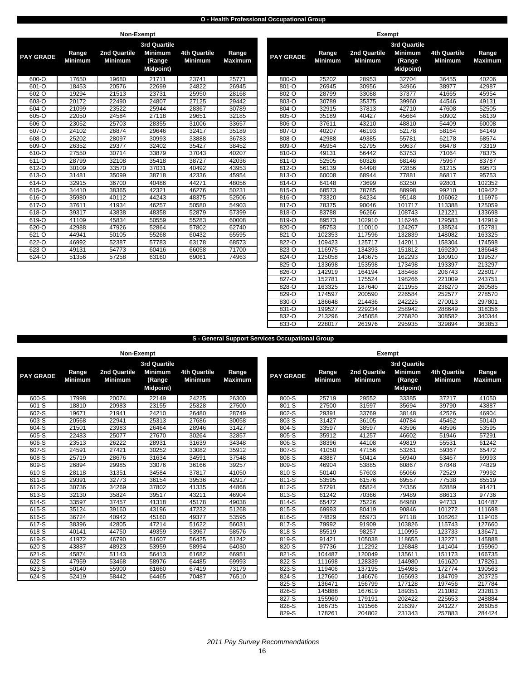### **O - Health Professional Occupational Group**

|                  |                         | Non-Exempt                     |                                                                     |                                       |                         |                  |                         |                                | <b>Exempt</b>             |
|------------------|-------------------------|--------------------------------|---------------------------------------------------------------------|---------------------------------------|-------------------------|------------------|-------------------------|--------------------------------|---------------------------|
| <b>PAY GRADE</b> | Range<br><b>Minimum</b> | 2nd Quartile<br><b>Minimum</b> | <b>3rd Quartile</b><br><b>Minimum</b><br>(Range<br><b>Midpoint)</b> | <b>4th Quartile</b><br><b>Minimum</b> | Range<br><b>Maximum</b> | <b>PAY GRADE</b> | Range<br><b>Minimum</b> | 2nd Quartile<br><b>Minimum</b> | 3r <sub>c</sub><br>M<br>M |
| 600-O            | 17650                   | 19680                          | 21711                                                               | 23741                                 | 25771                   | 800-O            | 25202                   | 28953                          |                           |
| 601-O            | 18453                   | 20576                          | 22699                                                               | 24822                                 | 26945                   | 801-O            | 26945                   | 30956                          |                           |
| 602-O            | 19294                   | 21513                          | 23731                                                               | 25950                                 | 28168                   | 802-O            | 28799                   | 33088                          |                           |
| 603-O            | 20172                   | 22490                          | 24807                                                               | 27125                                 | 29442                   | 803-O            | 30789                   | 35375                          |                           |
| 604-O            | 21099                   | 23522                          | 25944                                                               | 28367                                 | 30789                   | 804-O            | 32915                   | 37813                          |                           |
| $605 - 0$        | 22050                   | 24584                          | 27118                                                               | 29651                                 | 32185                   | 805-O            | 35189                   | 40427                          |                           |
| 606-O            | 23052                   | 25703                          | 28355                                                               | 31006                                 | 33657                   | 806-O            | 37611                   | 43210                          |                           |
| 607-O            | 24102                   | 26874                          | 29646                                                               | 32417                                 | 35189                   | 807-O            | 40207                   | 46193                          |                           |
| 608-O            | 25202                   | 28097                          | 30993                                                               | 33888                                 | 36783                   | 808-O            | 42988                   | 49385                          |                           |
| 609-O            | 26352                   | 29377                          | 32402                                                               | 35427                                 | 38452                   | 809-O            | 45954                   | 52795                          |                           |
| 610-O            | 27550                   | 30714                          | 33879                                                               | 37043                                 | 40207                   | 810-O            | 49131                   | 56442                          |                           |
| 611-O            | 28799                   | 32108                          | 35418                                                               | 38727                                 | 42036                   | 811-O            | 52505                   | 60326                          |                           |
| $612 - 0$        | 30109                   | 33570                          | 37031                                                               | 40492                                 | 43953                   | $812 - 0$        | 56139                   | 64498                          |                           |
| 613-O            | 31481                   | 35099                          | 38718                                                               | 42336                                 | 45954                   | 813-O            | 60008                   | 68944                          |                           |
| 614-O            | 32915                   | 36700                          | 40486                                                               | 44271                                 | 48056                   | 814-O            | 64148                   | 73699                          |                           |
| 615-O            | 34410                   | 38365                          | 42321                                                               | 46276                                 | 50231                   | 815-O            | 68573                   | 78785                          |                           |
| 616-O            | 35980                   | 40112                          | 44243                                                               | 48375                                 | 52506                   | 816-O            | 73320                   | 84234                          |                           |
| 617-O            | 37611                   | 41934                          | 46257                                                               | 50580                                 | 54903                   | 817-O            | 78375                   | 90046                          |                           |
| 618-O            | 39317                   | 43838                          | 48358                                                               | 52879                                 | 57399                   | 818-O            | 83788                   | 96266                          |                           |
| 619-O            | 41109                   | 45834                          | 50559                                                               | 55283                                 | 60008                   | 819-O            | 89573                   | 102910                         |                           |
| 620-O            | 42988                   | 47926                          | 52864                                                               | 57802                                 | 62740                   | 820-O            | 95753                   | 110010                         |                           |
| 621-O            | 44941                   | 50105                          | 55268                                                               | 60432                                 | 65595                   | 821-O            | 102353                  | 117596                         |                           |
| 622-O            | 46992                   | 52387                          | 57783                                                               | 63178                                 | 68573                   | 822-O            | 109423                  | 125717                         |                           |
| 623-O            | 49131                   | 54773                          | 60416                                                               | 66058                                 | 71700                   | 823-O            | 116975                  | 134393                         |                           |
| 624-O            | 51356                   | 57258                          | 63160                                                               | 69061                                 | 74963                   | 824-O            | 125058                  | 143675                         |                           |

|           |                         | NON-Exempt                     |                                       |                                       |                         |                  |                         | Exempt                         |                                              |                                |                         |
|-----------|-------------------------|--------------------------------|---------------------------------------|---------------------------------------|-------------------------|------------------|-------------------------|--------------------------------|----------------------------------------------|--------------------------------|-------------------------|
|           |                         |                                | 3rd Quartile                          |                                       |                         |                  |                         |                                | 3rd Quartile                                 |                                |                         |
| Y GRADE   | Range<br><b>Minimum</b> | 2nd Quartile<br><b>Minimum</b> | <b>Minimum</b><br>(Range<br>Midpoint) | <b>4th Quartile</b><br><b>Minimum</b> | Range<br><b>Maximum</b> | <b>PAY GRADE</b> | Range<br><b>Minimum</b> | 2nd Quartile<br><b>Minimum</b> | <b>Minimum</b><br>(Range<br><b>Midpoint)</b> | 4th Quartile<br><b>Minimum</b> | Range<br><b>Maximum</b> |
| 600-O     | 17650                   | 19680                          | 21711                                 | 23741                                 | 25771                   | 800-O            | 25202                   | 28953                          | 32704                                        | 36455                          | 40206                   |
| 601-O     | 18453                   | 20576                          | 22699                                 | 24822                                 | 26945                   | 801-O            | 26945                   | 30956                          | 34966                                        | 38977                          | 42987                   |
| $602 - 0$ | 19294                   | 21513                          | 23731                                 | 25950                                 | 28168                   | 802-O            | 28799                   | 33088                          | 37377                                        | 41665                          | 45954                   |
| $603 - 0$ | 20172                   | 22490                          | 24807                                 | 27125                                 | 29442                   | 803-O            | 30789                   | 35375                          | 39960                                        | 44546                          | 49131                   |
| 604-O     | 21099                   | 23522                          | 25944                                 | 28367                                 | 30789                   | 804-O            | 32915                   | 37813                          | 42710                                        | 47608                          | 52505                   |
| 605-O     | 22050                   | 24584                          | 27118                                 | 29651                                 | 32185                   | 805-O            | 35189                   | 40427                          | 45664                                        | 50902                          | 56139                   |
| 606-O     | 23052                   | 25703                          | 28355                                 | 31006                                 | 33657                   | 806-O            | 37611                   | 43210                          | 48810                                        | 54409                          | 60008                   |
| 607-O     | 24102                   | 26874                          | 29646                                 | 32417                                 | 35189                   | 807-O            | 40207                   | 46193                          | 52178                                        | 58164                          | 64149                   |
| $608 - O$ | 25202                   | 28097                          | 30993                                 | 33888                                 | 36783                   | 808-O            | 42988                   | 49385                          | 55781                                        | 62178                          | 68574                   |
| 609-O     | 26352                   | 29377                          | 32402                                 | 35427                                 | 38452                   | 809-O            | 45954                   | 52795                          | 59637                                        | 66478                          | 73319                   |
| 610-O     | 27550                   | 30714                          | 33879                                 | 37043                                 | 40207                   | 810-O            | 49131                   | 56442                          | 63753                                        | 71064                          | 78375                   |
| 611-O     | 28799                   | 32108                          | 35418                                 | 38727                                 | 42036                   | 811-O            | 52505                   | 60326                          | 68146                                        | 75967                          | 83787                   |
| 612-O     | 30109                   | 33570                          | 37031                                 | 40492                                 | 43953                   | 812-O            | 56139                   | 64498                          | 72856                                        | 81215                          | 89573                   |
| 613-O     | 31481                   | 35099                          | 38718                                 | 42336                                 | 45954                   | 813-O            | 60008                   | 68944                          | 77881                                        | 86817                          | 95753                   |
| $614 - 0$ | 32915                   | 36700                          | 40486                                 | 44271                                 | 48056                   | 814-O            | 64148                   | 73699                          | 83250                                        | 92801                          | 102352                  |
| $615 - 0$ | 34410                   | 38365                          | 42321                                 | 46276                                 | 50231                   | 815-O            | 68573                   | 78785                          | 88998                                        | 99210                          | 109422                  |
| 616-O     | 35980                   | 40112                          | 44243                                 | 48375                                 | 52506                   | 816-O            | 73320                   | 84234                          | 95148                                        | 106062                         | 116976                  |
| $617 - 0$ | 37611                   | 41934                          | 46257                                 | 50580                                 | 54903                   | 817-O            | 78375                   | 90046                          | 101717                                       | 113388                         | 125059                  |
| 618-O     | 39317                   | 43838                          | 48358                                 | 52879                                 | 57399                   | 818-O            | 83788                   | 96266                          | 108743                                       | 121221                         | 133698                  |
| 619-O     | 41109                   | 45834                          | 50559                                 | 55283                                 | 60008                   | 819-O            | 89573                   | 102910                         | 116246                                       | 129583                         | 142919                  |
| $620 - O$ | 42988                   | 47926                          | 52864                                 | 57802                                 | 62740                   | 820-O            | 95753                   | 110010                         | 124267                                       | 138524                         | 152781                  |
| $621 - 0$ | 44941                   | 50105                          | 55268                                 | 60432                                 | 65595                   | 821-O            | 102353                  | 117596                         | 132839                                       | 148082                         | 163325                  |
| 622-O     | 46992                   | 52387                          | 57783                                 | 63178                                 | 68573                   | 822-O            | 109423                  | 125717                         | 142011                                       | 158304                         | 174598                  |
| $623 - 0$ | 49131                   | 54773                          | 60416                                 | 66058                                 | 71700                   | 823-O            | 116975                  | 134393                         | 151812                                       | 169230                         | 186648                  |
| 624-O     | 51356                   | 57258                          | 63160                                 | 69061                                 | 74963                   | 824-O            | 125058                  | 143675                         | 162293                                       | 180910                         | 199527                  |
|           |                         |                                |                                       |                                       |                         | 825-O            | 133698                  | 153598                         | 173498                                       | 193397                         | 213297                  |
|           |                         |                                |                                       |                                       |                         | 826-O            | 142919                  | 164194                         | 185468                                       | 206743                         | 228017                  |
|           |                         |                                |                                       |                                       |                         | 827-O            | 152781                  | 175524                         | 198266                                       | 221009                         | 243751                  |
|           |                         |                                |                                       |                                       |                         | 828-O            | 163325                  | 187640                         | 211955                                       | 236270                         | 260585                  |
|           |                         |                                |                                       |                                       |                         | 829-O            | 174597                  | 200590                         | 226584                                       | 252577                         | 278570                  |
|           |                         |                                |                                       |                                       |                         | 830-O            | 186648                  | 214436                         | 242225                                       | 270013                         | 297801                  |
|           |                         |                                |                                       |                                       |                         | 831-O            | 199527                  | 229234                         | 258942                                       | 288649                         | 318356                  |
|           |                         |                                |                                       |                                       |                         | 832-O            | 213296                  | 245058                         | 276820                                       | 308582                         | 340344                  |
|           |                         |                                |                                       |                                       |                         | 833-O            | 228017                  | 261976                         | 295935                                       | 329894                         | 363853                  |
|           |                         |                                |                                       |                                       |                         |                  |                         |                                |                                              |                                |                         |

**S - General Support Services Occupational Group**

|                  |                         |                                | Non-Exempt                                                          |                                       |                         |                  |                         | <b>Exempt</b>                  |                           |
|------------------|-------------------------|--------------------------------|---------------------------------------------------------------------|---------------------------------------|-------------------------|------------------|-------------------------|--------------------------------|---------------------------|
| <b>PAY GRADE</b> | Range<br><b>Minimum</b> | 2nd Quartile<br><b>Minimum</b> | <b>3rd Quartile</b><br><b>Minimum</b><br>(Range<br><b>Midpoint)</b> | <b>4th Quartile</b><br><b>Minimum</b> | Range<br><b>Maximum</b> | <b>PAY GRADE</b> | Range<br><b>Minimum</b> | 2nd Quartile<br><b>Minimum</b> | 3r <sub>c</sub><br>M<br>Μ |
| 600-S            | 17998                   | 20074                          | 22149                                                               | 24225                                 | 26300                   | 800-S            | 25719                   | 29552                          |                           |
| $601-S$          | 18810                   | 20983                          | 23155                                                               | 25328                                 | 27500                   | $801-S$          | 27500                   | 31597                          |                           |
| 602-S            | 19671                   | 21941                          | 24210                                                               | 26480                                 | 28749                   | 802-S            | 29391                   | 33769                          |                           |
| 603-S            | 20568                   | 22941                          | 25313                                                               | 27686                                 | 30058                   | 803-S            | 31427                   | 36105                          |                           |
| $604-S$          | 21501                   | 23983                          | 26464                                                               | 28946                                 | 31427                   | $804-S$          | 33597                   | 38597                          |                           |
| 605-S            | 22483                   | 25077                          | 27670                                                               | 30264                                 | 32857                   | 805-S            | 35912                   | 41257                          |                           |
| $606-S$          | 23513                   | 26222                          | 28931                                                               | 31639                                 | 34348                   | 806-S            | 38396                   | 44108                          |                           |
| 607-S            | 24591                   | 27421                          | 30252                                                               | 33082                                 | 35912                   | 807-S            | 41050                   | 47156                          |                           |
| 608-S            | 25719                   | 28676                          | 31634                                                               | 34591                                 | 37548                   | 808-S            | 43887                   | 50414                          |                           |
| $609-S$          | 26894                   | 29985                          | 33076                                                               | 36166                                 | 39257                   | 809-S            | 46904                   | 53885                          |                           |
| 610-S            | 28118                   | 31351                          | 34584                                                               | 37817                                 | 41050                   | 810-S            | 50140                   | 57603                          |                           |
| $611-S$          | 29391                   | 32773                          | 36154                                                               | 39536                                 | 42917                   | $811-S$          | 53595                   | 61576                          |                           |
| 612-S            | 30736                   | 34269                          | 37802                                                               | 41335                                 | 44868                   | 812-S            | 57291                   | 65824                          |                           |
| 613-S            | 32130                   | 35824                          | 39517                                                               | 43211                                 | 46904                   | 813-S            | 61242                   | 70366                          |                           |
| 614-S            | 33597                   | 37457                          | 41318                                                               | 45178                                 | 49038                   | 814-S            | 65472                   | 75226                          |                           |
| 615-S            | 35124                   | 39160                          | 43196                                                               | 47232                                 | 51268                   | 815-S            | 69993                   | 80419                          |                           |
| 616-S            | 36724                   | 40942                          | 45160                                                               | 49377                                 | 53595                   | 816-S            | 74829                   | 85973                          |                           |
| 617-S            | 38396                   | 42805                          | 47214                                                               | 51622                                 | 56031                   | 817-S            | 79992                   | 91909                          |                           |
| 618-S            | 40141                   | 44750                          | 49359                                                               | 53967                                 | 58576                   | 818-S            | 85519                   | 98257                          |                           |
| 619-S            | 41972                   | 46790                          | 51607                                                               | 56425                                 | 61242                   | 819-S            | 91421                   | 105038                         |                           |
| 620-S            | 43887                   | 48923                          | 53959                                                               | 58994                                 | 64030                   | 820-S            | 97736                   | 112292                         |                           |
| $621-S$          | 45874                   | 51143                          | 56413                                                               | 61682                                 | 66951                   | 821-S            | 104487                  | 120049                         |                           |
| 622-S            | 47959                   | 53468                          | 58976                                                               | 64485                                 | 69993                   | 822-S            | 111698                  | 128339                         |                           |
| 623-S            | 50140                   | 55900                          | 61660                                                               | 67419                                 | 73179                   | 823-S            | 119406                  | 137195                         |                           |
| 624-S            | 52419                   | 58442                          | 64465                                                               | 70487                                 | 76510                   | 824-S            | 127660                  | 146676                         |                           |
|                  |                         |                                |                                                                     |                                       |                         |                  |                         |                                |                           |

| Y GRADE   | Range<br><b>Minimum</b> | 2nd Quartile<br><b>Minimum</b> | <b>3rd Quartile</b><br><b>Minimum</b><br>(Range<br><b>Midpoint)</b> | <b>4th Quartile</b><br><b>Minimum</b> | Range<br><b>Maximum</b> | <b>PAY GRADE</b> | Range<br><b>Minimum</b> | 2nd Quartile<br><b>Minimum</b> | <b>3rd Quartile</b><br><b>Minimum</b><br>(Range<br><b>Midpoint)</b> | <b>4th Quartile</b><br><b>Minimum</b> | Range<br><b>Maximum</b> |
|-----------|-------------------------|--------------------------------|---------------------------------------------------------------------|---------------------------------------|-------------------------|------------------|-------------------------|--------------------------------|---------------------------------------------------------------------|---------------------------------------|-------------------------|
| 600-S     | 17998                   | 20074                          | 22149                                                               | 24225                                 | 26300                   | 800-S            | 25719                   | 29552                          | 33385                                                               | 37217                                 | 41050                   |
| $601-S$   | 18810                   | 20983                          | 23155                                                               | 25328                                 | 27500                   | 801-S            | 27500                   | 31597                          | 35694                                                               | 39790                                 | 43887                   |
| $602-S$   | 19671                   | 21941                          | 24210                                                               | 26480                                 | 28749                   | 802-S            | 29391                   | 33769                          | 38148                                                               | 42526                                 | 46904                   |
| 603-S     | 20568                   | 22941                          | 25313                                                               | 27686                                 | 30058                   | 803-S            | 31427                   | 36105                          | 40784                                                               | 45462                                 | 50140                   |
| 604-S     | 21501                   | 23983                          | 26464                                                               | 28946                                 | 31427                   | 804-S            | 33597                   | 38597                          | 43596                                                               | 48596                                 | 53595                   |
| $605-S$   | 22483                   | 25077                          | 27670                                                               | 30264                                 | 32857                   | 805-S            | 35912                   | 41257                          | 46602                                                               | 51946                                 | 57291                   |
| 606-S     | 23513                   | 26222                          | 28931                                                               | 31639                                 | 34348                   | 806-S            | 38396                   | 44108                          | 49819                                                               | 55531                                 | 61242                   |
| 607-S     | 24591                   | 27421                          | 30252                                                               | 33082                                 | 35912                   | 807-S            | 41050                   | 47156                          | 53261                                                               | 59367                                 | 65472                   |
| $608-S$   | 25719                   | 28676                          | 31634                                                               | 34591                                 | 37548                   | 808-S            | 43887                   | 50414                          | 56940                                                               | 63467                                 | 69993                   |
| $609-S$   | 26894                   | 29985                          | 33076                                                               | 36166                                 | 39257                   | 809-S            | 46904                   | 53885                          | 60867                                                               | 67848                                 | 74829                   |
| $610-S$   | 28118                   | 31351                          | 34584                                                               | 37817                                 | 41050                   | 810-S            | 50140                   | 57603                          | 65066                                                               | 72529                                 | 79992                   |
| 611-S     | 29391                   | 32773                          | 36154                                                               | 39536                                 | 42917                   | 811-S            | 53595                   | 61576                          | 69557                                                               | 77538                                 | 85519                   |
| $612-S$   | 30736                   | 34269                          | 37802                                                               | 41335                                 | 44868                   | 812-S            | 57291                   | 65824                          | 74356                                                               | 82889                                 | 91421                   |
| $613-S$   | 32130                   | 35824                          | 39517                                                               | 43211                                 | 46904                   | 813-S            | 61242                   | 70366                          | 79489                                                               | 88613                                 | 97736                   |
| $614-S$   | 33597                   | 37457                          | 41318                                                               | 45178                                 | 49038                   | 814-S            | 65472                   | 75226                          | 84980                                                               | 94733                                 | 104487                  |
| $615-S$   | 35124                   | 39160                          | 43196                                                               | 47232                                 | 51268                   | 815-S            | 69993                   | 80419                          | 90846                                                               | 101272                                | 111698                  |
| 616-S     | 36724                   | 40942                          | 45160                                                               | 49377                                 | 53595                   | 816-S            | 74829                   | 85973                          | 97118                                                               | 108262                                | 119406                  |
| 617-S     | 38396                   | 42805                          | 47214                                                               | 51622                                 | 56031                   | 817-S            | 79992                   | 91909                          | 103826                                                              | 115743                                | 127660                  |
| 618-S     | 40141                   | 44750                          | 49359                                                               | 53967                                 | 58576                   | 818-S            | 85519                   | 98257                          | 110995                                                              | 123733                                | 136471                  |
| 619-S     | 41972                   | 46790                          | 51607                                                               | 56425                                 | 61242                   | 819-S            | 91421                   | 105038                         | 118655                                                              | 132271                                | 145888                  |
| $620 - S$ | 43887                   | 48923                          | 53959                                                               | 58994                                 | 64030                   | 820-S            | 97736                   | 112292                         | 126848                                                              | 141404                                | 155960                  |
| 621-S     | 45874                   | 51143                          | 56413                                                               | 61682                                 | 66951                   | 821-S            | 104487                  | 120049                         | 135611                                                              | 151173                                | 166735                  |
| $622 - S$ | 47959                   | 53468                          | 58976                                                               | 64485                                 | 69993                   | 822-S            | 111698                  | 128339                         | 144980                                                              | 161620                                | 178261                  |
| $623 - S$ | 50140                   | 55900                          | 61660                                                               | 67419                                 | 73179                   | 823-S            | 119406                  | 137195                         | 154985                                                              | 172774                                | 190563                  |
| 624-S     | 52419                   | 58442                          | 64465                                                               | 70487                                 | 76510                   | 824-S            | 127660                  | 146676                         | 165693                                                              | 184709                                | 203725                  |
|           |                         |                                |                                                                     |                                       |                         | 825-S            | 136471                  | 156799                         | 177128                                                              | 197456                                | 217784                  |
|           |                         |                                |                                                                     |                                       |                         | 826-S            | 145888                  | 167619                         | 189351                                                              | 211082                                | 232813                  |
|           |                         |                                |                                                                     |                                       |                         | 827-S            | 155960                  | 179191                         | 202422                                                              | 225653                                | 248884                  |
|           |                         |                                |                                                                     |                                       |                         | 828-S            | 166735                  | 191566                         | 216397                                                              | 241227                                | 266058                  |
|           |                         |                                |                                                                     |                                       |                         | 829-S            | 178261                  | 204802                         | 231343                                                              | 257883                                | 284424                  |